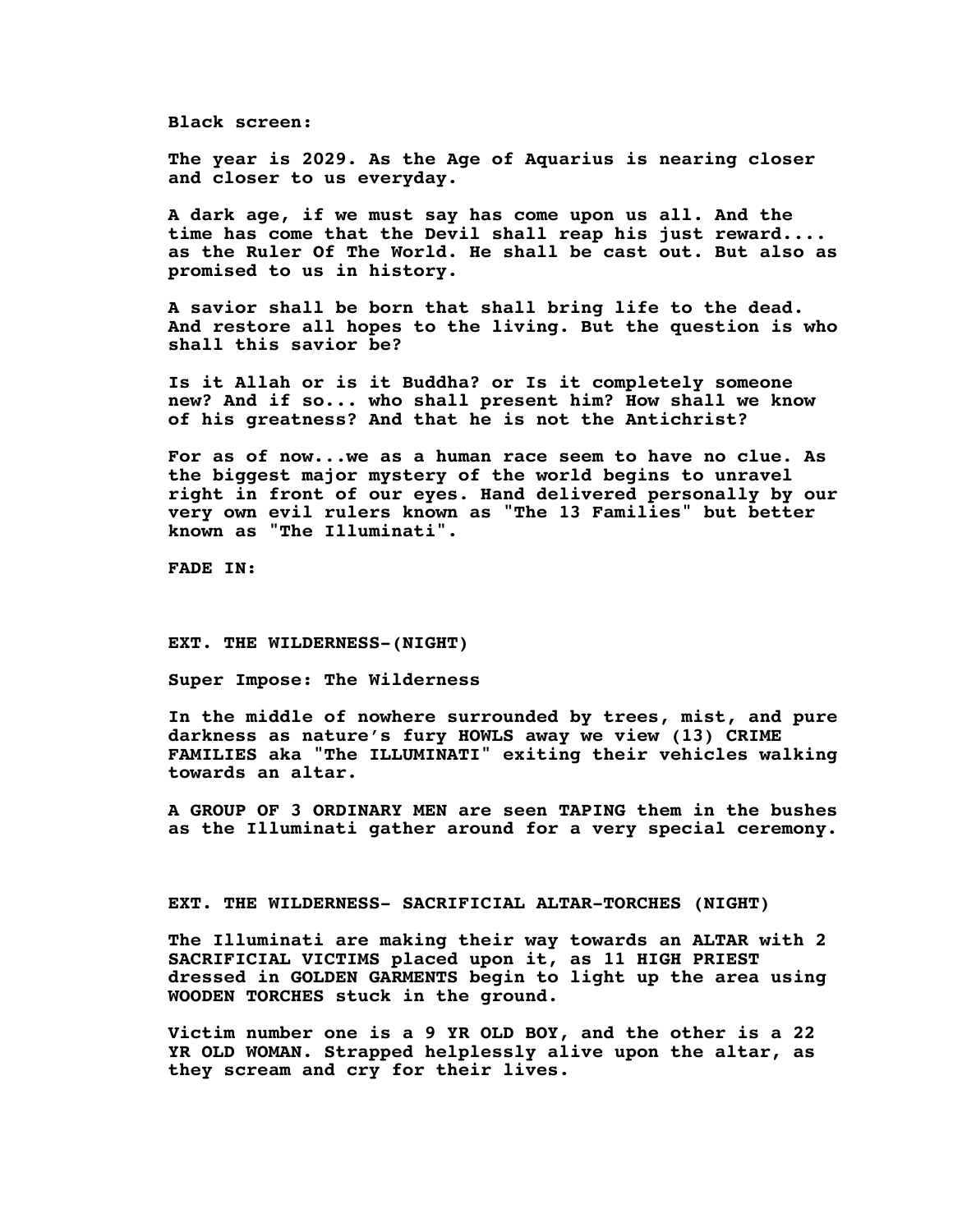**Black screen:**

**The year is 2029. As the Age of Aquarius is nearing closer and closer to us everyday.**

**A dark age, if we must say has come upon us all. And the time has come that the Devil shall reap his just reward.... as the Ruler Of The World. He shall be cast out. But also as promised to us in history.**

**A savior shall be born that shall bring life to the dead. And restore all hopes to the living. But the question is who shall this savior be?**

**Is it Allah or is it Buddha? or Is it completely someone new? And if so... who shall present him? How shall we know of his greatness? And that he is not the Antichrist?**

**For as of now.**..**we as a human race seem to have no clue**. **As the biggest major mystery of the world begins to unravel right in front of our eyes**. **Hand delivered personally by our very own evil rulers known as "The 13 Families" but better known as "The Illuminati".**

**FADE IN:**

**EXT. THE WILDERNESS-(NIGHT)**

**Super Impose: The Wilderness**

**In the middle of nowhere surrounded by trees, mist, and pure darkness as nature's fury HOWLS away we view (13) CRIME FAMILIES aka "The ILLUMINATI" exiting their vehicles walking towards an altar.**

**A GROUP OF 3 ORDINARY MEN are seen TAPING them in the bushes as the Illuminati gather around for a very special ceremony.**

**EXT. THE WILDERNESS- SACRIFICIAL ALTAR-TORCHES (NIGHT)**

**The Illuminati are making their way towards an ALTAR with 2 SACRIFICIAL VICTIMS placed upon it, as 11 HIGH PRIEST dressed in GOLDEN GARMENTS begin to light up the area using WOODEN TORCHES stuck in the ground.**

**Victim number one is a 9 YR OLD BOY, and the other is a 22 YR OLD WOMAN. Strapped helplessly alive upon the altar, as they scream and cry for their lives.**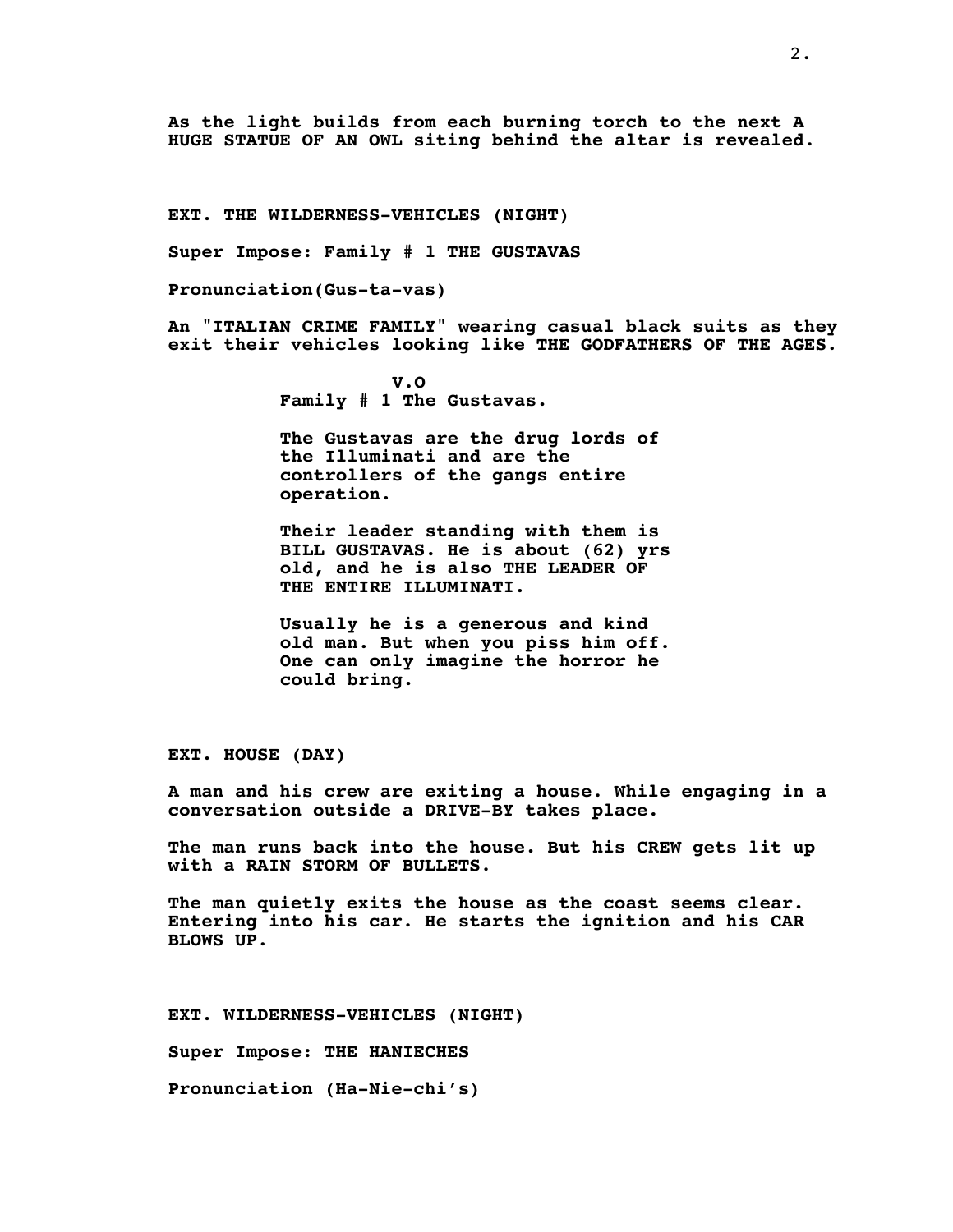**As the light builds from each burning torch to the next A HUGE STATUE OF AN OWL siting behind the altar is revealed**.

**EXT. THE WILDERNESS-VEHICLES (NIGHT)**

**Super Impose: Family # 1 THE GUSTAVAS**

**Pronunciation(Gus-ta-vas)**

**An "ITALIAN CRIME FAMILY**" **wearing casual black suits as they exit their vehicles looking like THE GODFATHERS OF THE AGES**.

> **V.O Family # 1 The Gustavas.**

**The Gustavas are the drug lords of the Illuminati and are the controllers of the gangs entire operation.**

**Their leader standing with them is BILL GUSTAVAS. He is about (62) yrs old, and he is also THE LEADER OF THE ENTIRE ILLUMINATI.**

**Usually he is a generous and kind old man. But when you piss him off. One can only imagine the horror he could bring.**

**EXT. HOUSE (DAY)**

**A man and his crew are exiting a house**. **While engaging in a conversation outside a DRIVE-BY takes place.**

**The man runs back into the house. But his CREW gets lit up with a RAIN STORM OF BULLETS**.

**The man quietly exits the house as the coast seems clear. Entering into his car**. **He starts the ignition and his CAR BLOWS UP**.

**EXT. WILDERNESS-VEHICLES (NIGHT)**

**Super Impose: THE HANIECHES**

**Pronunciation (Ha-Nie-chi's)**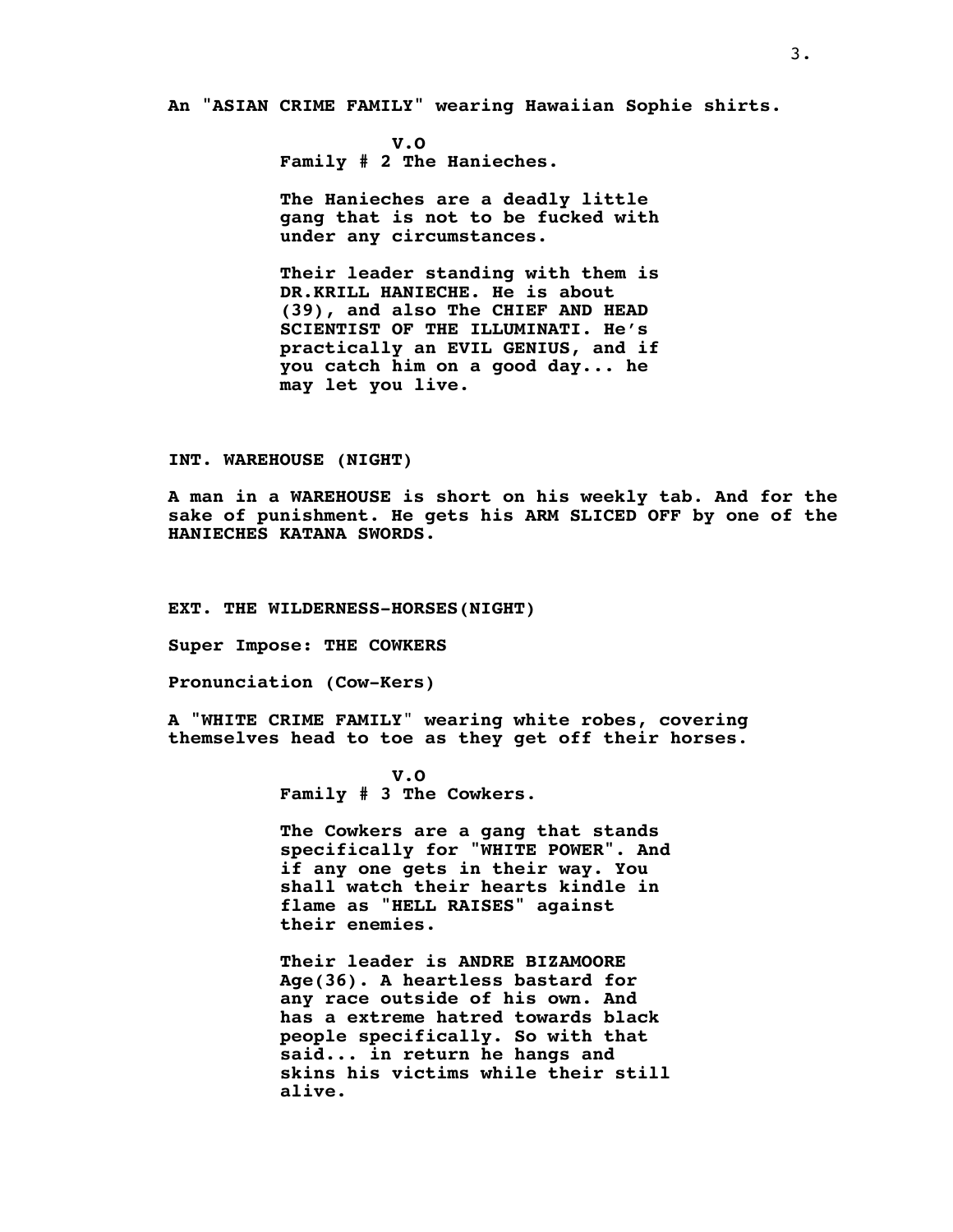**An "ASIAN CRIME FAMILY" wearing Hawaiian Sophie shirts.**

**V.O Family # 2 The Hanieches.**

**The Hanieches are a deadly little gang that is not to be fucked with under any circumstances.**

**Their leader standing with them is DR.KRILL HANIECHE. He is about (39), and also The CHIEF AND HEAD SCIENTIST OF THE ILLUMINATI. He's practically an EVIL GENIUS, and if you catch him on a good day... he may let you live.**

## **INT. WAREHOUSE (NIGHT)**

**A man in a WAREHOUSE is short on his weekly tab**. **And for the sake of punishment. He gets his ARM SLICED OFF by one of the HANIECHES KATANA SWORDS.**

#### **EXT. THE WILDERNESS-HORSES(NIGHT)**

**Super Impose: THE COWKERS**

**Pronunciation (Cow-Kers)**

**A "WHITE CRIME FAMILY**" **wearing white robes, covering themselves head to toe as they get off their horses**.

> **V.O Family # 3 The Cowkers**.

**The Cowkers are a gang that stands specifically for "WHITE POWER". And if any one gets in their way. You shall watch their hearts kindle in flame as "HELL RAISES" against their enemies.**

**Their leader is ANDRE BIZAMOORE Age(36). A heartless bastard for any race outside of his own. And has a extreme hatred towards black people specifically. So with that said... in return he hangs and skins his victims while their still alive.**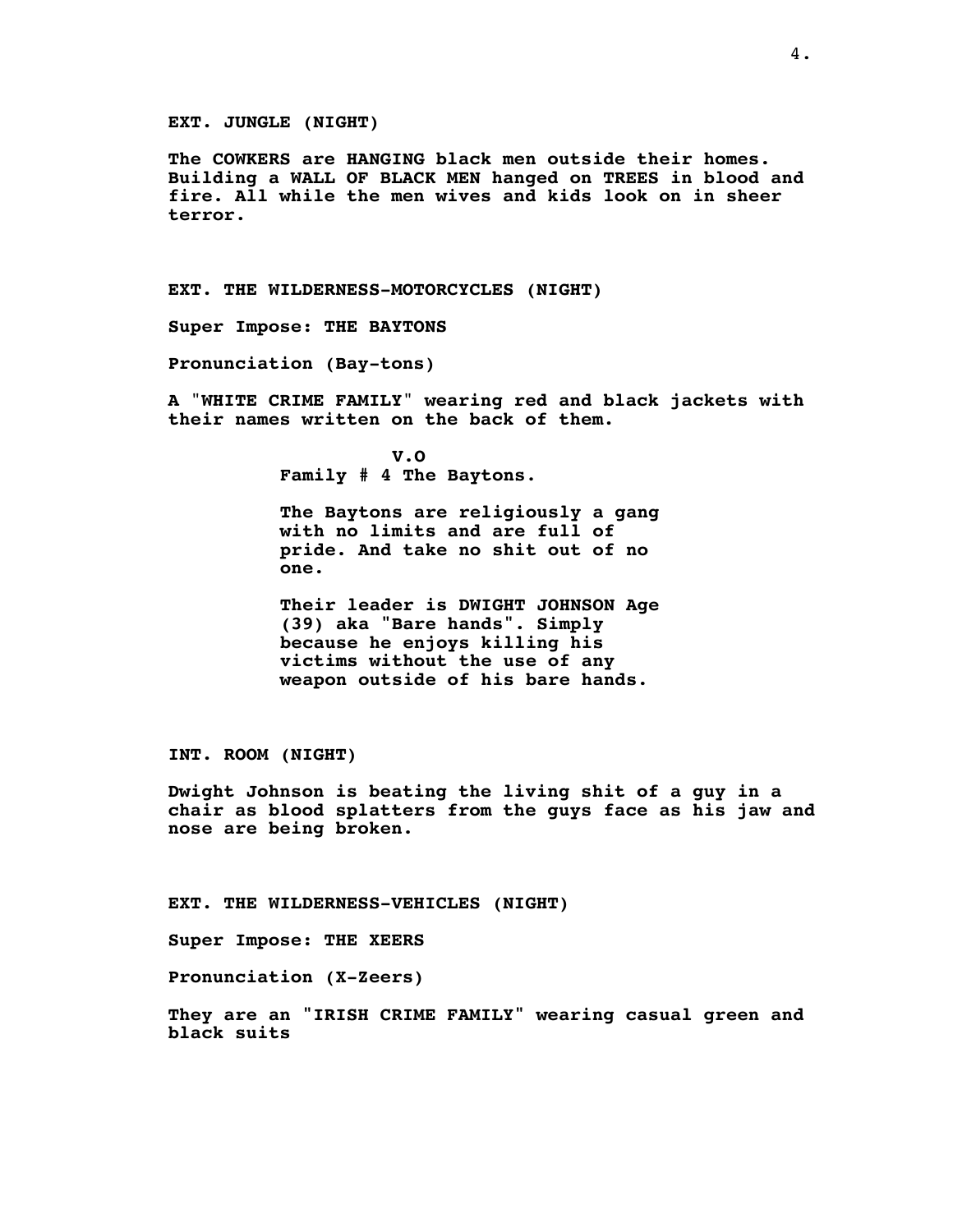## **EXT. JUNGLE (NIGHT)**

**The COWKERS are HANGING black men outside their homes. Building a WALL OF BLACK MEN hanged on TREES in blood and fire. All while the men wives and kids look on in sheer terror.**

**EXT. THE WILDERNESS-MOTORCYCLES (NIGHT)**

**Super Impose: THE BAYTONS**

**Pronunciation (Bay-tons)**

**A** "**WHITE CRIME FAMILY**" **wearing red and black jackets with their names written on the back of them.**

> **V.O Family # 4 The Baytons**.

**The Baytons are religiously a gang with no limits and are full of pride. And take no shit out of no one.**

**Their leader is DWIGHT JOHNSON Age (39) aka "Bare hands". Simply because he enjoys killing his victims without the use of any weapon outside of his bare hands.**

**INT. ROOM (NIGHT)**

**Dwight Johnson is beating the living shit of a guy in a chair as blood splatters from the guys face as his jaw and nose are being broken.**

**EXT. THE WILDERNESS-VEHICLES (NIGHT)**

**Super Impose: THE XEERS**

**Pronunciation (X-Zeers)**

**They are an "IRISH CRIME FAMILY" wearing casual green and black suits**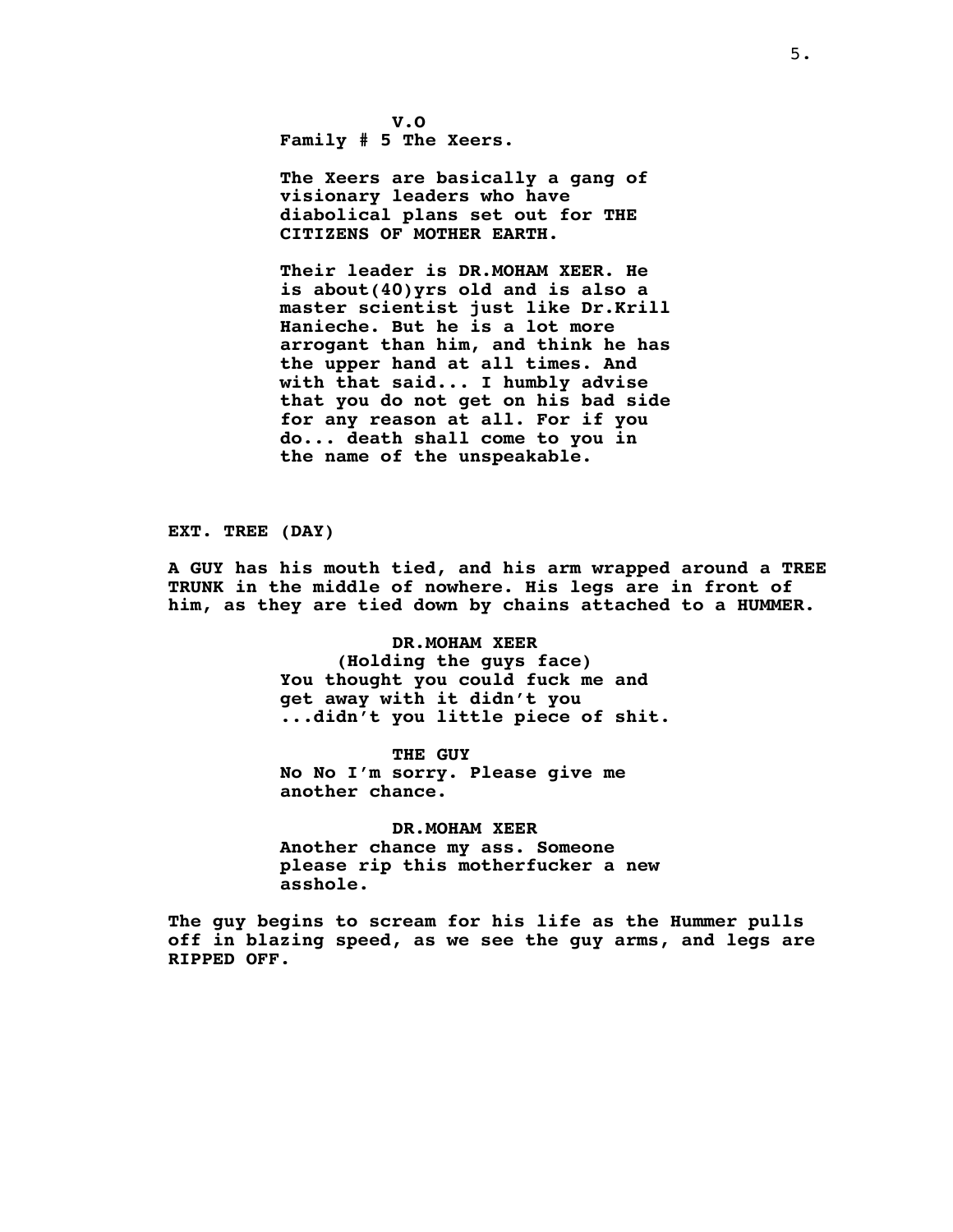**V.O Family # 5 The Xeers.**

**The Xeers are basically a gang of visionary leaders who have diabolical plans set out for THE CITIZENS OF MOTHER EARTH.**

**Their leader is DR.MOHAM XEER. He is about(40)yrs old and is also a master scientist just like Dr.Krill Hanieche. But he is a lot more arrogant than him, and think he has the upper hand at all times. And with that said... I humbly advise that you do not get on his bad side for any reason at all. For if you do... death shall come to you in the name of the unspeakable.**

**EXT. TREE (DAY)**

**A GUY has his mouth tied, and his arm wrapped around a TREE TRUNK in the middle of nowhere. His legs are in front of him, as they are tied down by chains attached to a HUMMER.**

## **DR.MOHAM XEER**

**(Holding the guys face) You thought you could fuck me and get away with it didn't you ...didn't you little piece of shit.**

**THE GUY No No I'm sorry. Please give me another chance.**

**DR.MOHAM XEER Another chance my ass. Someone please rip this motherfucker a new asshole.**

**The guy begins to scream for his life as the Hummer pulls off in blazing speed, as we see the guy arms, and legs are RIPPED OFF.**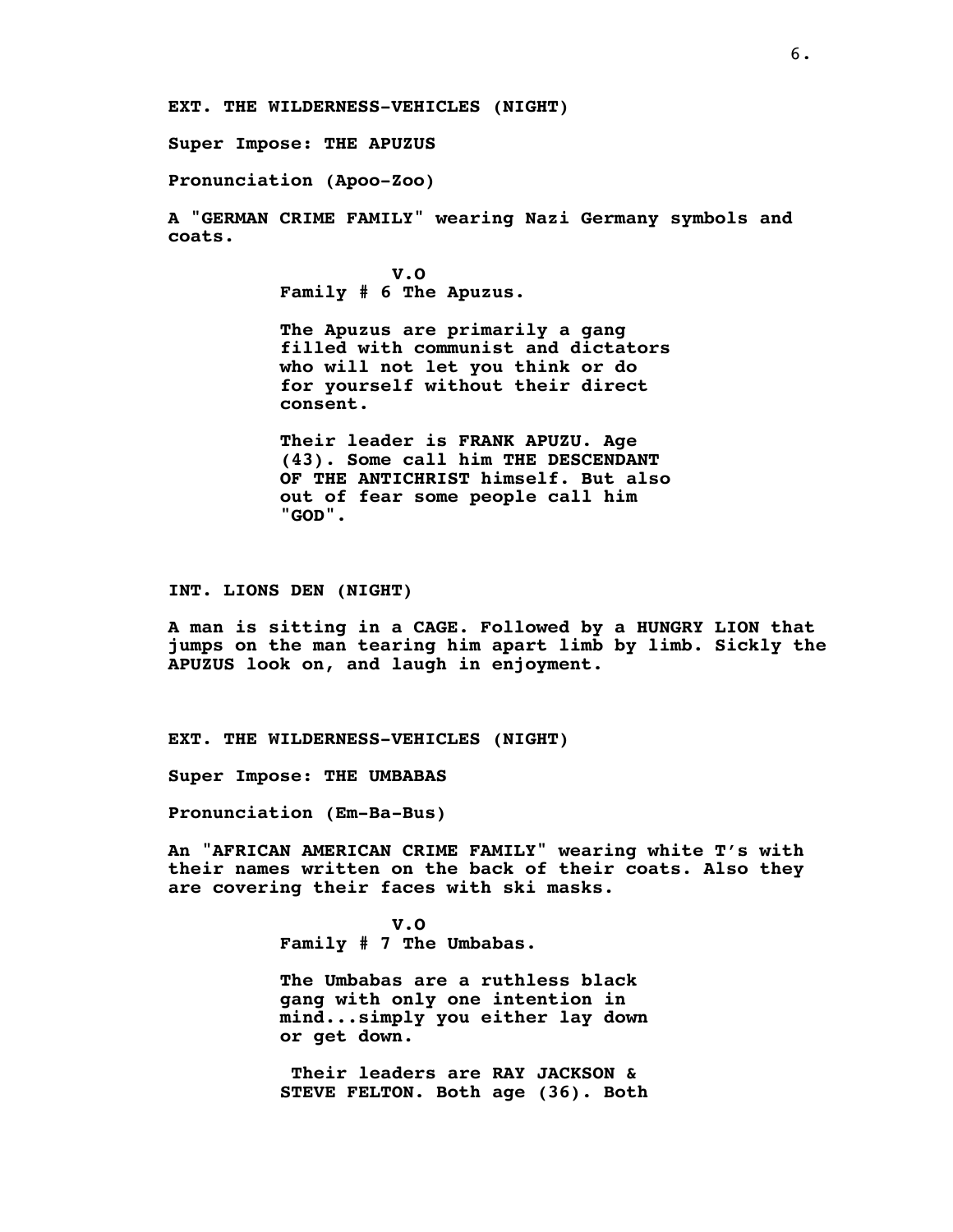**EXT. THE WILDERNESS-VEHICLES (NIGHT)**

**Super Impose: THE APUZUS**

**Pronunciation (Apoo-Zoo)**

**A "GERMAN CRIME FAMILY" wearing Nazi Germany symbols and coats.**

> **V.O Family # 6 The Apuzus.**

**The Apuzus are primarily a gang filled with communist and dictators who will not let you think or do for yourself without their direct consent.**

**Their leader is FRANK APUZU. Age (43). Some call him THE DESCENDANT OF THE ANTICHRIST himself. But also out of fear some people call him "GOD".**

**INT. LIONS DEN (NIGHT)**

**A man is sitting in a CAGE. Followed by a HUNGRY LION that jumps on the man tearing him apart limb by limb. Sickly the APUZUS look on, and laugh in enjoyment.**

**EXT. THE WILDERNESS-VEHICLES (NIGHT)**

**Super Impose: THE UMBABAS**

**Pronunciation (Em-Ba-Bus)**

**An "AFRICAN AMERICAN CRIME FAMILY" wearing white T's with their names written on the back of their coats. Also they are covering their faces with ski masks.**

> **V.O Family # 7 The Umbabas.**

**The Umbabas are a ruthless black gang with only one intention in mind...simply you either lay down or get down.**

**Their leaders are RAY JACKSON & STEVE FELTON. Both age (36). Both**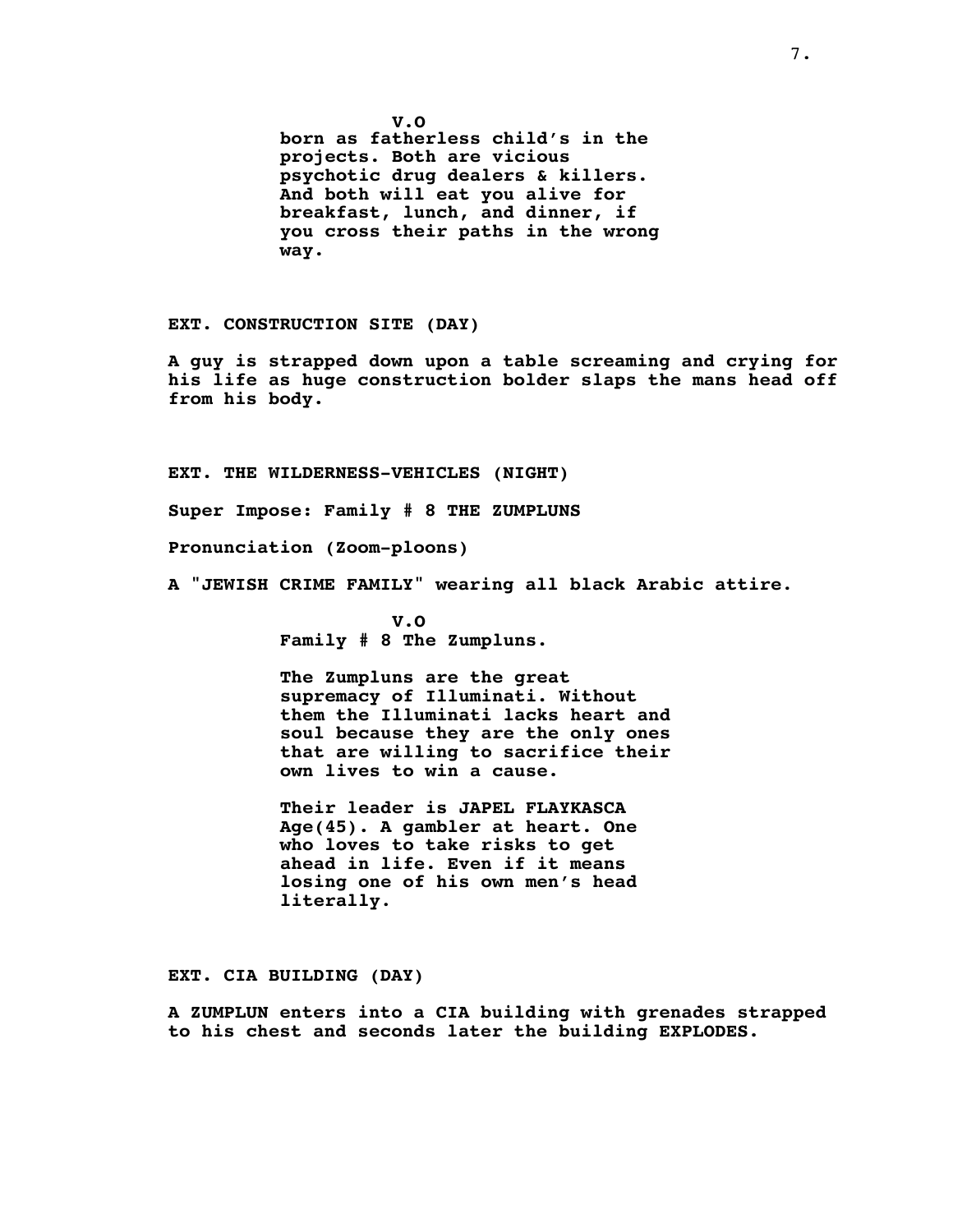**V.O born as fatherless child's in the projects. Both are vicious psychotic drug dealers & killers. And both will eat you alive for breakfast, lunch, and dinner, if you cross their paths in the wrong way.**

**EXT. CONSTRUCTION SITE (DAY)**

**A guy is strapped down upon a table screaming and crying for his life as huge construction bolder slaps the mans head off from his body.**

**EXT. THE WILDERNESS-VEHICLES (NIGHT)**

**Super Impose: Family # 8 THE ZUMPLUNS**

**Pronunciation (Zoom-ploons)**

**A "JEWISH CRIME FAMILY" wearing all black Arabic attire**.

**V.O Family # 8 The Zumpluns.**

**The Zumpluns are the great supremacy of Illuminati. Without them the Illuminati lacks heart and soul because they are the only ones that are willing to sacrifice their own lives to win a cause.**

**Their leader is JAPEL FLAYKASCA Age(45). A gambler at heart. One who loves to take risks to get ahead in life. Even if it means losing one of his own men's head literally**.

**EXT. CIA BUILDING (DAY)**

**A ZUMPLUN enters into a CIA building with grenades strapped to his chest and seconds later the building EXPLODES.**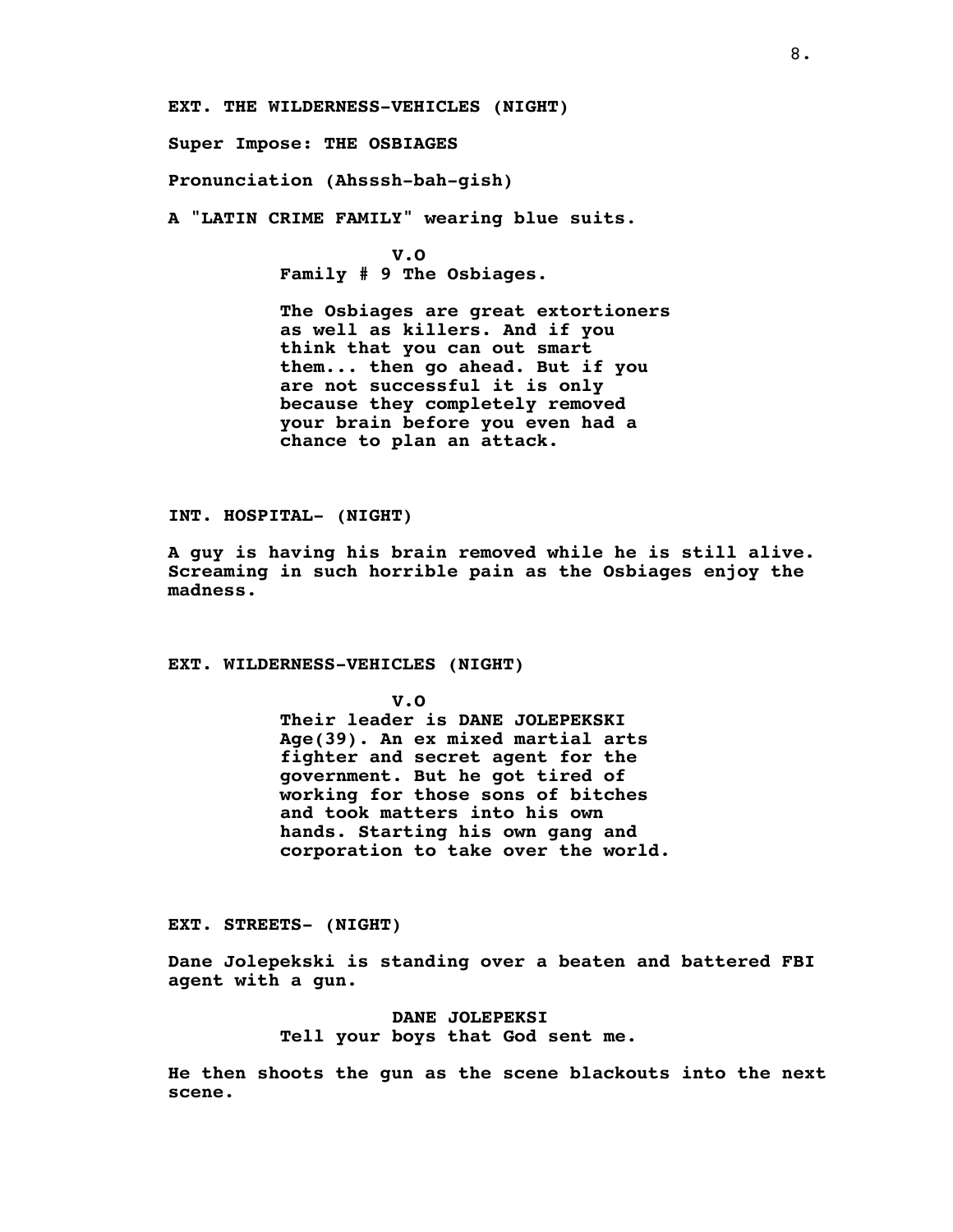**EXT. THE WILDERNESS-VEHICLES (NIGHT)**

**Super Impose: THE OSBIAGES**

**Pronunciation (Ahsssh-bah-gish)**

**A "LATIN CRIME FAMILY" wearing blue suits**.

**V.O Family # 9 The Osbiages.**

**The Osbiages are great extortioners as well as killers. And if you think that you can out smart them... then go ahead. But if you are not successful it is only because they completely removed your brain before you even had a chance to plan an attack.**

**INT. HOSPITAL- (NIGHT)**

**A guy is having his brain removed while he is still alive. Screaming in such horrible pain as the Osbiages enjoy the madness.**

**EXT. WILDERNESS-VEHICLES (NIGHT)**

**V.O Their leader is DANE JOLEPEKSKI Age(39). An ex mixed martial arts fighter and secret agent for the government. But he got tired of working for those sons of bitches and took matters into his own hands. Starting his own gang and corporation to take over the world.**

**EXT. STREETS- (NIGHT)**

**Dane Jolepekski is standing over a beaten and battered FBI agent with a gun.**

> **DANE JOLEPEKSI Tell your boys that God sent me.**

**He then shoots the gun as the scene blackouts into the next scene.**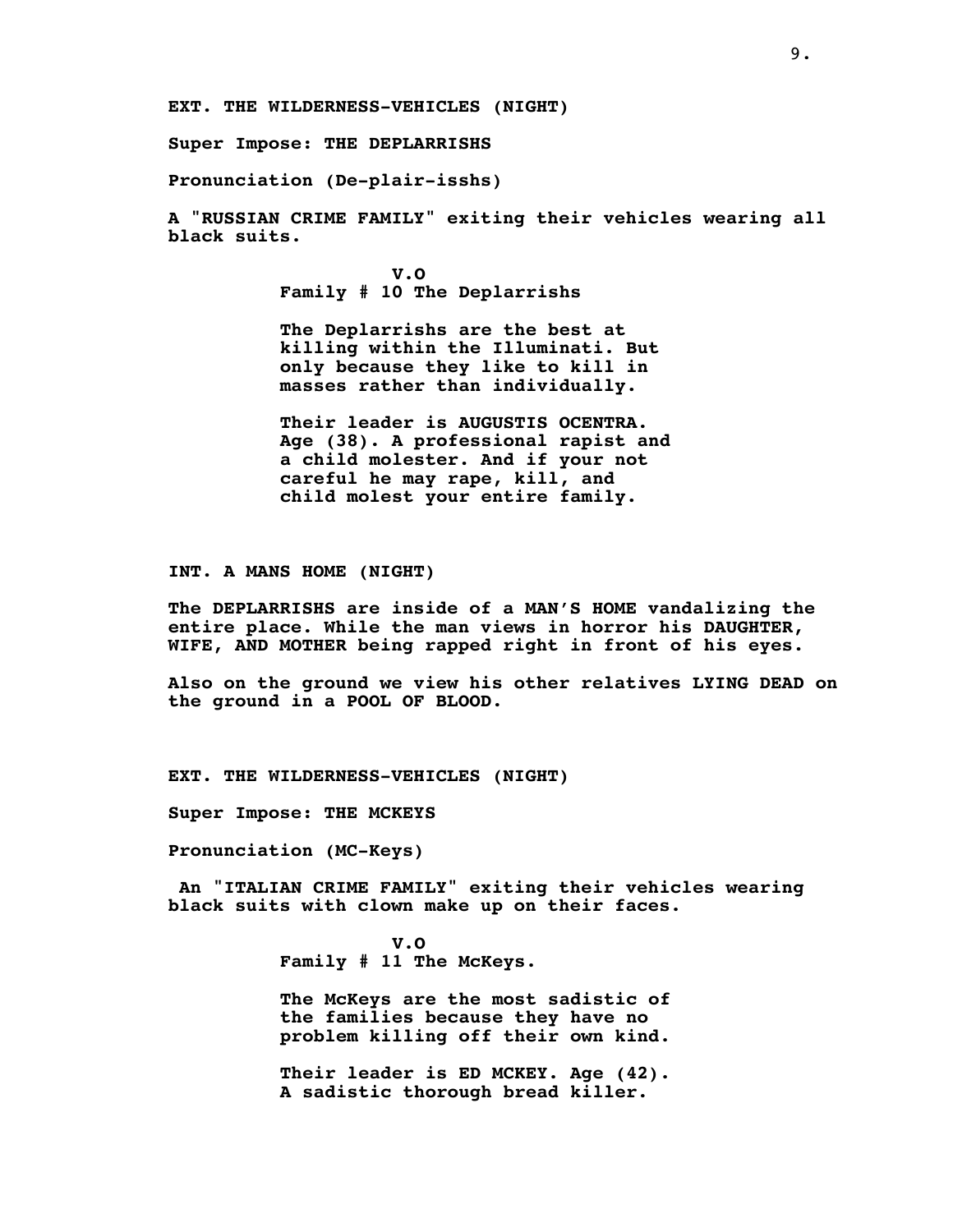**EXT. THE WILDERNESS-VEHICLES (NIGHT)**

**Super Impose: THE DEPLARRISHS**

**Pronunciation (De-plair-isshs)**

**A "RUSSIAN CRIME FAMILY" exiting their vehicles wearing all black suits.**

> **V.O Family # 10 The Deplarrishs**

**The Deplarrishs are the best at killing within the Illuminati. But only because they like to kill in masses rather than individually.**

**Their leader is AUGUSTIS OCENTRA. Age (38). A professional rapist and a child molester. And if your not careful he may rape, kill, and child molest your entire family.**

**INT. A MANS HOME (NIGHT)**

**The DEPLARRISHS are inside of a MAN'S HOME vandalizing the entire place. While the man views in horror his DAUGHTER, WIFE, AND MOTHER being rapped right in front of his eyes.**

**Also on the ground we view his other relatives LYING DEAD on the ground in a POOL OF BLOOD.**

**EXT. THE WILDERNESS-VEHICLES (NIGHT)**

**Super Impose: THE MCKEYS**

**Pronunciation (MC-Keys)**

**An "ITALIAN CRIME FAMILY" exiting their vehicles wearing black suits with clown make up on their faces.**

> **V.O Family # 11 The McKeys.**

**The McKeys are the most sadistic of the families because they have no problem killing off their own kind.**

**Their leader is ED MCKEY. Age (42). A sadistic thorough bread killer.**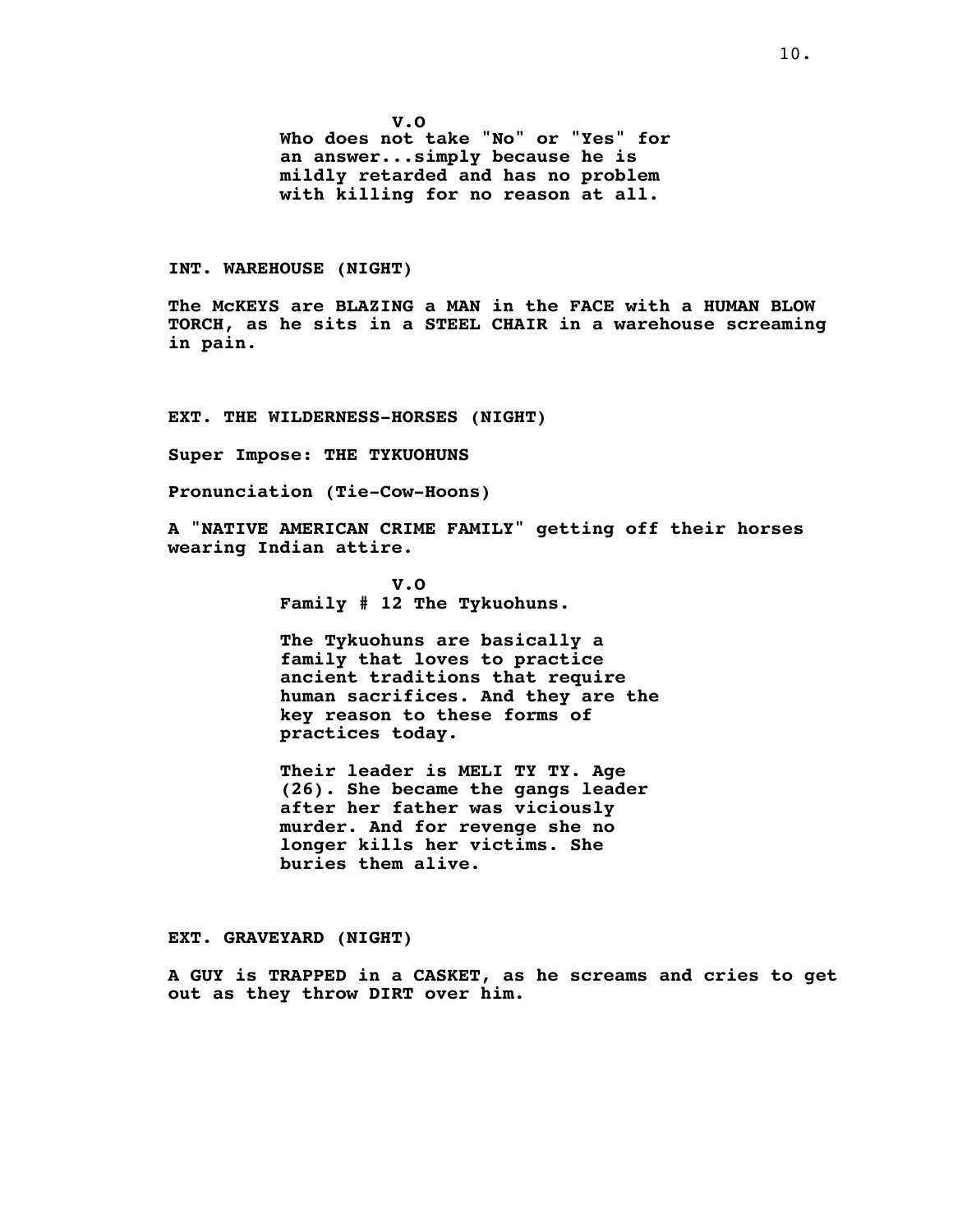**V.O Who does not take "No" or "Yes" for an answer...simply because he is mildly retarded and has no problem with killing for no reason at all.**

## **INT. WAREHOUSE (NIGHT)**

**The McKEYS are BLAZING a MAN in the FACE with a HUMAN BLOW TORCH, as he sits in a STEEL CHAIR in a warehouse screaming in pain.**

**EXT. THE WILDERNESS-HORSES (NIGHT)**

**Super Impose: THE TYKUOHUNS**

**Pronunciation (Tie-Cow-Hoons)**

**A "NATIVE AMERICAN CRIME FAMILY" getting off their horses wearing Indian attire.**

> **V.O Family # 12 The Tykuohuns.**

**The Tykuohuns are basically a family that loves to practice ancient traditions that require human sacrifices. And they are the key reason to these forms of practices today.**

**Their leader is MELI TY TY. Age (26). She became the gangs leader after her father was viciously murder. And for revenge she no longer kills her victims. She buries them alive.**

### **EXT. GRAVEYARD (NIGHT)**

**A GUY is TRAPPED in a CASKET, as he screams and cries to get out as they throw DIRT over him.**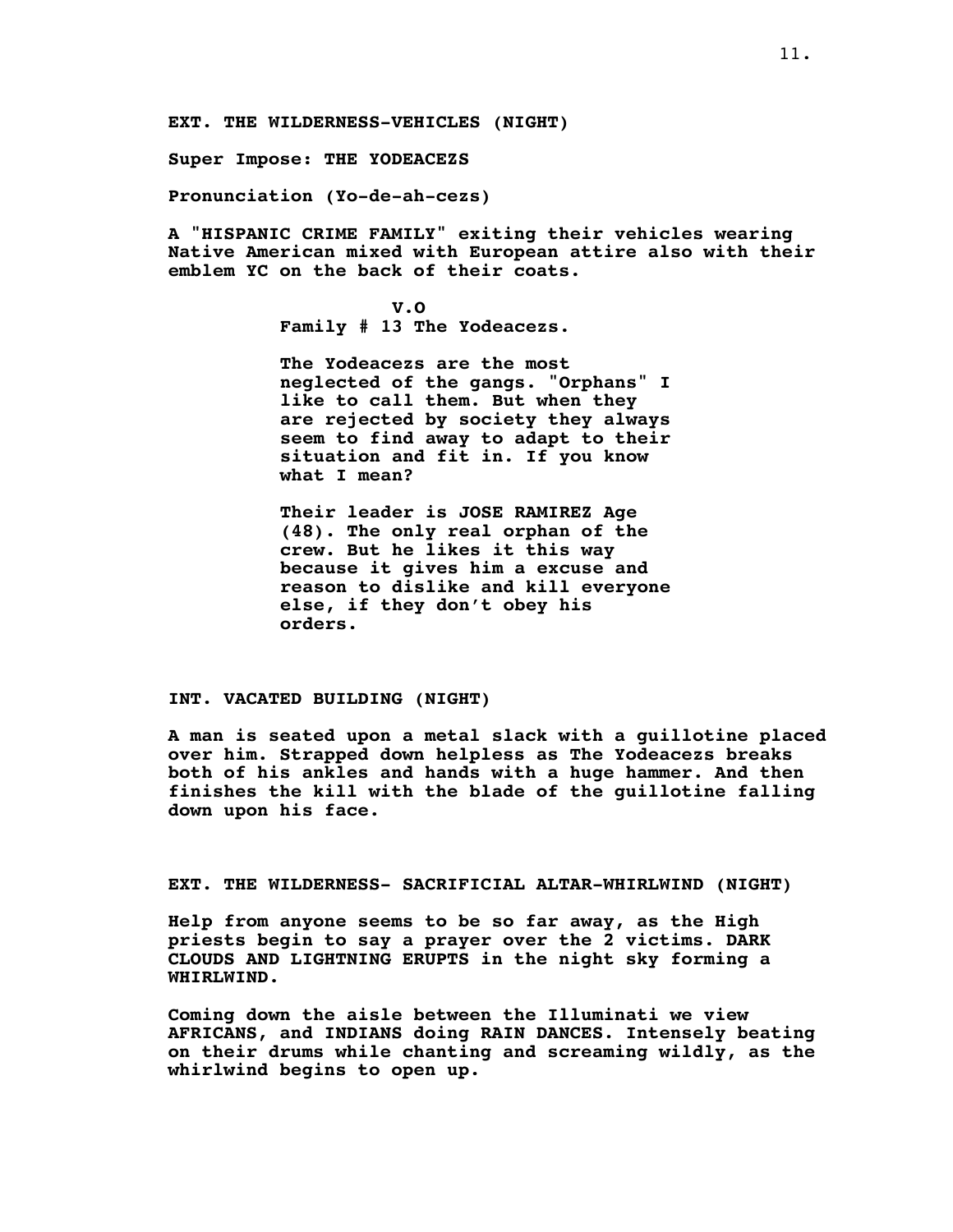**EXT. THE WILDERNESS-VEHICLES (NIGHT)**

**Super Impose: THE YODEACEZS**

**Pronunciation (Yo-de-ah-cezs)**

**A "HISPANIC CRIME FAMILY" exiting their vehicles wearing Native American mixed with European attire also with their emblem YC on the back of their coats.**

> **V.O Family # 13 The Yodeacezs.**

**The Yodeacezs are the most neglected of the gangs. "Orphans" I like to call them. But when they are rejected by society they always seem to find away to adapt to their situation and fit in. If you know what I mean?**

**Their leader is JOSE RAMIREZ Age (48). The only real orphan of the crew. But he likes it this way because it gives him a excuse and reason to dislike and kill everyone else, if they don't obey his orders.**

## **INT. VACATED BUILDING (NIGHT)**

**A man is seated upon a metal slack with a guillotine placed over him. Strapped down helpless as The Yodeacezs breaks both of his ankles and hands with a huge hammer. And then finishes the kill with the blade of the guillotine falling down upon his face.**

# **EXT. THE WILDERNESS- SACRIFICIAL ALTAR-WHIRLWIND (NIGHT)**

**Help from anyone seems to be so far away, as the High priests begin to say a prayer over the 2 victims. DARK CLOUDS AND LIGHTNING ERUPTS in the night sky forming a WHIRLWIND.**

**Coming down the aisle between the Illuminati we view AFRICANS, and INDIANS doing RAIN DANCES. Intensely beating on their drums while chanting and screaming wildly, as the whirlwind begins to open up.**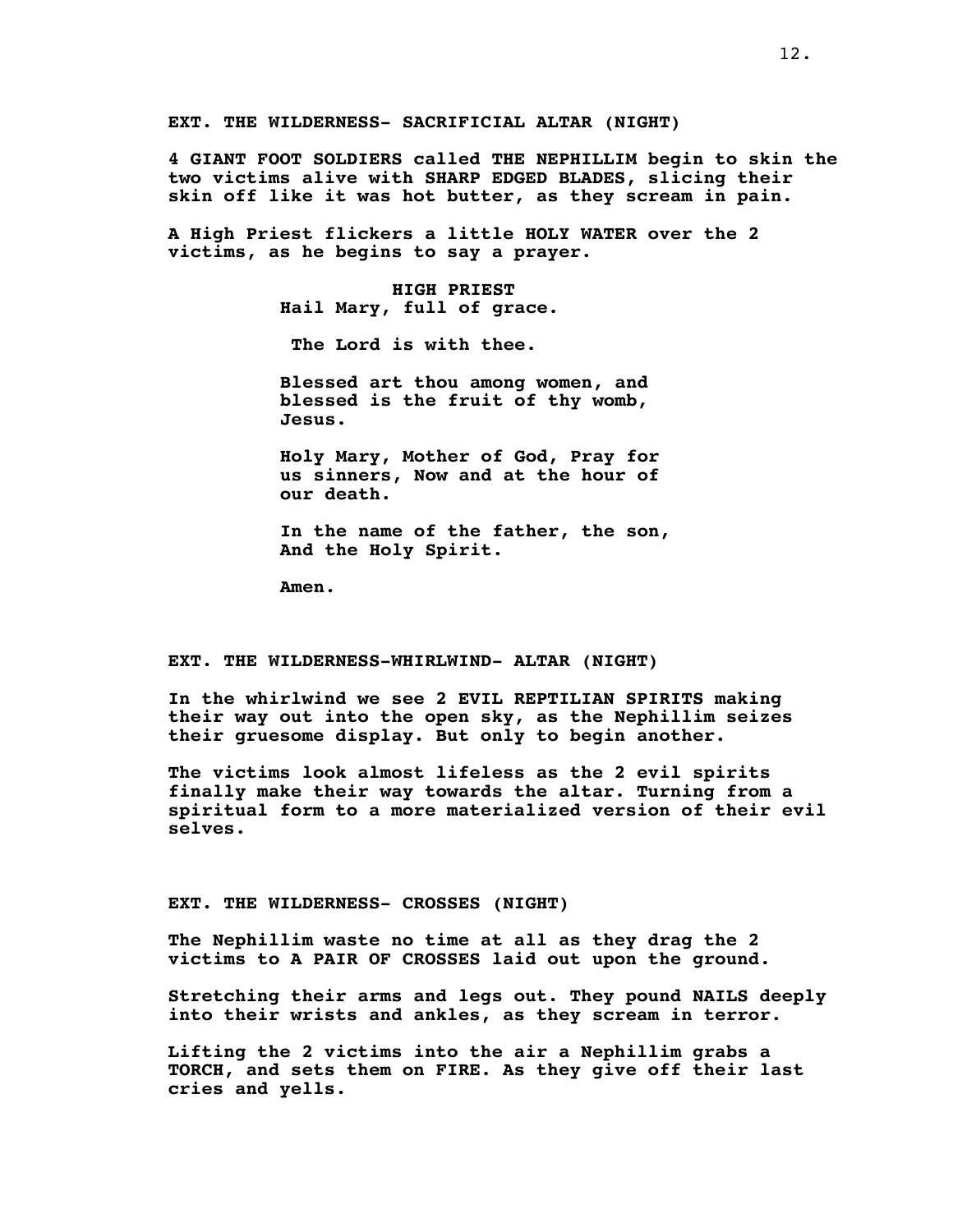**EXT. THE WILDERNESS- SACRIFICIAL ALTAR (NIGHT)**

**4 GIANT FOOT SOLDIERS called THE NEPHILLIM begin to skin the two victims alive with SHARP EDGED BLADES, slicing their skin off like it was hot butter, as they scream in pain.**

**A High Priest flickers a little HOLY WATER over the 2 victims, as he begins to say a prayer.**

> **HIGH PRIEST Hail Mary, full of grace.**

**The Lord is with thee.**

**Blessed art thou among women, and blessed is the fruit of thy womb, Jesus.**

**Holy Mary, Mother of God, Pray for us sinners, Now and at the hour of our death.**

**In the name of the father, the son, And the Holy Spirit.**

**Amen.**

#### **EXT. THE WILDERNESS-WHIRLWIND- ALTAR (NIGHT)**

**In the whirlwind we see 2 EVIL REPTILIAN SPIRITS making their way out into the open sky, as the Nephillim seizes their gruesome display. But only to begin another.**

**The victims look almost lifeless as the 2 evil spirits finally make their way towards the altar. Turning from a spiritual form to a more materialized version of their evil selves.**

### **EXT. THE WILDERNESS- CROSSES (NIGHT)**

**The Nephillim waste no time at all as they drag the 2 victims to A PAIR OF CROSSES laid out upon the ground.**

**Stretching their arms and legs out. They pound NAILS deeply into their wrists and ankles, as they scream in terror.**

**Lifting the 2 victims into the air a Nephillim grabs a TORCH, and sets them on FIRE. As they give off their last cries and yells.**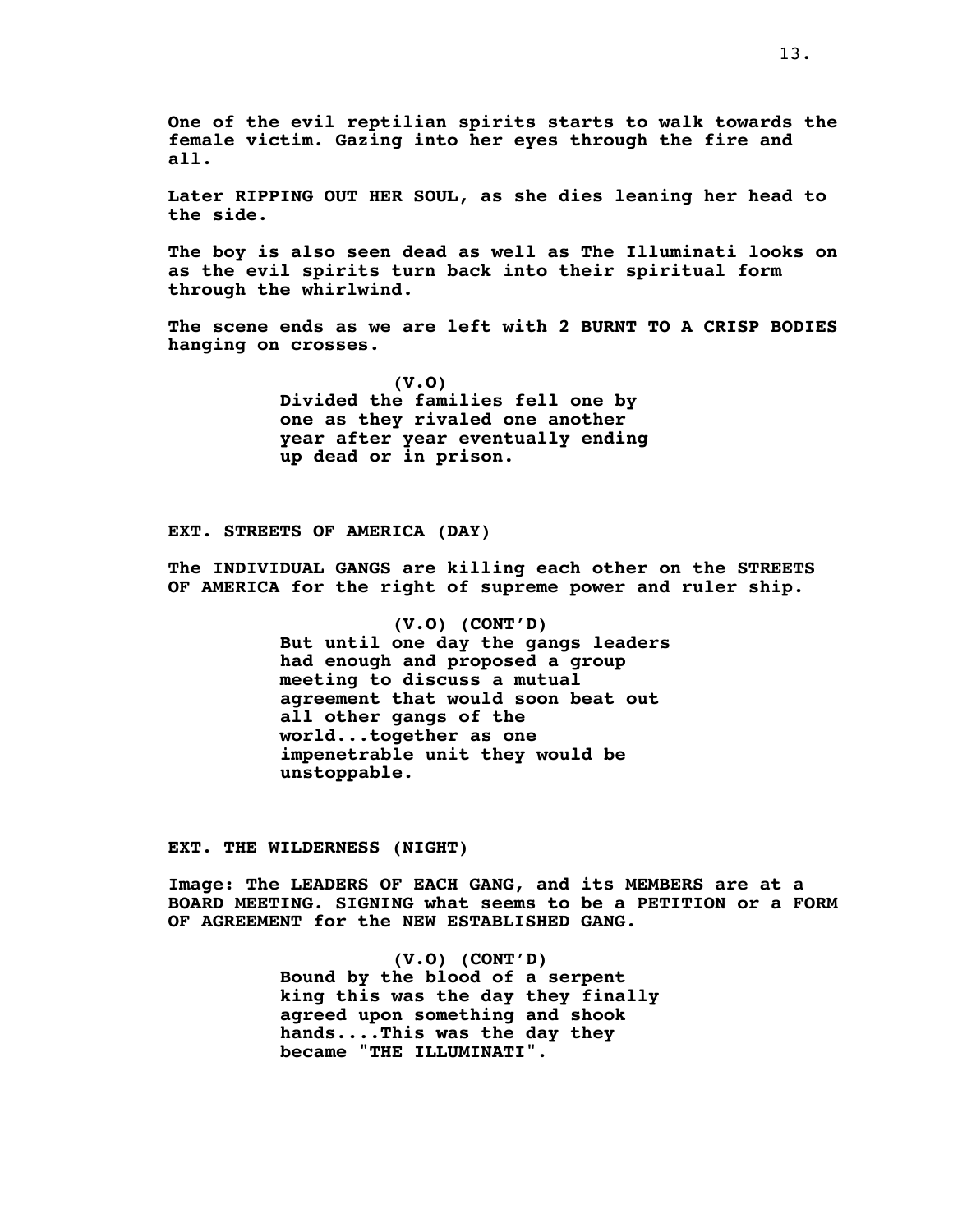**One of the evil reptilian spirits starts to walk towards the female victim. Gazing into her eyes through the fire and all.**

**Later RIPPING OUT HER SOUL, as she dies leaning her head to the side.**

**The boy is also seen dead as well as The Illuminati looks on as the evil spirits turn back into their spiritual form through the whirlwind.**

**The scene ends as we are left with 2 BURNT TO A CRISP BODIES hanging on crosses.**

> **(V.O) Divided the families fell one by one as they rivaled one another year after year eventually ending up dead or in prison.**

**EXT. STREETS OF AMERICA (DAY)**

**The INDIVIDUAL GANGS are killing each other on the STREETS OF AMERICA for the right of supreme power and ruler ship.**

> **(V.O) (CONT'D) But until one day the gangs leaders had enough and proposed a group meeting to discuss a mutual agreement that would soon beat out all other gangs of the world...together as one impenetrable unit they would be unstoppable.**

**EXT. THE WILDERNESS (NIGHT)**

**Image: The LEADERS OF EACH GANG, and its MEMBERS are at a BOARD MEETING. SIGNING what seems to be a PETITION or a FORM OF AGREEMENT for the NEW ESTABLISHED GANG.**

> **(V.O) (CONT'D) Bound by the blood of a serpent king this was the day they finally agreed upon something and shook hands....This was the day they became "THE ILLUMINATI"**.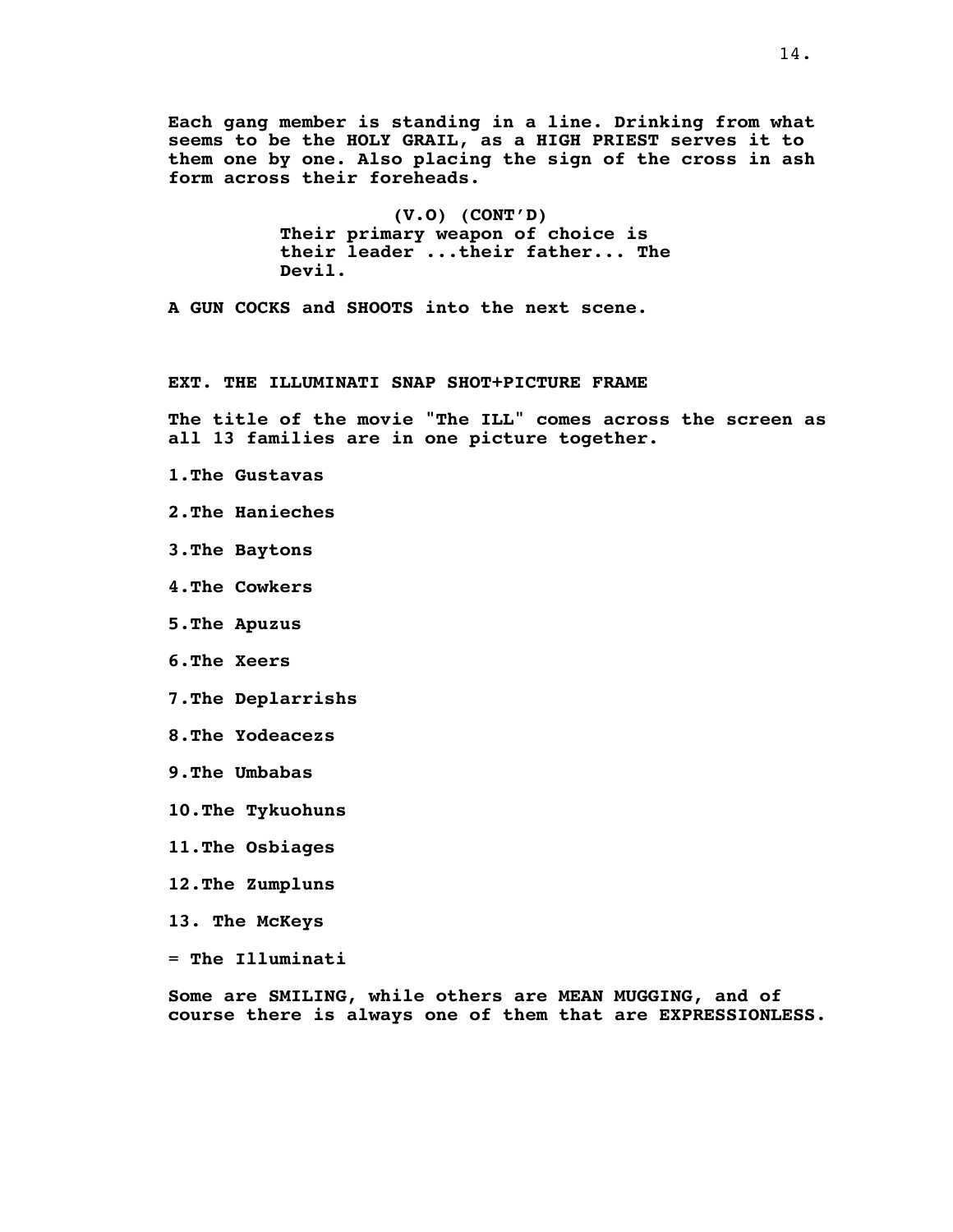**Each gang member is standing in a line. Drinking from what seems to be the HOLY GRAIL, as a HIGH PRIEST serves it to them one by one. Also placing the sign of the cross in ash form across their foreheads.**

> **(V.O) (CONT'D) Their primary weapon of choice is their leader ...their father... The Devil.**

**A GUN COCKS and SHOOTS into the next scene.**

# **EXT. THE ILLUMINATI SNAP SHOT+PICTURE FRAME**

**The title of the movie "The ILL" comes across the screen as all 13 families are in one picture together.**

- **1.The Gustavas**
- **2.The Hanieches**
- **3.The Baytons**
- **4.The Cowkers**
- **5.The Apuzus**
- **6.The Xeers**
- **7.The Deplarrishs**
- **8.The Yodeacezs**
- **9.The Umbabas**
- **10.The Tykuohuns**
- **11.The Osbiages**
- **12.The Zumpluns**
- **13. The McKeys**
- = **The Illuminati**

**Some are SMILING, while others are MEAN MUGGING, and of course there is always one of them that are EXPRESSIONLESS.**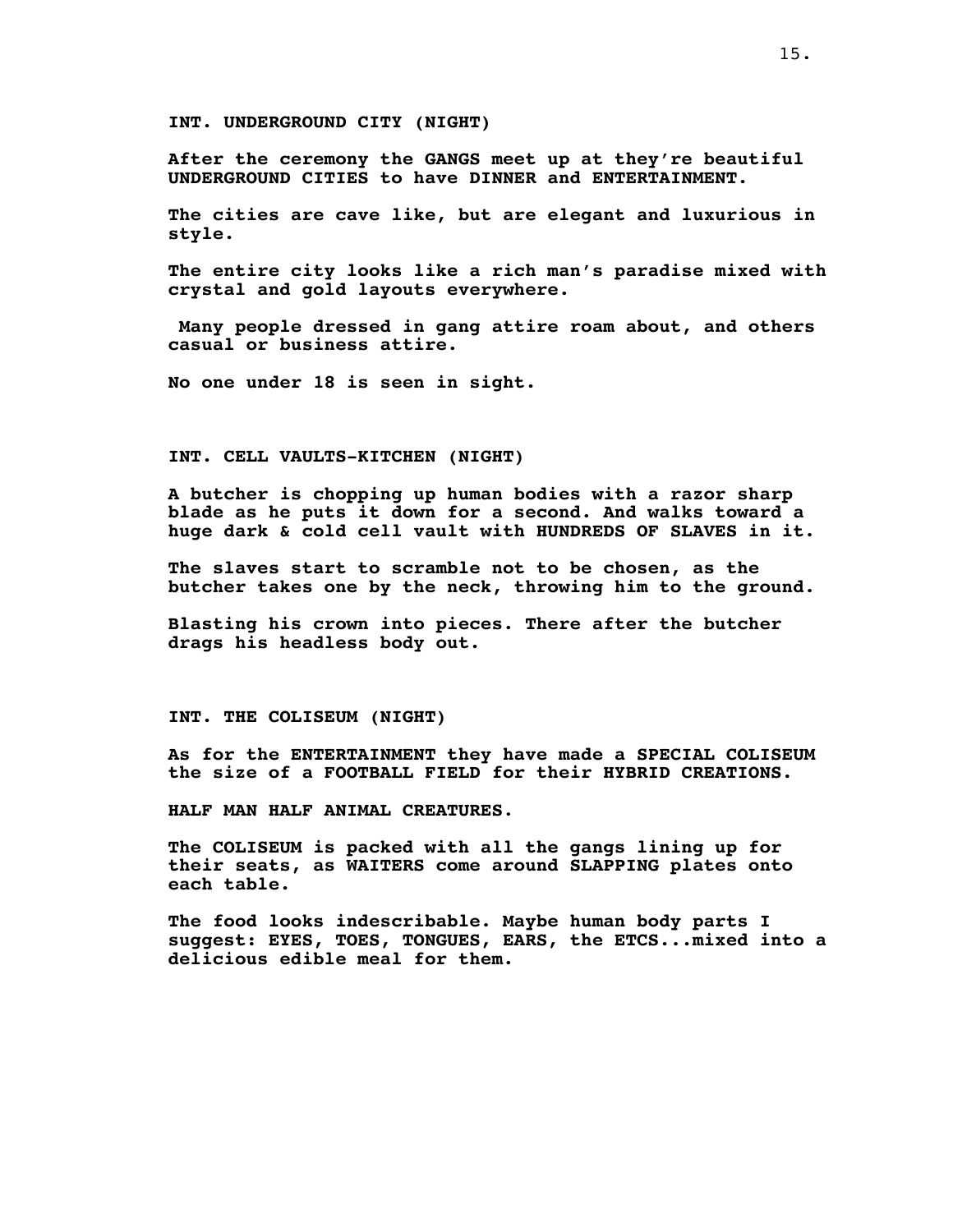**INT. UNDERGROUND CITY (NIGHT)**

**After the ceremony the GANGS meet up at they're beautiful UNDERGROUND CITIES to have DINNER and ENTERTAINMENT.**

**The cities are cave like, but are elegant and luxurious in style.**

**The entire city looks like a rich man's paradise mixed with crystal and gold layouts everywhere.**

**Many people dressed in gang attire roam about, and others casual or business attire.**

**No one under 18 is seen in sight.**

## **INT. CELL VAULTS-KITCHEN (NIGHT)**

**A butcher is chopping up human bodies with a razor sharp blade as he puts it down for a second. And walks toward a huge dark & cold cell vault with HUNDREDS OF SLAVES in it.**

**The slaves start to scramble not to be chosen, as the butcher takes one by the neck, throwing him to the ground.**

**Blasting his crown into pieces. There after the butcher drags his headless body out.**

**INT. THE COLISEUM (NIGHT)**

**As for the ENTERTAINMENT they have made a SPECIAL COLISEUM the size of a FOOTBALL FIELD for their HYBRID CREATIONS.**

**HALF MAN HALF ANIMAL CREATURES**.

**The COLISEUM is packed with all the gangs lining up for their seats, as WAITERS come around SLAPPING plates onto each table.**

**The food looks indescribable. Maybe human body parts I suggest: EYES, TOES, TONGUES, EARS, the ETCS...mixed into a delicious edible meal for them.**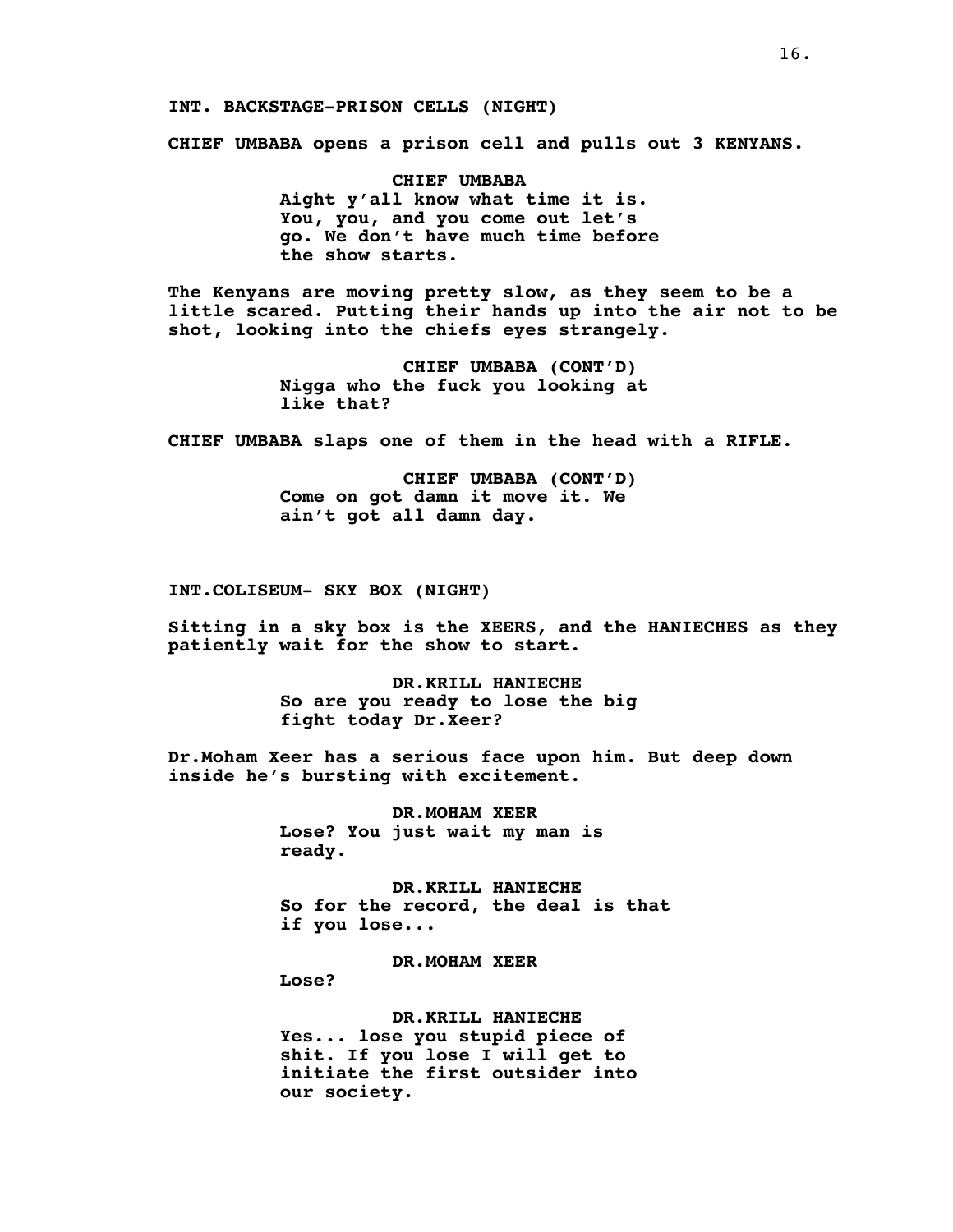**INT. BACKSTAGE-PRISON CELLS (NIGHT)**

**CHIEF UMBABA opens a prison cell and pulls out 3 KENYANS.**

**CHIEF UMBABA Aight y'all know what time it is. You, you, and you come out let's go. We don't have much time before the show starts.**

**The Kenyans are moving pretty slow, as they seem to be a little scared. Putting their hands up into the air not to be shot, looking into the chiefs eyes strangely.**

> **CHIEF UMBABA (CONT'D) Nigga who the fuck you looking at like that?**

**CHIEF UMBABA slaps one of them in the head with a RIFLE.**

**CHIEF UMBABA (CONT'D) Come on got damn it move it. We ain't got all damn day.**

**INT.COLISEUM- SKY BOX (NIGHT)**

**Sitting in a sky box is the XEERS, and the HANIECHES as they patiently wait for the show to start.**

> **DR.KRILL HANIECHE So are you ready to lose the big fight today Dr.Xeer?**

**Dr.Moham Xeer has a serious face upon him. But deep down inside he's bursting with excitement.**

> **DR.MOHAM XEER Lose? You just wait my man is ready.**

**DR.KRILL HANIECHE So for the record, the deal is that if you lose...**

**DR.MOHAM XEER**

**Lose?**

**DR.KRILL HANIECHE Yes... lose you stupid piece of shit. If you lose I will get to initiate the first outsider into our society.**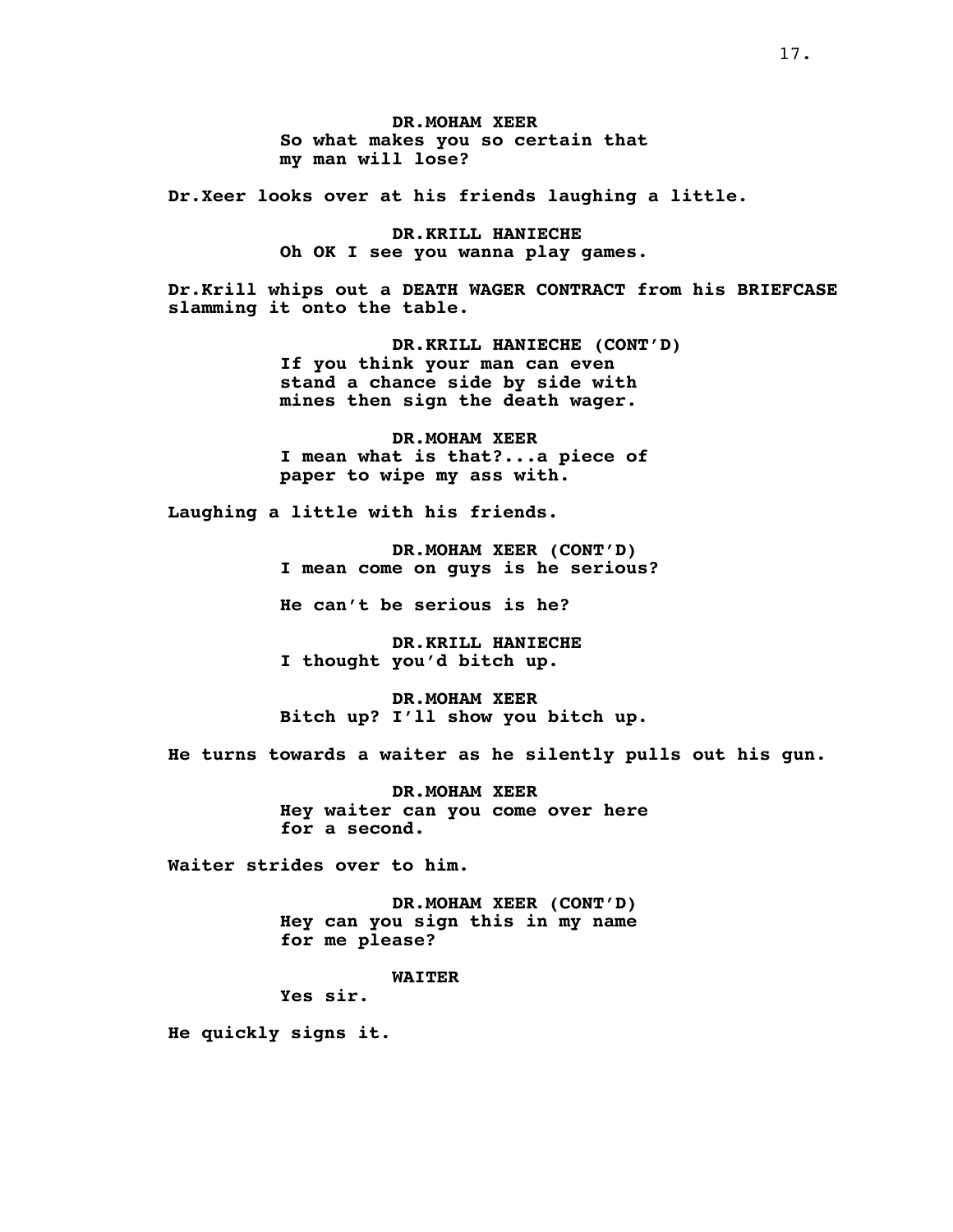**DR.MOHAM XEER So what makes you so certain that my man will lose?**

**Dr.Xeer looks over at his friends laughing a little.**

**DR.KRILL HANIECHE Oh OK I see you wanna play games.**

**Dr.Krill whips out a DEATH WAGER CONTRACT from his BRIEFCASE slamming it onto the table.**

> **DR.KRILL HANIECHE (CONT'D) If you think your man can even stand a chance side by side with mines then sign the death wager.**

**DR.MOHAM XEER I mean what is that?...a piece of paper to wipe my ass with.**

**Laughing a little with his friends.**

**DR.MOHAM XEER (CONT'D) I mean come on guys is he serious?**

**He can't be serious is he?**

**DR.KRILL HANIECHE I thought you'd bitch up.**

**DR.MOHAM XEER Bitch up? I'll show you bitch up.**

**He turns towards a waiter as he silently pulls out his gun.**

**DR.MOHAM XEER Hey waiter can you come over here for a second.**

**Waiter strides over to him.**

**DR.MOHAM XEER (CONT'D) Hey can you sign this in my name for me please?**

**WAITER**

**Yes sir.**

**He quickly signs it.**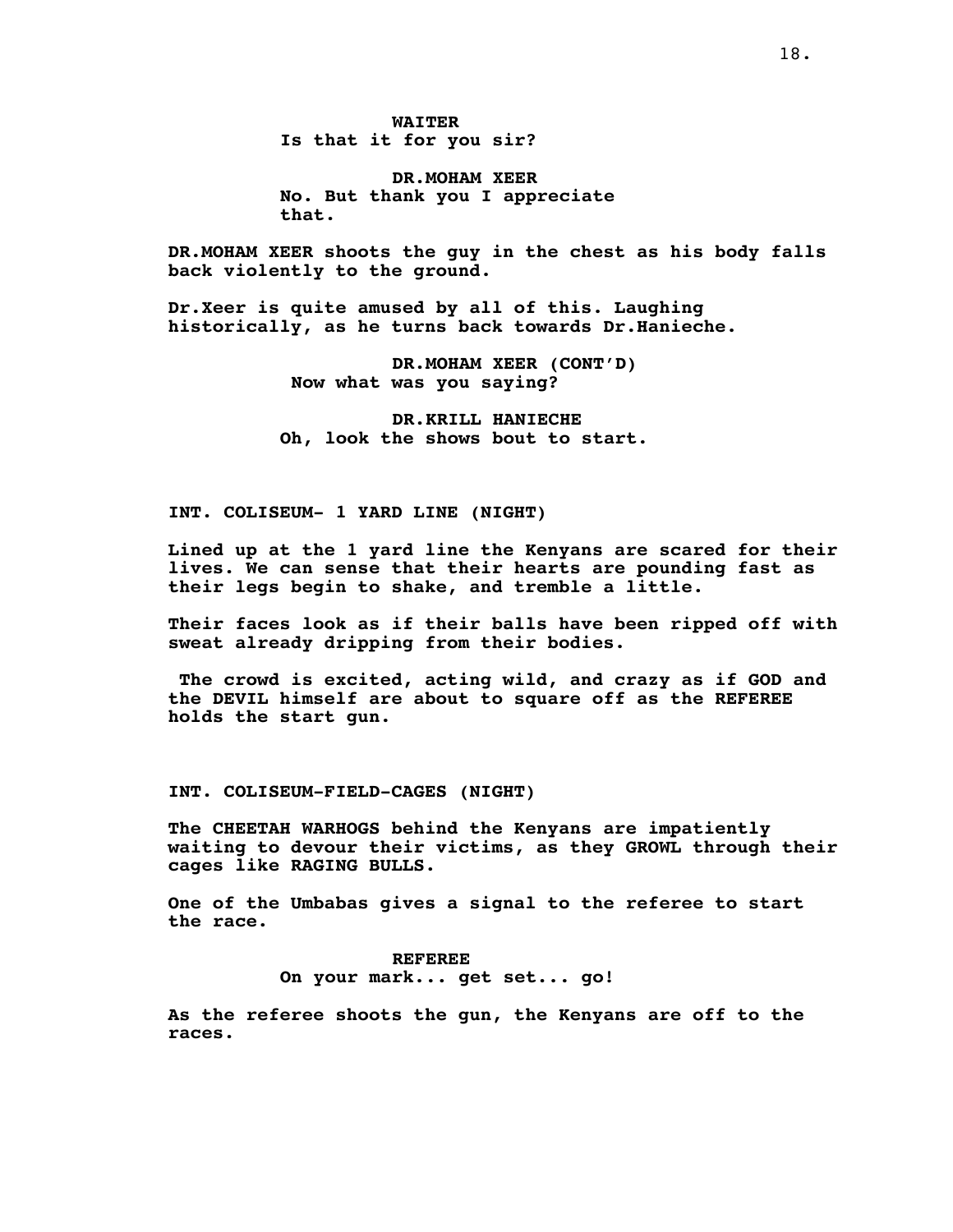**WAITER Is that it for you sir?**

**DR.MOHAM XEER No. But thank you I appreciate that.**

**DR.MOHAM XEER shoots the guy in the chest as his body falls back violently to the ground.**

**Dr.Xeer is quite amused by all of this. Laughing historically, as he turns back towards Dr.Hanieche.**

> **DR.MOHAM XEER (CONT'D) Now what was you saying?**

**DR.KRILL HANIECHE Oh, look the shows bout to start.**

**INT. COLISEUM- 1 YARD LINE (NIGHT)**

**Lined up at the 1 yard line the Kenyans are scared for their lives. We can sense that their hearts are pounding fast as their legs begin to shake, and tremble a little.**

**Their faces look as if their balls have been ripped off with sweat already dripping from their bodies.**

**The crowd is excited, acting wild, and crazy as if GOD and the DEVIL himself are about to square off as the REFEREE holds the start gun.**

**INT. COLISEUM-FIELD-CAGES (NIGHT)**

**The CHEETAH WARHOGS behind the Kenyans are impatiently waiting to devour their victims, as they GROWL through their cages like RAGING BULLS.**

**One of the Umbabas gives a signal to the referee to start the race.**

> **REFEREE On your mark... get set... go!**

**As the referee shoots the gun, the Kenyans are off to the races.**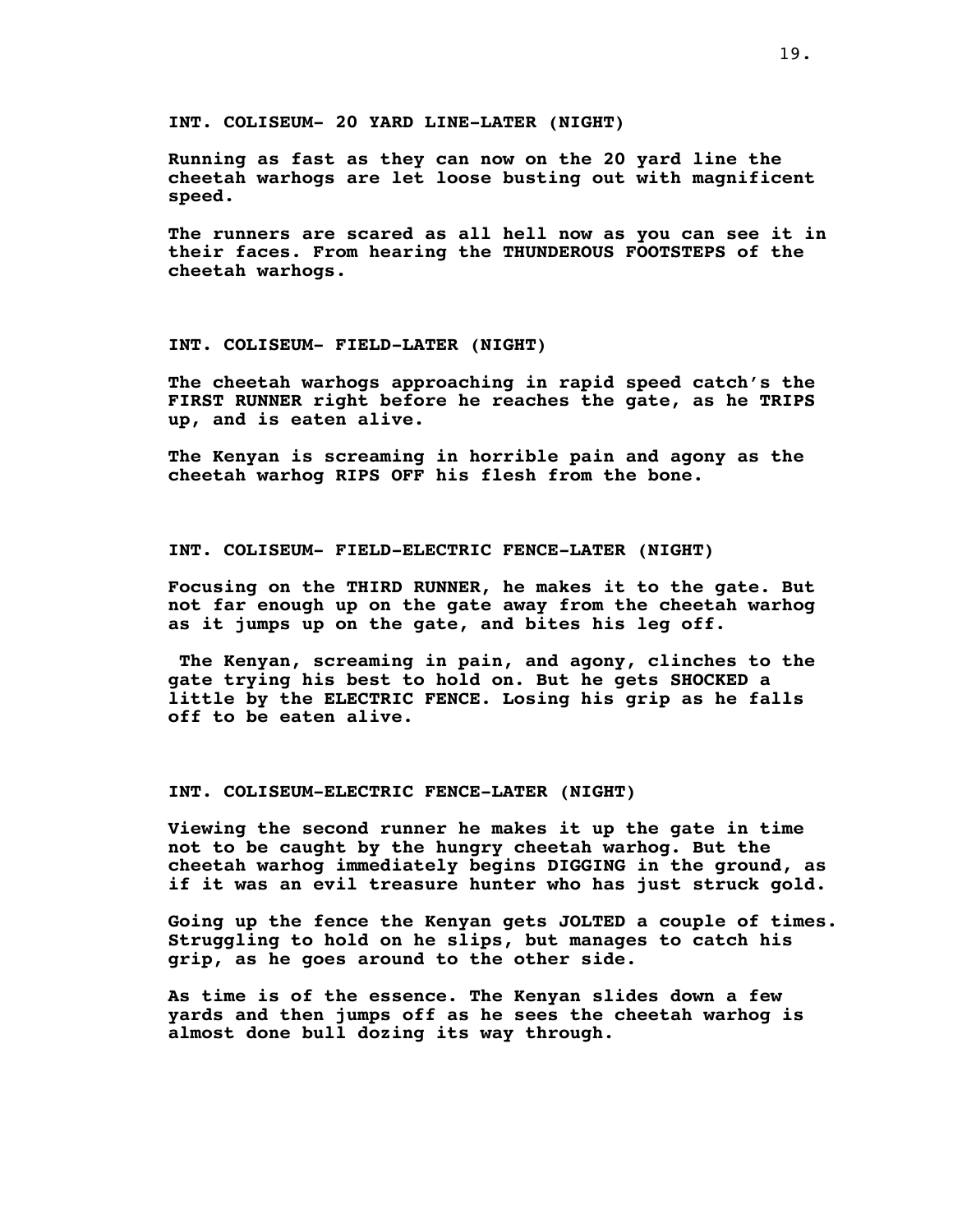**INT. COLISEUM- 20 YARD LINE-LATER (NIGHT)**

**Running as fast as they can now on the 20 yard line the cheetah warhogs are let loose busting out with magnificent speed.**

**The runners are scared as all hell now as you can see it in their faces. From hearing the THUNDEROUS FOOTSTEPS of the cheetah warhogs.**

### **INT. COLISEUM- FIELD-LATER (NIGHT)**

**The cheetah warhogs approaching in rapid speed catch's the FIRST RUNNER right before he reaches the gate, as he TRIPS up, and is eaten alive.**

**The Kenyan is screaming in horrible pain and agony as the cheetah warhog RIPS OFF his flesh from the bone.**

## **INT. COLISEUM- FIELD-ELECTRIC FENCE-LATER (NIGHT)**

**Focusing on the THIRD RUNNER, he makes it to the gate. But not far enough up on the gate away from the cheetah warhog as it jumps up on the gate, and bites his leg off.**

**The Kenyan, screaming in pain, and agony, clinches to the gate trying his best to hold on. But he gets SHOCKED a little by the ELECTRIC FENCE. Losing his grip as he falls off to be eaten alive.**

## **INT. COLISEUM-ELECTRIC FENCE-LATER (NIGHT)**

**Viewing the second runner he makes it up the gate in time not to be caught by the hungry cheetah warhog. But the cheetah warhog immediately begins DIGGING in the ground, as if it was an evil treasure hunter who has just struck gold.**

**Going up the fence the Kenyan gets JOLTED a couple of times. Struggling to hold on he slips, but manages to catch his grip, as he goes around to the other side.**

**As time is of the essence. The Kenyan slides down a few yards and then jumps off as he sees the cheetah warhog is almost done bull dozing its way through.**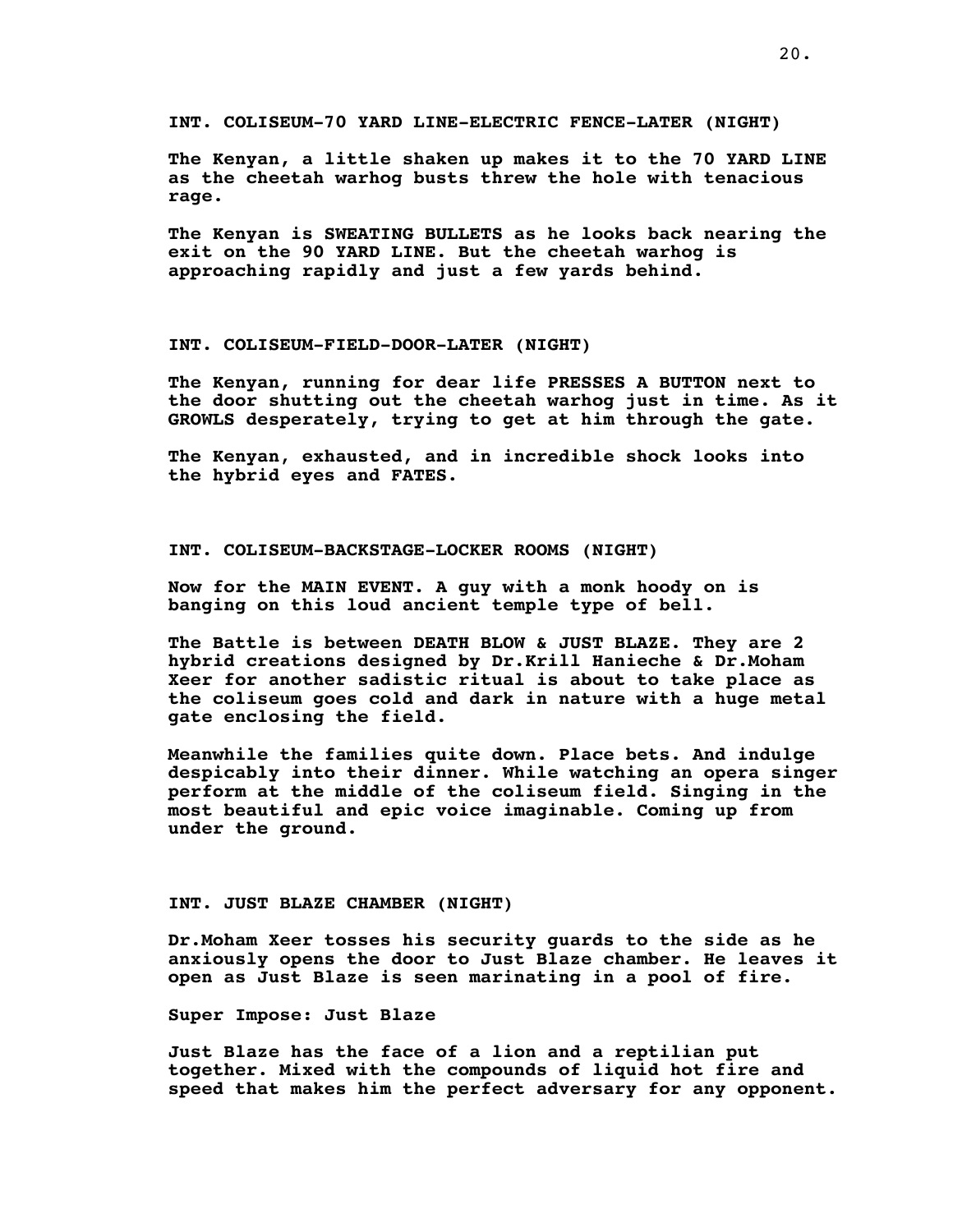**INT. COLISEUM-70 YARD LINE-ELECTRIC FENCE-LATER (NIGHT)**

**The Kenyan, a little shaken up makes it to the 70 YARD LINE as the cheetah warhog busts threw the hole with tenacious rage.**

**The Kenyan is SWEATING BULLETS as he looks back nearing the exit on the 90 YARD LINE. But the cheetah warhog is approaching rapidly and just a few yards behind.**

## **INT. COLISEUM-FIELD-DOOR-LATER (NIGHT)**

**The Kenyan, running for dear life PRESSES A BUTTON next to the door shutting out the cheetah warhog just in time. As it GROWLS desperately, trying to get at him through the gate.**

**The Kenyan**, **exhausted, and in incredible shock looks into the hybrid eyes and FATES.**

## **INT. COLISEUM-BACKSTAGE-LOCKER ROOMS (NIGHT)**

**Now for the MAIN EVENT. A guy with a monk hoody on is banging on this loud ancient temple type of bell.**

**The Battle is between DEATH BLOW & JUST BLAZE. They are 2 hybrid creations designed by Dr.Krill Hanieche & Dr.Moham Xeer for another sadistic ritual is about to take place as the coliseum goes cold and dark in nature with a huge metal gate enclosing the field.**

**Meanwhile the families quite down. Place bets. And indulge despicably into their dinner. While watching an opera singer perform at the middle of the coliseum field. Singing in the most beautiful and epic voice imaginable. Coming up from under the ground.**

#### **INT. JUST BLAZE CHAMBER (NIGHT)**

**Dr.Moham Xeer tosses his security guards to the side as he anxiously opens the door to Just Blaze chamber. He leaves it open as Just Blaze is seen marinating in a pool of fire.**

**Super Impose: Just Blaze**

**Just Blaze has the face of a lion and a reptilian put together. Mixed with the compounds of liquid hot fire and speed that makes him the perfect adversary for any opponent.**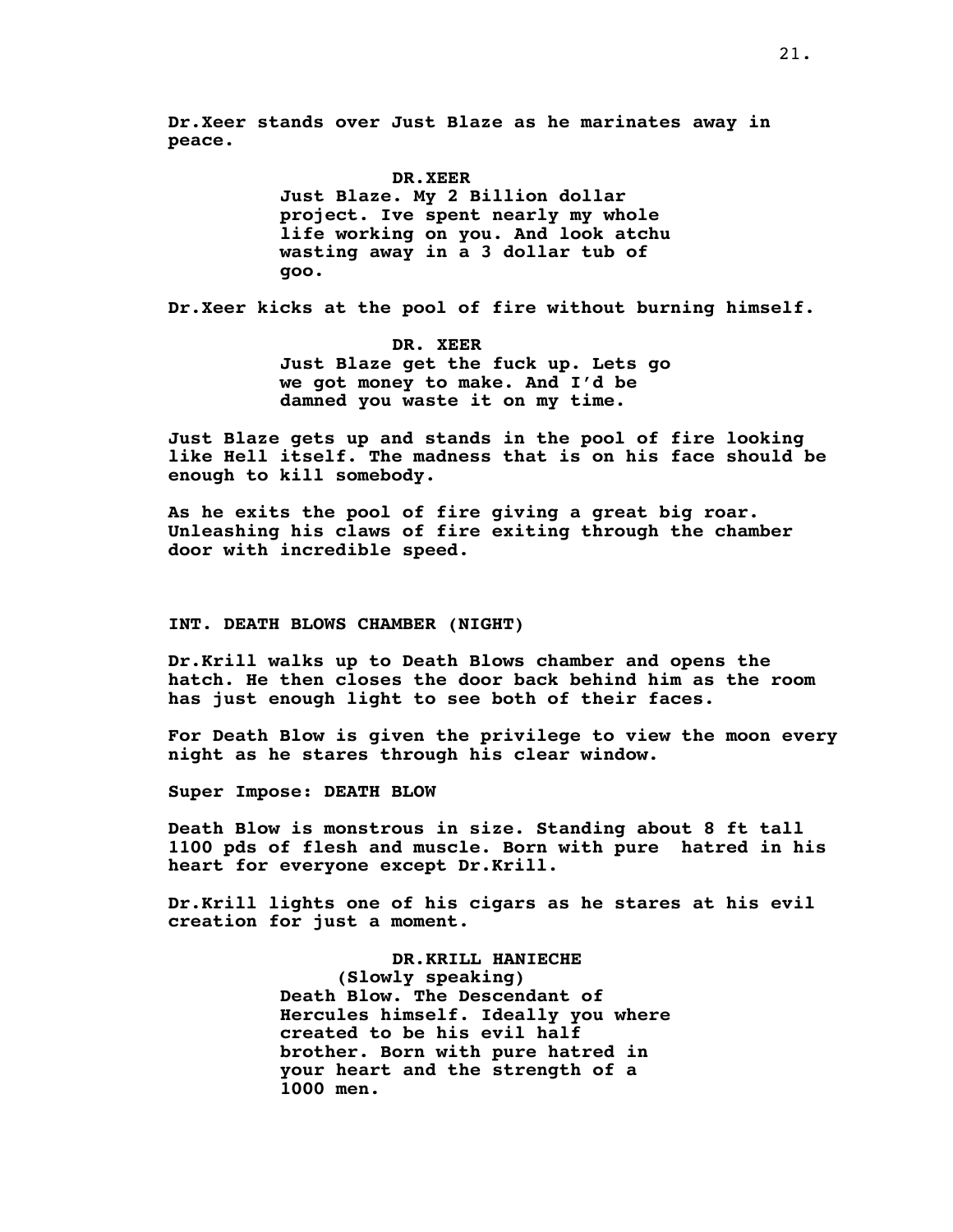**Dr.Xeer stands over Just Blaze as he marinates away in peace.**

### **DR.XEER**

**Just Blaze. My 2 Billion dollar project. Ive spent nearly my whole life working on you. And look atchu wasting away in a 3 dollar tub of goo.**

**Dr.Xeer kicks at the pool of fire without burning himself.**

**DR. XEER Just Blaze get the fuck up. Lets go we got money to make. And I'd be damned you waste it on my time.**

**Just Blaze gets up and stands in the pool of fire looking like Hell itself. The madness that is on his face should be enough to kill somebody.**

**As he exits the pool of fire giving a great big roar. Unleashing his claws of fire exiting through the chamber door with incredible speed.**

## **INT. DEATH BLOWS CHAMBER (NIGHT)**

**Dr.Krill walks up to Death Blows chamber and opens the hatch. He then closes the door back behind him as the room has just enough light to see both of their faces.**

**For Death Blow is given the privilege to view the moon every night as he stares through his clear window.**

**Super Impose: DEATH BLOW**

**Death Blow is monstrous in size. Standing about 8 ft tall 1100 pds of flesh and muscle. Born with pure hatred in his heart for everyone except Dr.Krill.**

**Dr.Krill lights one of his cigars as he stares at his evil creation for just a moment.**

> **DR.KRILL HANIECHE (Slowly speaking) Death Blow. The Descendant of Hercules himself. Ideally you where created to be his evil half brother. Born with pure hatred in your heart and the strength of a 1000 men.**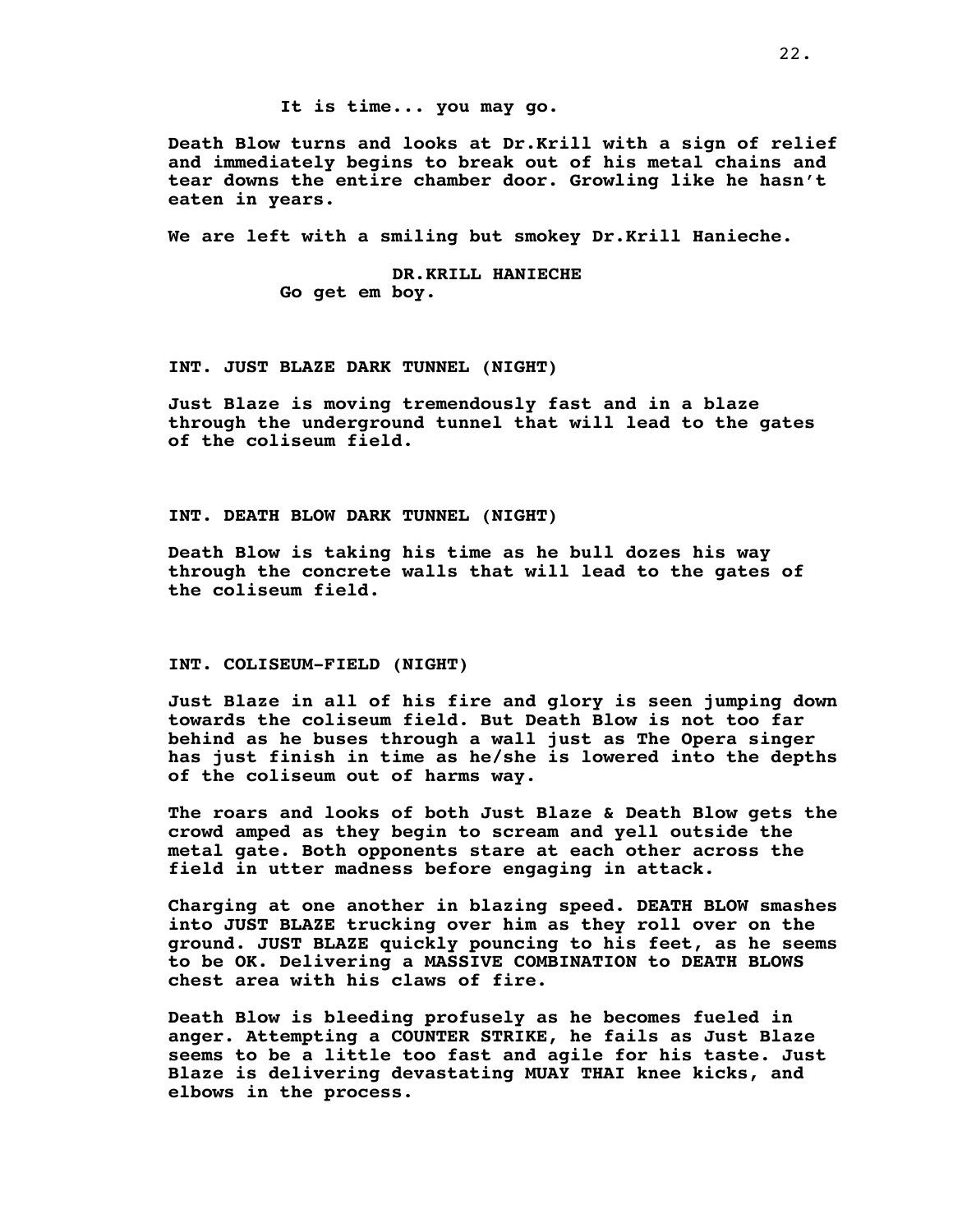**It is time... you may go.**

**Death Blow turns and looks at Dr.Krill with a sign of relief and immediately begins to break out of his metal chains and tear downs the entire chamber door. Growling like he hasn't eaten in years.**

**We are left with a smiling but smokey Dr.Krill Hanieche.**

**DR.KRILL HANIECHE Go get em boy.**

## **INT. JUST BLAZE DARK TUNNEL (NIGHT)**

**Just Blaze is moving tremendously fast and in a blaze through the underground tunnel that will lead to the gates of the coliseum field.**

**INT. DEATH BLOW DARK TUNNEL (NIGHT)**

**Death Blow is taking his time as he bull dozes his way through the concrete walls that will lead to the gates of the coliseum field.**

#### **INT. COLISEUM-FIELD (NIGHT)**

**Just Blaze in all of his fire and glory is seen jumping down towards the coliseum field. But Death Blow is not too far behind as he buses through a wall just as The Opera singer has just finish in time as he/she is lowered into the depths of the coliseum out of harms way.**

**The roars and looks of both Just Blaze & Death Blow gets the crowd amped as they begin to scream and yell outside the metal gate. Both opponents stare at each other across the field in utter madness before engaging in attack.**

**Charging at one another in blazing speed. DEATH BLOW smashes into JUST BLAZE trucking over him as they roll over on the ground. JUST BLAZE quickly pouncing to his feet, as he seems to be OK. Delivering a MASSIVE COMBINATION to DEATH BLOWS chest area with his claws of fire.**

**Death Blow is bleeding profusely as he becomes fueled in anger. Attempting a COUNTER STRIKE, he fails as Just Blaze seems to be a little too fast and agile for his taste. Just Blaze is delivering devastating MUAY THAI knee kicks, and elbows in the process.**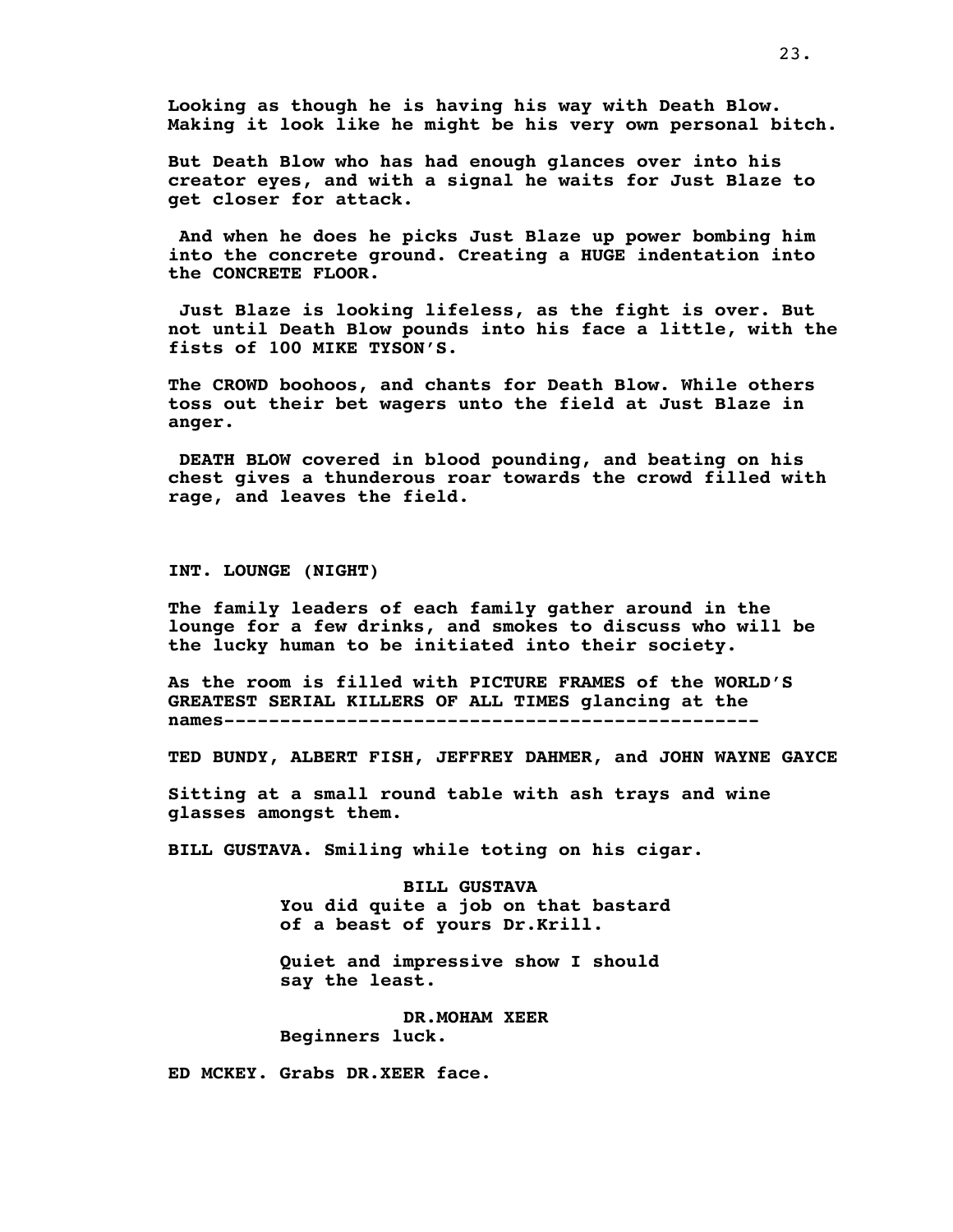**Looking as though he is having his way with Death Blow. Making it look like he might be his very own personal bitch.**

**But Death Blow who has had enough glances over into his creator eyes, and with a signal he waits for Just Blaze to get closer for attack.**

**And when he does he picks Just Blaze up power bombing him into the concrete ground. Creating a HUGE indentation into the CONCRETE FLOOR.**

**Just Blaze is looking lifeless, as the fight is over. But not until Death Blow pounds into his face a little, with the fists of 100 MIKE TYSON'S.**

**The CROWD boohoos, and chants for Death Blow. While others toss out their bet wagers unto the field at Just Blaze in anger.**

**DEATH BLOW covered in blood pounding, and beating on his chest gives a thunderous roar towards the crowd filled with rage, and leaves the field.**

**INT. LOUNGE (NIGHT)**

**The family leaders of each family gather around in the lounge for a few drinks, and smokes to discuss who will be the lucky human to be initiated into their society.**

**As the room is filled with PICTURE FRAMES of the WORLD'S GREATEST SERIAL KILLERS OF ALL TIMES glancing at the names------------------------------------------------**

**TED BUNDY, ALBERT FISH, JEFFREY DAHMER, and JOHN WAYNE GAYCE**

**Sitting at a small round table with ash trays and wine glasses amongst them.**

**BILL GUSTAVA. Smiling while toting on his cigar.**

**BILL GUSTAVA You did quite a job on that bastard of a beast of yours Dr.Krill.**

**Quiet and impressive show I should say the least.**

**DR.MOHAM XEER Beginners luck.**

**ED MCKEY. Grabs DR.XEER face.**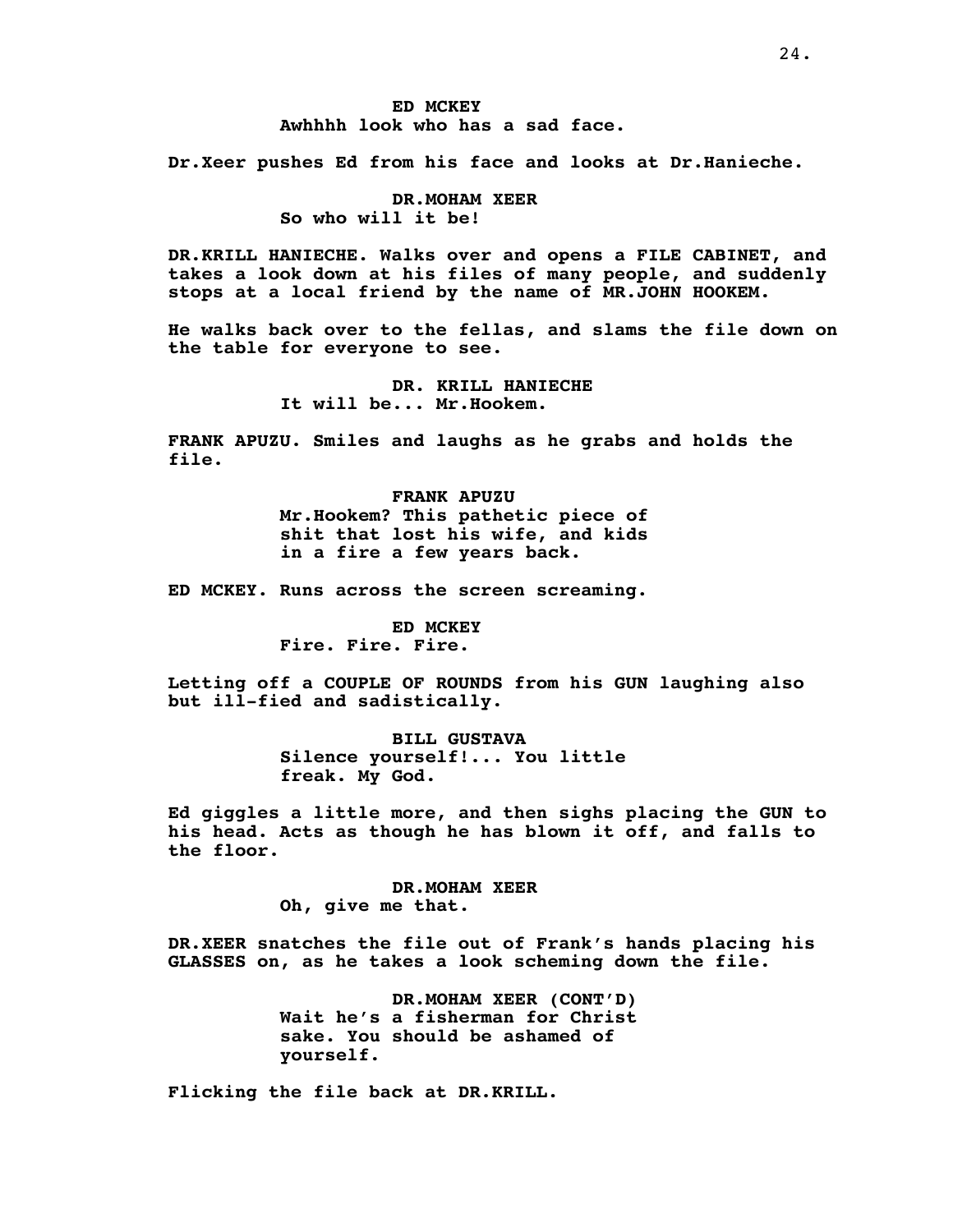# **ED MCKEY Awhhhh look who has a sad face.**

**Dr.Xeer pushes Ed from his face and looks at Dr.Hanieche.**

# **DR.MOHAM XEER So who will it be!**

**DR.KRILL HANIECHE. Walks over and opens a FILE CABINET, and takes a look down at his files of many people, and suddenly stops at a local friend by the name of MR.JOHN HOOKEM.**

**He walks back over to the fellas, and slams the file down on the table for everyone to see.**

> **DR. KRILL HANIECHE It will be... Mr.Hookem.**

**FRANK APUZU. Smiles and laughs as he grabs and holds the file.**

> **FRANK APUZU Mr.Hookem? This pathetic piece of shit that lost his wife, and kids in a fire a few years back.**

**ED MCKEY. Runs across the screen screaming.**

**ED MCKEY Fire. Fire. Fire.**

**Letting off a COUPLE OF ROUNDS from his GUN laughing also but ill-fied and sadistically.**

> **BILL GUSTAVA Silence yourself!... You little freak. My God.**

**Ed giggles a little more, and then sighs placing the GUN to his head. Acts as though he has blown it off, and falls to the floor.**

> **DR.MOHAM XEER Oh, give me that.**

**DR.XEER snatches the file out of Frank's hands placing his GLASSES on, as he takes a look scheming down the file.**

> **DR.MOHAM XEER (CONT'D) Wait he's a fisherman for Christ sake. You should be ashamed of yourself.**

**Flicking the file back at DR.KRILL.**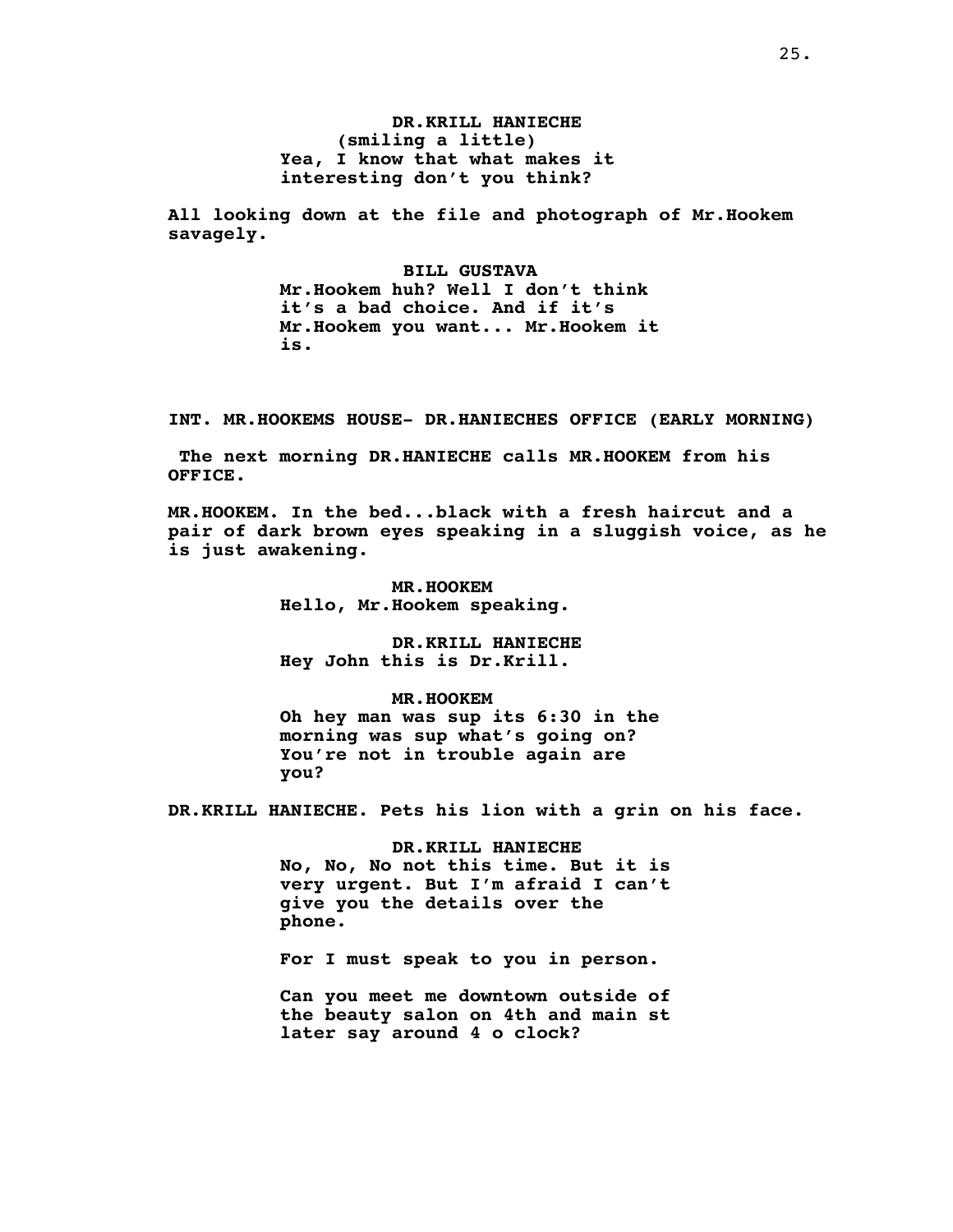**DR.KRILL HANIECHE (smiling a little) Yea, I know that what makes it interesting don't you think?**

**All looking down at the file and photograph of Mr.Hookem savagely.**

> **BILL GUSTAVA Mr.Hookem huh? Well I don't think it's a bad choice. And if it's Mr.Hookem you want... Mr.Hookem it is.**

**INT. MR.HOOKEMS HOUSE- DR.HANIECHES OFFICE (EARLY MORNING)**

**The next morning DR.HANIECHE calls MR.HOOKEM from his OFFICE.**

**MR.HOOKEM. In the bed...black with a fresh haircut and a pair of dark brown eyes speaking in a sluggish voice, as he is just awakening.**

> **MR.HOOKEM Hello, Mr.Hookem speaking.**

**DR.KRILL HANIECHE Hey John this is Dr.Krill.**

**MR.HOOKEM Oh hey man was sup its 6:30 in the morning was sup what's going on? You're not in trouble again are you?**

**DR.KRILL HANIECHE. Pets his lion with a grin on his face.**

**DR.KRILL HANIECHE No, No, No not this time. But it is very urgent. But I'm afraid I can't give you the details over the phone.**

**For I must speak to you in person.**

**Can you meet me downtown outside of the beauty salon on 4th and main st later say around 4 o clock?**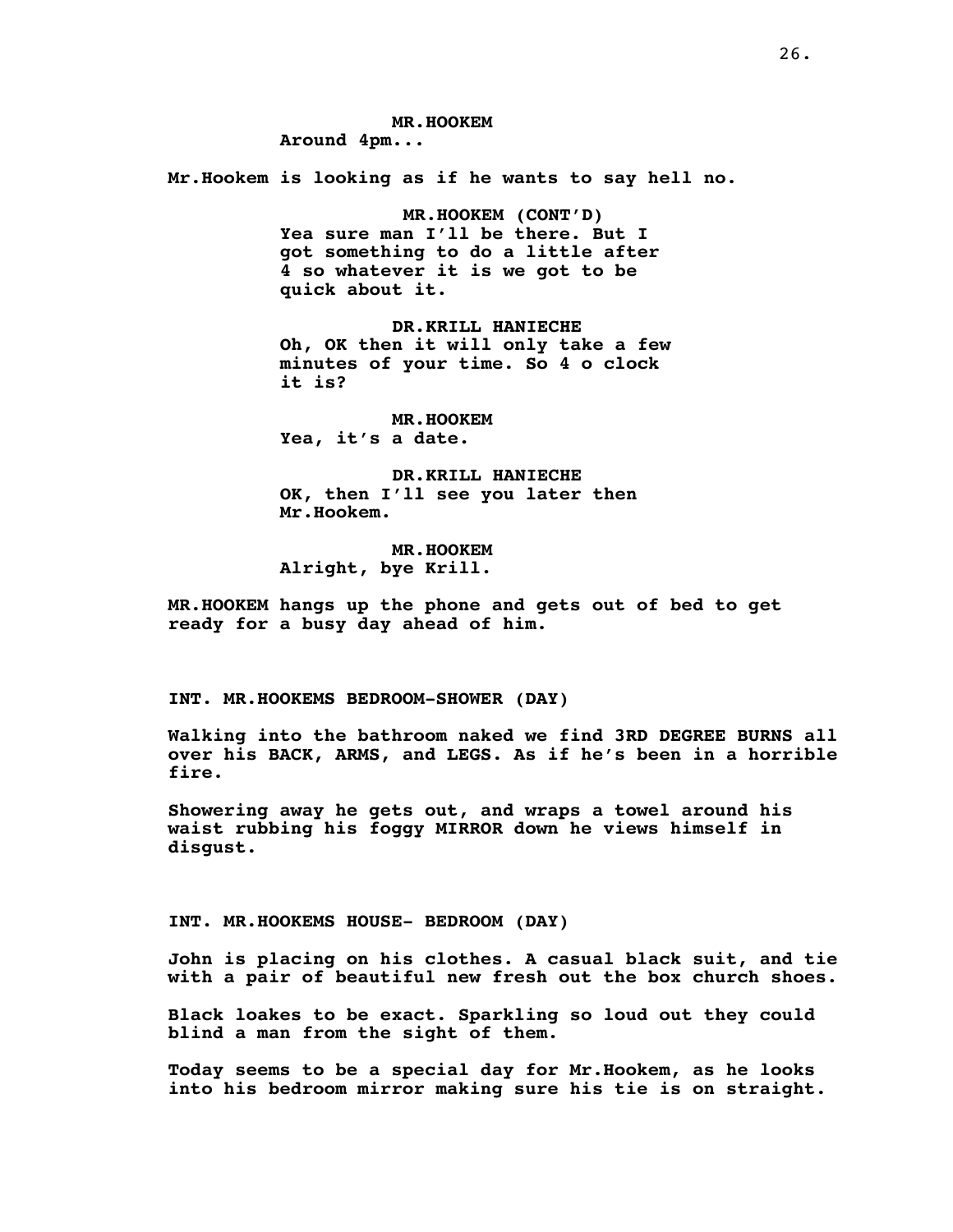**MR.HOOKEM Around 4pm... Mr.Hookem is looking as if he wants to say hell no. MR.HOOKEM (CONT'D) Yea sure man I'll be there. But I got something to do a little after 4 so whatever it is we got to be quick about it. DR.KRILL HANIECHE Oh, OK then it will only take a few minutes of your time. So 4 o clock it is? MR.HOOKEM Yea, it's a date. DR.KRILL HANIECHE OK, then I'll see you later then Mr.Hookem. MR.HOOKEM Alright, bye Krill. MR.HOOKEM hangs up the phone and gets out of bed to get**

**INT. MR.HOOKEMS BEDROOM-SHOWER (DAY)**

**ready for a busy day ahead of him.**

**Walking into the bathroom naked we find 3RD DEGREE BURNS all over his BACK, ARMS, and LEGS. As if he's been in a horrible fire.**

**Showering away he gets out, and wraps a towel around his waist rubbing his foggy MIRROR down he views himself in disgust.**

**INT. MR.HOOKEMS HOUSE- BEDROOM (DAY)**

**John is placing on his clothes. A casual black suit, and tie with a pair of beautiful new fresh out the box church shoes.**

**Black loakes to be exact. Sparkling so loud out they could blind a man from the sight of them.**

**Today seems to be a special day for Mr.Hookem, as he looks into his bedroom mirror making sure his tie is on straight.**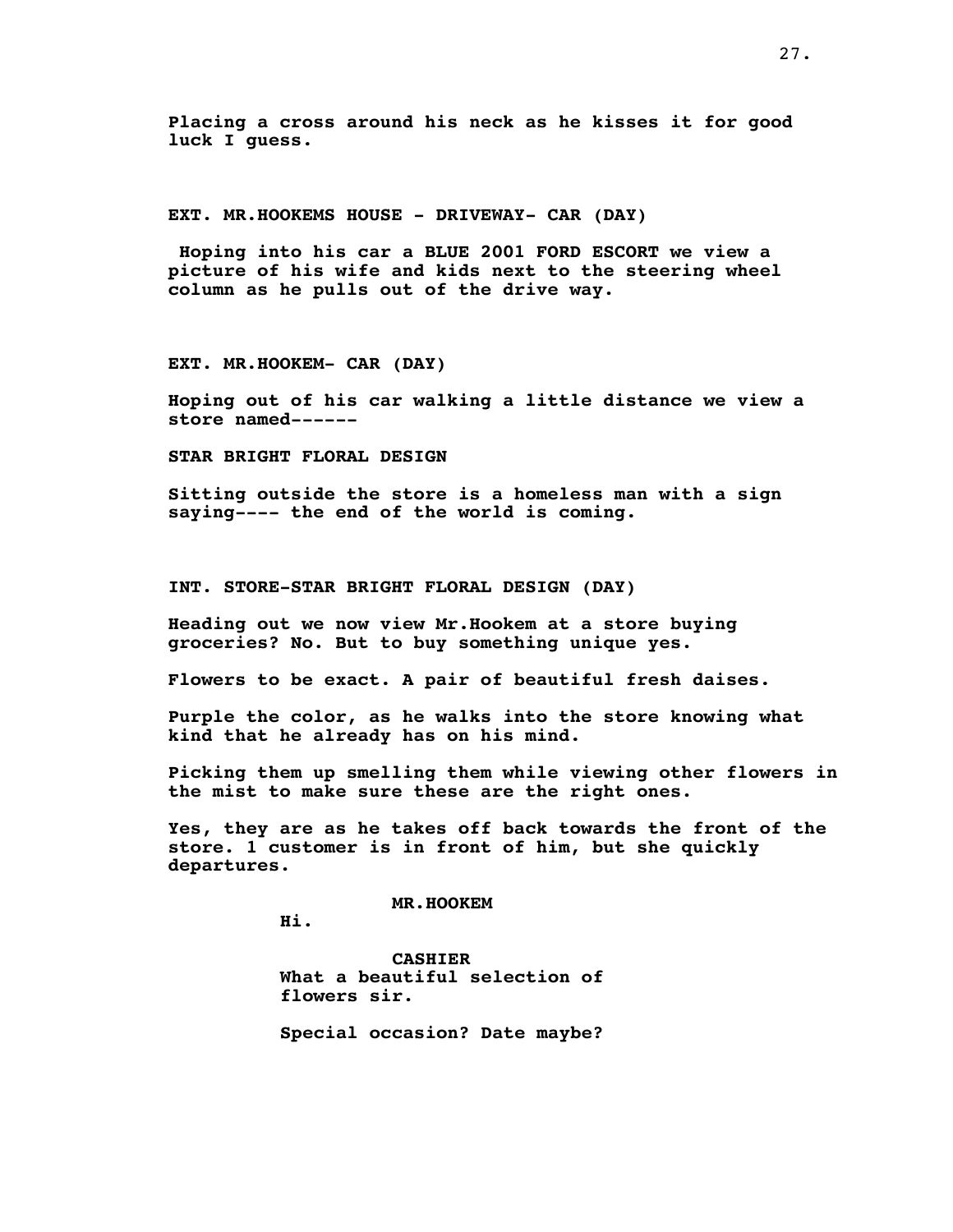**Placing a cross around his neck as he kisses it for good luck I guess.**

**EXT. MR.HOOKEMS HOUSE - DRIVEWAY- CAR (DAY)**

**Hoping into his car a BLUE 2001 FORD ESCORT we view a picture of his wife and kids next to the steering wheel column as he pulls out of the drive way.**

**EXT. MR.HOOKEM- CAR (DAY)**

**Hoping out of his car walking a little distance we view a store named------**

**STAR BRIGHT FLORAL DESIGN**

**Sitting outside the store is a homeless man with a sign saying---- the end of the world is coming.**

**INT. STORE-STAR BRIGHT FLORAL DESIGN (DAY)**

**Heading out we now view Mr.Hookem at a store buying groceries? No. But to buy something unique yes.**

**Flowers to be exact. A pair of beautiful fresh daises.**

**Purple the color, as he walks into the store knowing what kind that he already has on his mind.**

**Picking them up smelling them while viewing other flowers in the mist to make sure these are the right ones.**

**Yes, they are as he takes off back towards the front of the store. 1 customer is in front of him, but she quickly departures.**

**MR.HOOKEM**

**Hi.**

**CASHIER What a beautiful selection of flowers sir.**

**Special occasion? Date maybe?**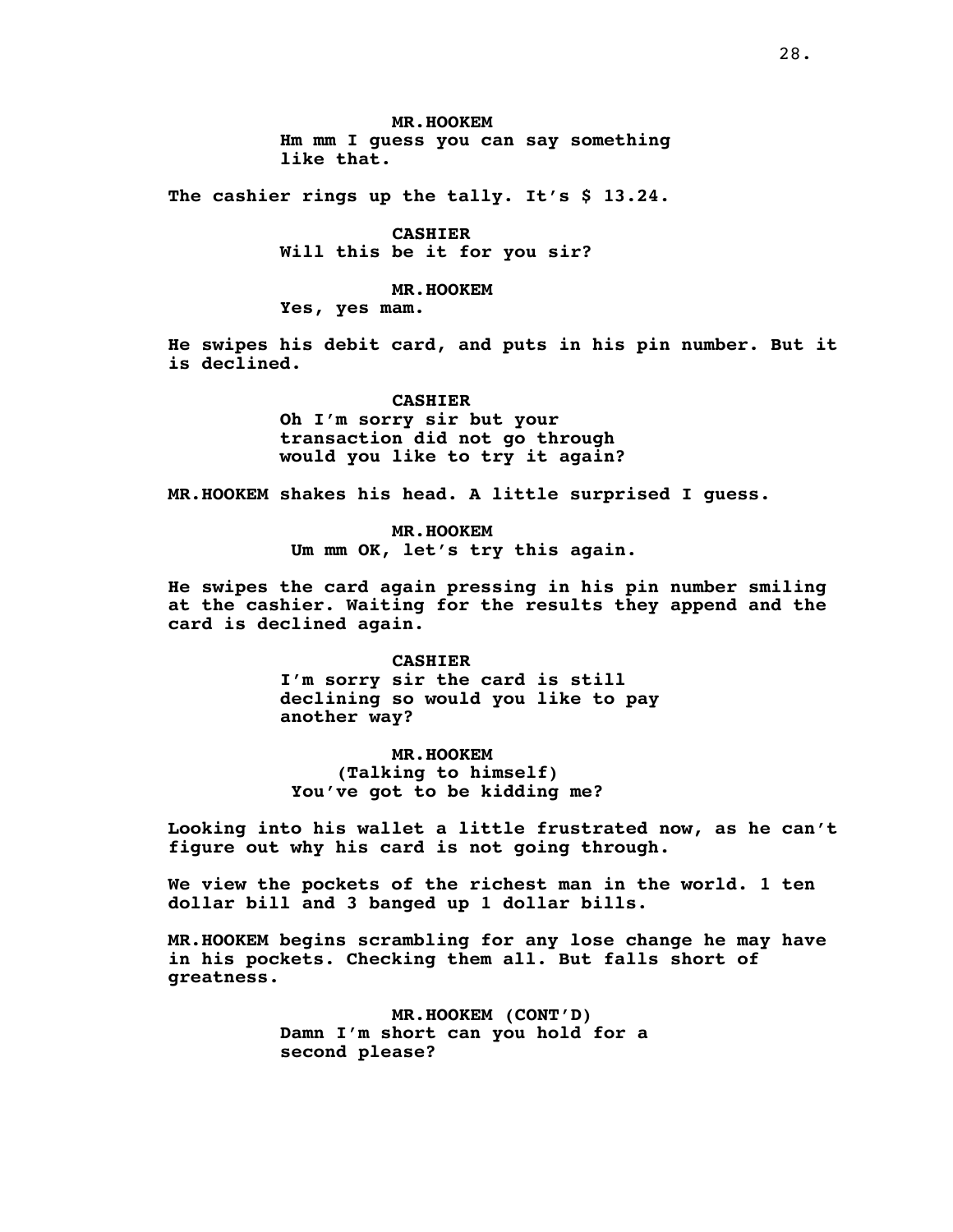**MR.HOOKEM Hm mm I guess you can say something like that.**

**The cashier rings up the tally. It's \$ 13.24.**

**CASHIER Will this be it for you sir?**

**MR.HOOKEM**

**Yes, yes mam.**

**He swipes his debit card, and puts in his pin number. But it is declined.**

> **CASHIER Oh I'm sorry sir but your transaction did not go through would you like to try it again?**

**MR.HOOKEM shakes his head. A little surprised I guess.**

**MR.HOOKEM Um mm OK, let's try this again.**

**He swipes the card again pressing in his pin number smiling at the cashier. Waiting for the results they append and the card is declined again.**

> **CASHIER I'm sorry sir the card is still declining so would you like to pay another way?**

**MR.HOOKEM (Talking to himself) You've got to be kidding me?**

**Looking into his wallet a little frustrated now, as he can't figure out why his card is not going through.**

**We view the pockets of the richest man in the world. 1 ten dollar bill and 3 banged up 1 dollar bills.**

**MR.HOOKEM begins scrambling for any lose change he may have in his pockets. Checking them all. But falls short of greatness.**

> **MR.HOOKEM (CONT'D) Damn I'm short can you hold for a second please?**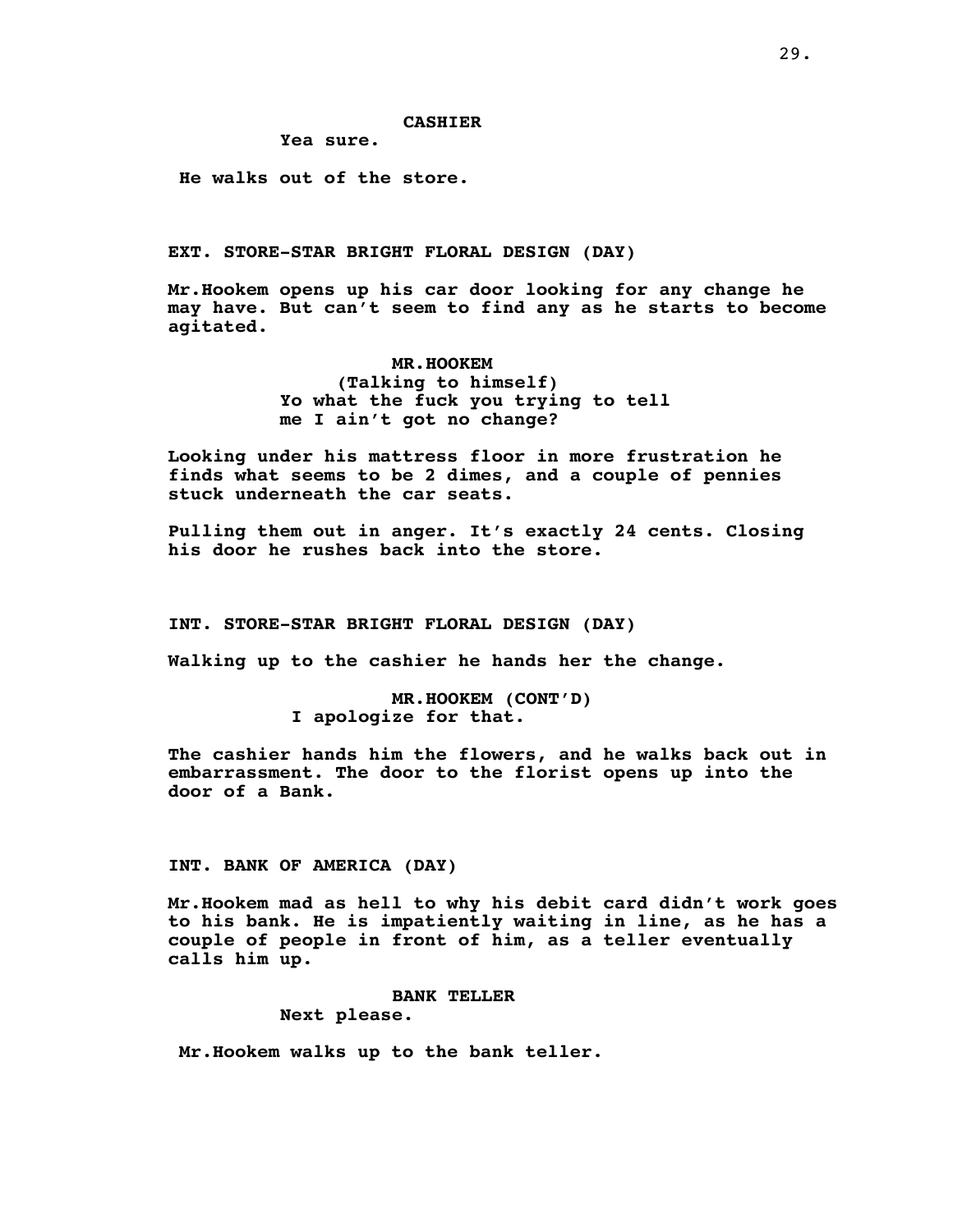**Yea sure.**

**He walks out of the store.**

**EXT. STORE-STAR BRIGHT FLORAL DESIGN (DAY)**

**Mr.Hookem opens up his car door looking for any change he may have. But can't seem to find any as he starts to become agitated.**

> **MR.HOOKEM (Talking to himself) Yo what the fuck you trying to tell me I ain't got no change?**

**Looking under his mattress floor in more frustration he finds what seems to be 2 dimes, and a couple of pennies stuck underneath the car seats.**

**Pulling them out in anger. It's exactly 24 cents. Closing his door he rushes back into the store.**

**INT. STORE-STAR BRIGHT FLORAL DESIGN (DAY)**

**Walking up to the cashier he hands her the change.**

**MR.HOOKEM (CONT'D) I apologize for that.**

**The cashier hands him the flowers, and he walks back out in embarrassment. The door to the florist opens up into the door of a Bank.**

### **INT. BANK OF AMERICA (DAY)**

**Mr.Hookem mad as hell to why his debit card didn't work goes to his bank. He is impatiently waiting in line, as he has a couple of people in front of him, as a teller eventually calls him up.**

### **BANK TELLER**

**Next please.**

**Mr.Hookem walks up to the bank teller.**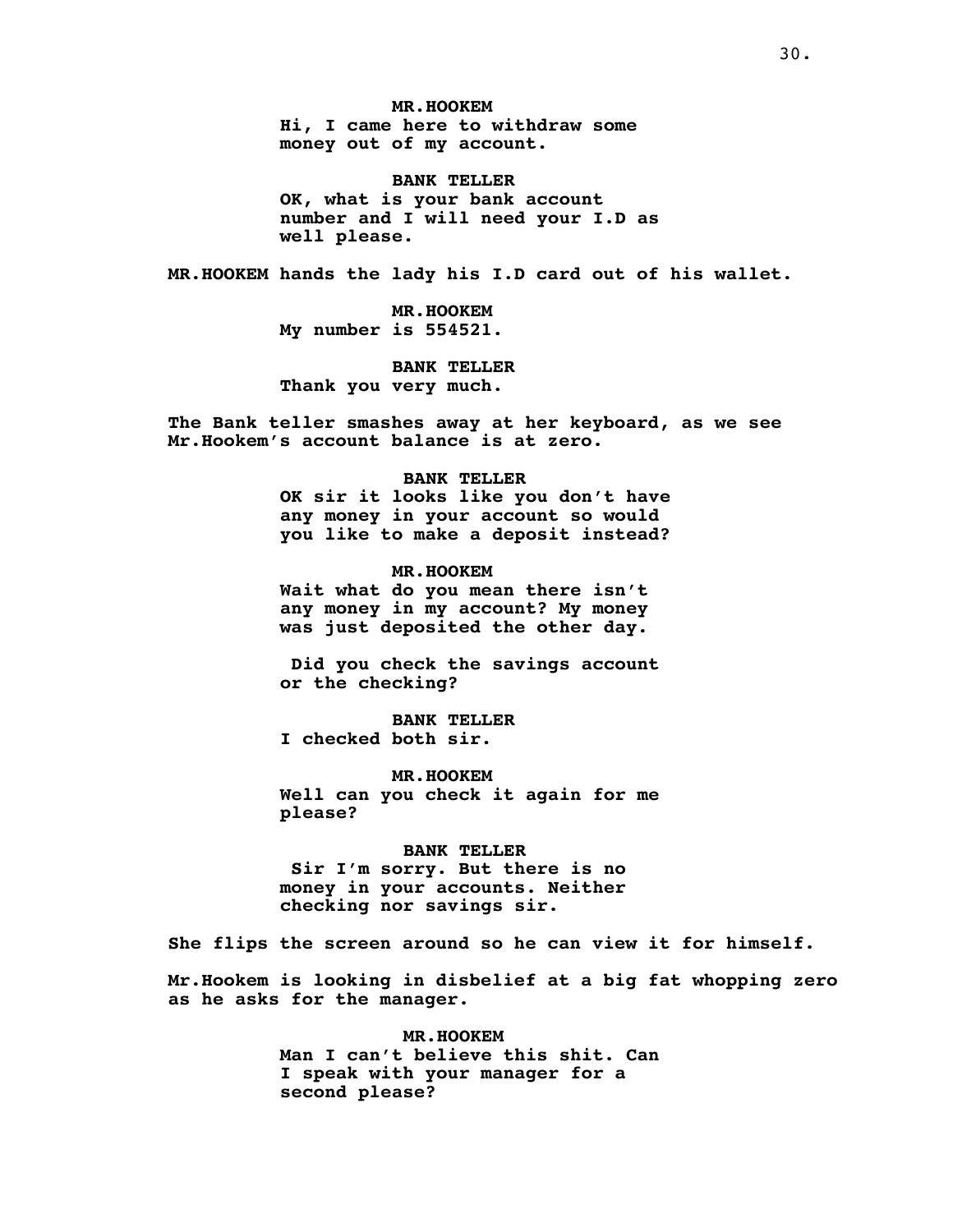**MR.HOOKEM Hi, I came here to withdraw some money out of my account.**

**BANK TELLER OK, what is your bank account number and I will need your I.D as well please.**

**MR.HOOKEM hands the lady his I.D card out of his wallet.**

**MR.HOOKEM My number is 554521.**

**BANK TELLER Thank you very much.**

**The Bank teller smashes away at her keyboard, as we see Mr.Hookem's account balance is at zero.**

## **BANK TELLER**

**OK sir it looks like you don't have any money in your account so would you like to make a deposit instead?**

**MR.HOOKEM Wait what do you mean there isn't any money in my account? My money was just deposited the other day.**

**Did you check the savings account or the checking?**

**BANK TELLER I checked both sir.**

**MR.HOOKEM Well can you check it again for me please?**

**BANK TELLER Sir I'm sorry. But there is no money in your accounts. Neither**

**checking nor savings sir.**

**She flips the screen around so he can view it for himself.**

**Mr.Hookem is looking in disbelief at a big fat whopping zero as he asks for the manager.**

> **MR.HOOKEM Man I can't believe this shit. Can I speak with your manager for a second please?**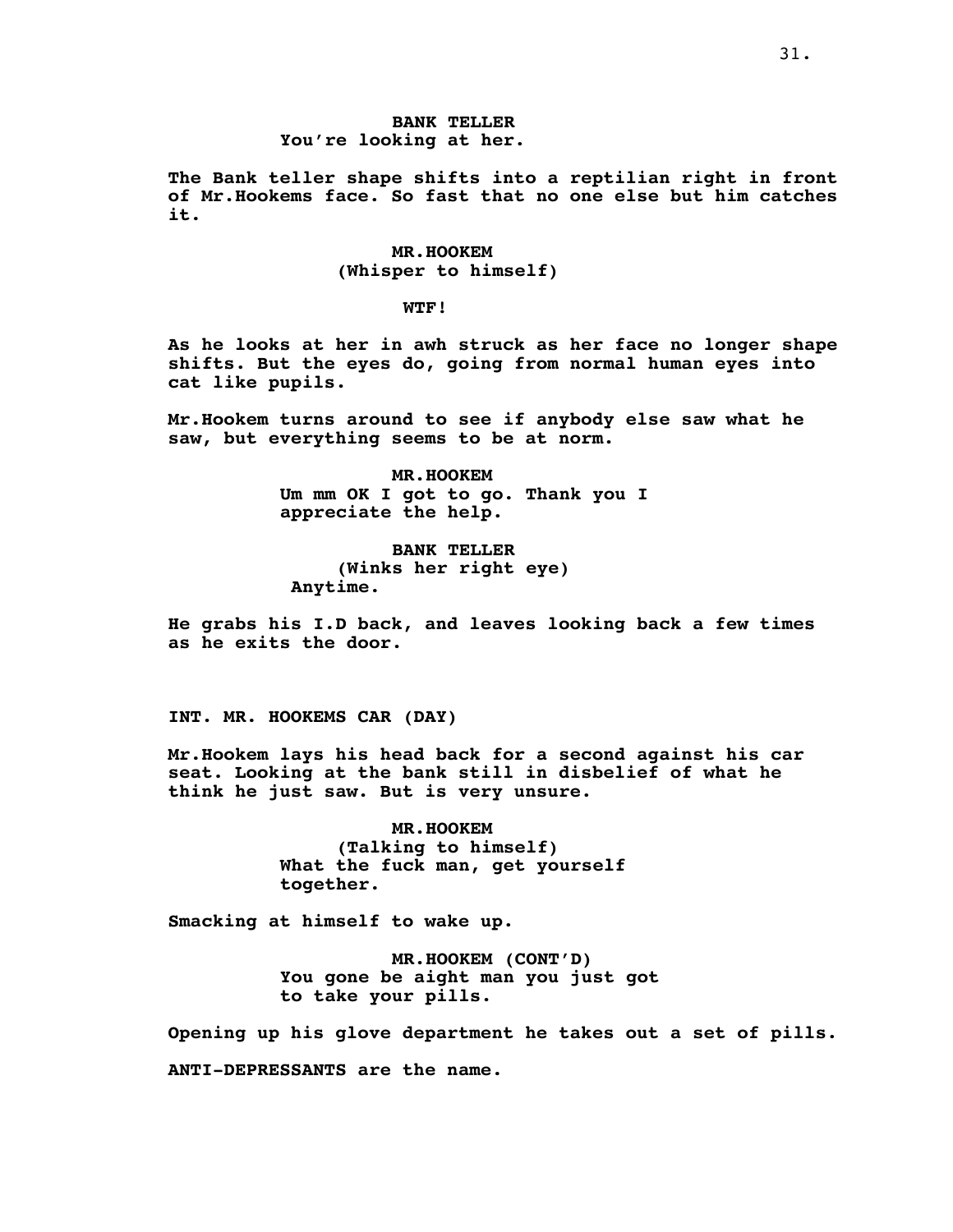# **BANK TELLER You're looking at her.**

**The Bank teller shape shifts into a reptilian right in front of Mr.Hookems face. So fast that no one else but him catches it.**

> **MR.HOOKEM (Whisper to himself)**

> > **WTF!**

**As he looks at her in awh struck as her face no longer shape shifts. But the eyes do, going from normal human eyes into cat like pupils.**

**Mr.Hookem turns around to see if anybody else saw what he saw, but everything seems to be at norm.**

> **MR.HOOKEM Um mm OK I got to go. Thank you I appreciate the help.**

**BANK TELLER (Winks her right eye) Anytime.**

**He grabs his I.D back, and leaves looking back a few times as he exits the door.**

**INT. MR. HOOKEMS CAR (DAY)**

**Mr.Hookem lays his head back for a second against his car seat. Looking at the bank still in disbelief of what he think he just saw. But is very unsure.**

> **MR.HOOKEM (Talking to himself) What the fuck man, get yourself together.**

**Smacking at himself to wake up.**

**MR.HOOKEM (CONT'D) You gone be aight man you just got to take your pills.**

**Opening up his glove department he takes out a set of pills.**

**ANTI-DEPRESSANTS are the name.**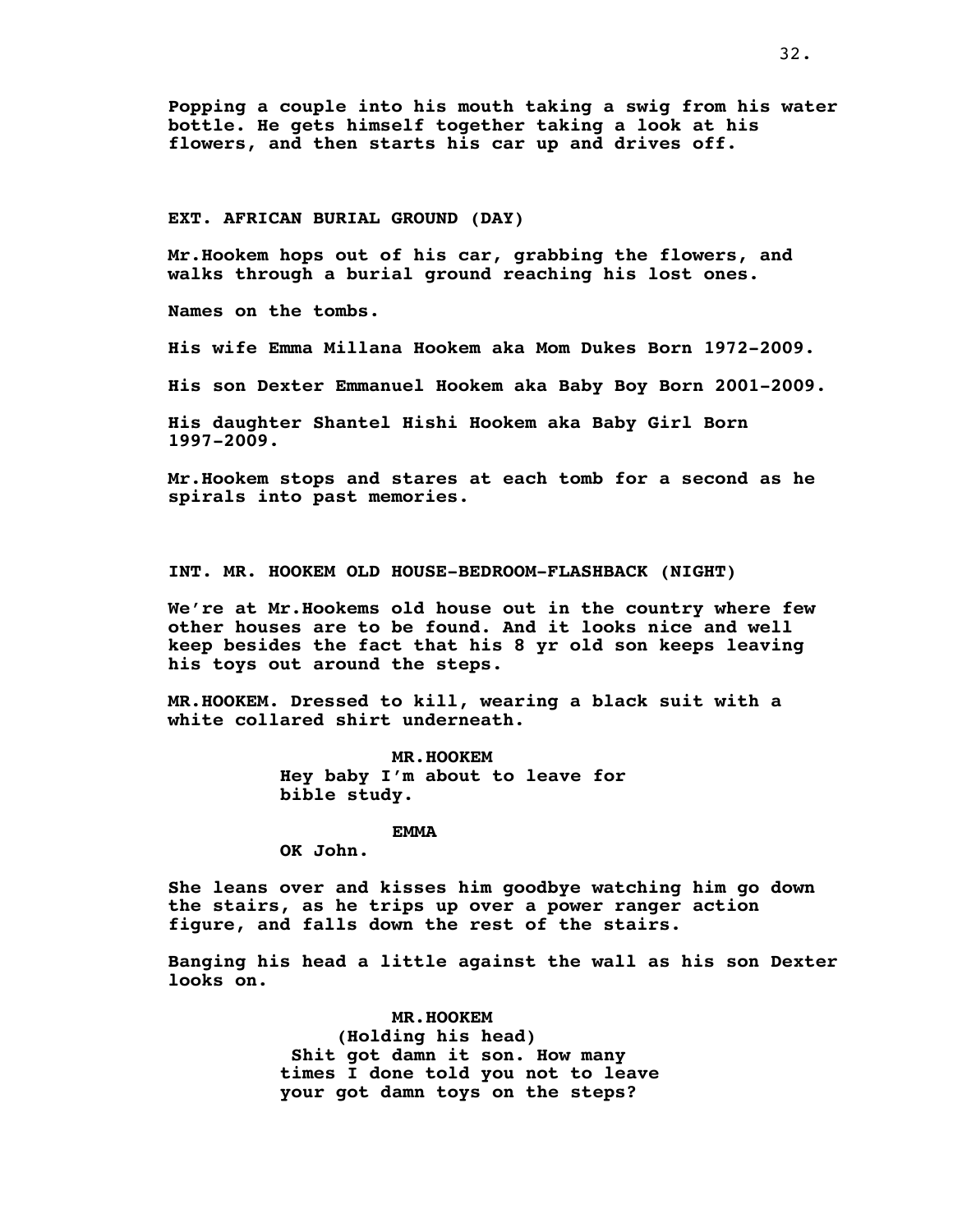**Popping a couple into his mouth taking a swig from his water bottle. He gets himself together taking a look at his flowers, and then starts his car up and drives off.**

#### **EXT. AFRICAN BURIAL GROUND (DAY)**

**Mr.Hookem hops out of his car, grabbing the flowers, and walks through a burial ground reaching his lost ones.**

**Names on the tombs.**

**His wife Emma Millana Hookem aka Mom Dukes Born 1972-2009.**

**His son Dexter Emmanuel Hookem aka Baby Boy Born 2001-2009.**

**His daughter Shantel Hishi Hookem aka Baby Girl Born 1997-2009.**

**Mr.Hookem stops and stares at each tomb for a second as he spirals into past memories.**

**INT. MR. HOOKEM OLD HOUSE-BEDROOM-FLASHBACK (NIGHT)**

**We're at Mr.Hookems old house out in the country where few other houses are to be found. And it looks nice and well keep besides the fact that his 8 yr old son keeps leaving his toys out around the steps.**

**MR.HOOKEM. Dressed to kill, wearing a black suit with a white collared shirt underneath.**

> **MR.HOOKEM Hey baby I'm about to leave for bible study.**

## **EMMA**

**OK John.**

**She leans over and kisses him goodbye watching him go down the stairs, as he trips up over a power ranger action figure, and falls down the rest of the stairs.**

**Banging his head a little against the wall as his son Dexter looks on.**

> **MR.HOOKEM (Holding his head) Shit got damn it son. How many times I done told you not to leave your got damn toys on the steps?**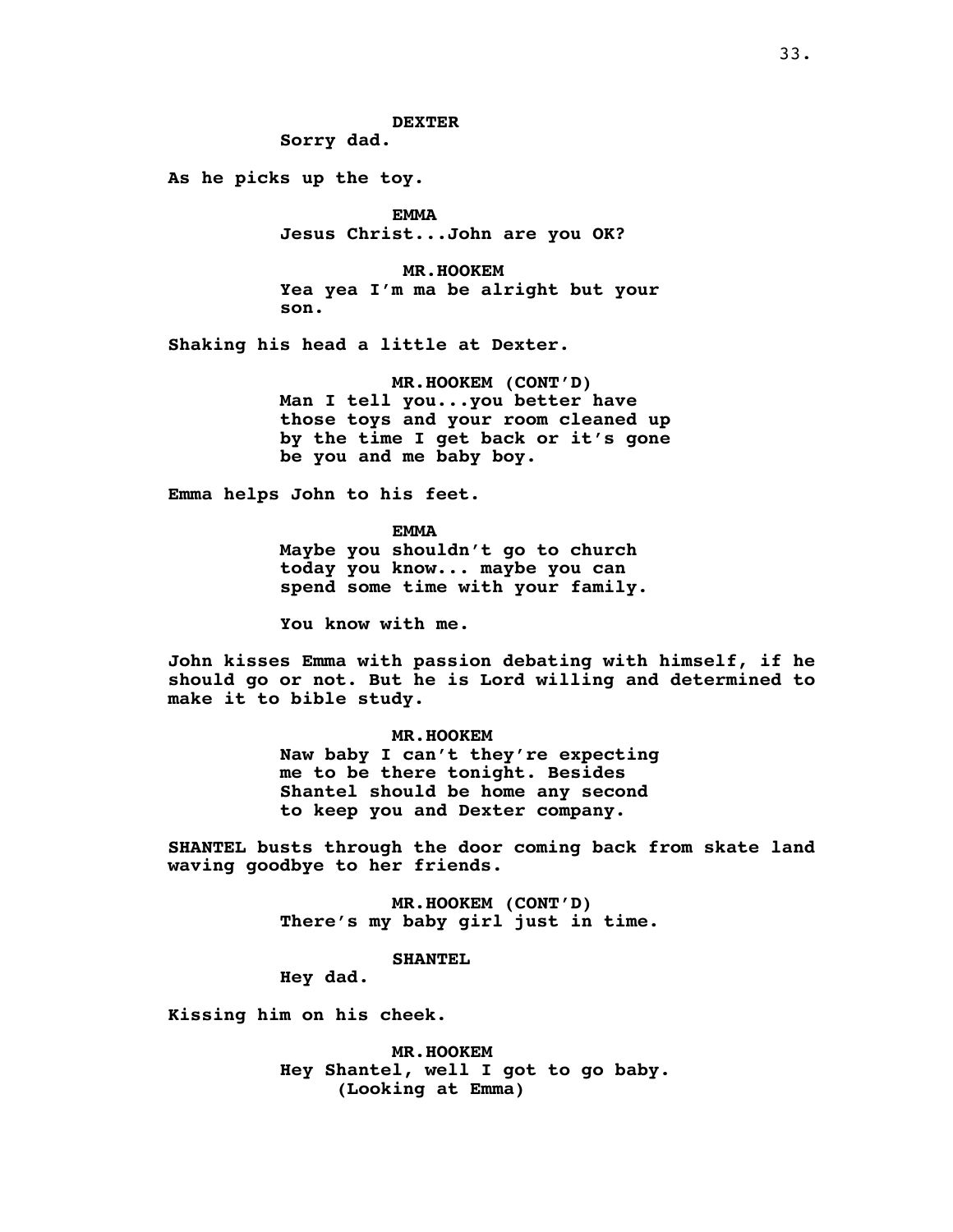**Sorry dad.**

**As he picks up the toy.**

**EMMA Jesus Christ...John are you OK?**

**MR.HOOKEM Yea yea I'm ma be alright but your son.**

**Shaking his head a little at Dexter.**

**MR.HOOKEM (CONT'D) Man I tell you...you better have those toys and your room cleaned up by the time I get back or it's gone be you and me baby boy.**

**Emma helps John to his feet.**

**EMMA Maybe you shouldn't go to church today you know... maybe you can spend some time with your family.**

**You know with me.**

**John kisses Emma with passion debating with himself, if he should go or not. But he is Lord willing and determined to make it to bible study.**

> **MR.HOOKEM Naw baby I can't they're expecting me to be there tonight. Besides Shantel should be home any second to keep you and Dexter company.**

**SHANTEL busts through the door coming back from skate land waving goodbye to her friends.**

> **MR.HOOKEM (CONT'D) There's my baby girl just in time.**

> > **SHANTEL**

**Hey dad.**

**Kissing him on his cheek.**

**MR.HOOKEM Hey Shantel, well I got to go baby. (Looking at Emma)**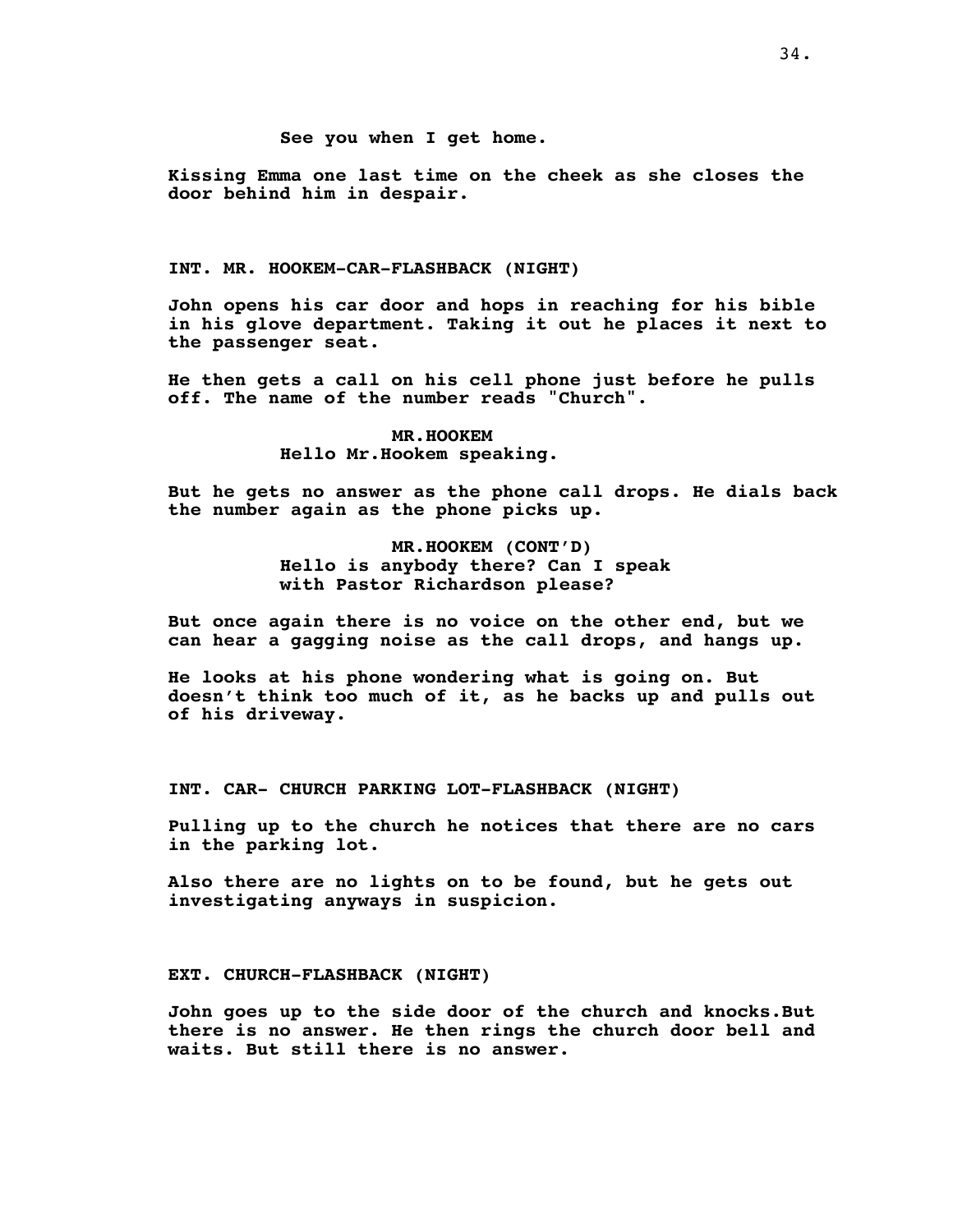## **See you when I get home.**

**Kissing Emma one last time on the cheek as she closes the door behind him in despair.**

## **INT. MR. HOOKEM-CAR-FLASHBACK (NIGHT)**

**John opens his car door and hops in reaching for his bible in his glove department. Taking it out he places it next to the passenger seat.**

**He then gets a call on his cell phone just before he pulls off. The name of the number reads "Church".**

# **MR.HOOKEM Hello Mr.Hookem speaking.**

**But he gets no answer as the phone call drops. He dials back the number again as the phone picks up.**

> **MR.HOOKEM (CONT'D) Hello is anybody there? Can I speak with Pastor Richardson please?**

**But once again there is no voice on the other end, but we can hear a gagging noise as the call drops, and hangs up.**

**He looks at his phone wondering what is going on. But doesn't think too much of it, as he backs up and pulls out of his driveway.**

**INT. CAR- CHURCH PARKING LOT-FLASHBACK (NIGHT)**

**Pulling up to the church he notices that there are no cars in the parking lot.**

**Also there are no lights on to be found, but he gets out investigating anyways in suspicion.**

## **EXT. CHURCH-FLASHBACK (NIGHT)**

**John goes up to the side door of the church and knocks.But there is no answer. He then rings the church door bell and waits. But still there is no answer.**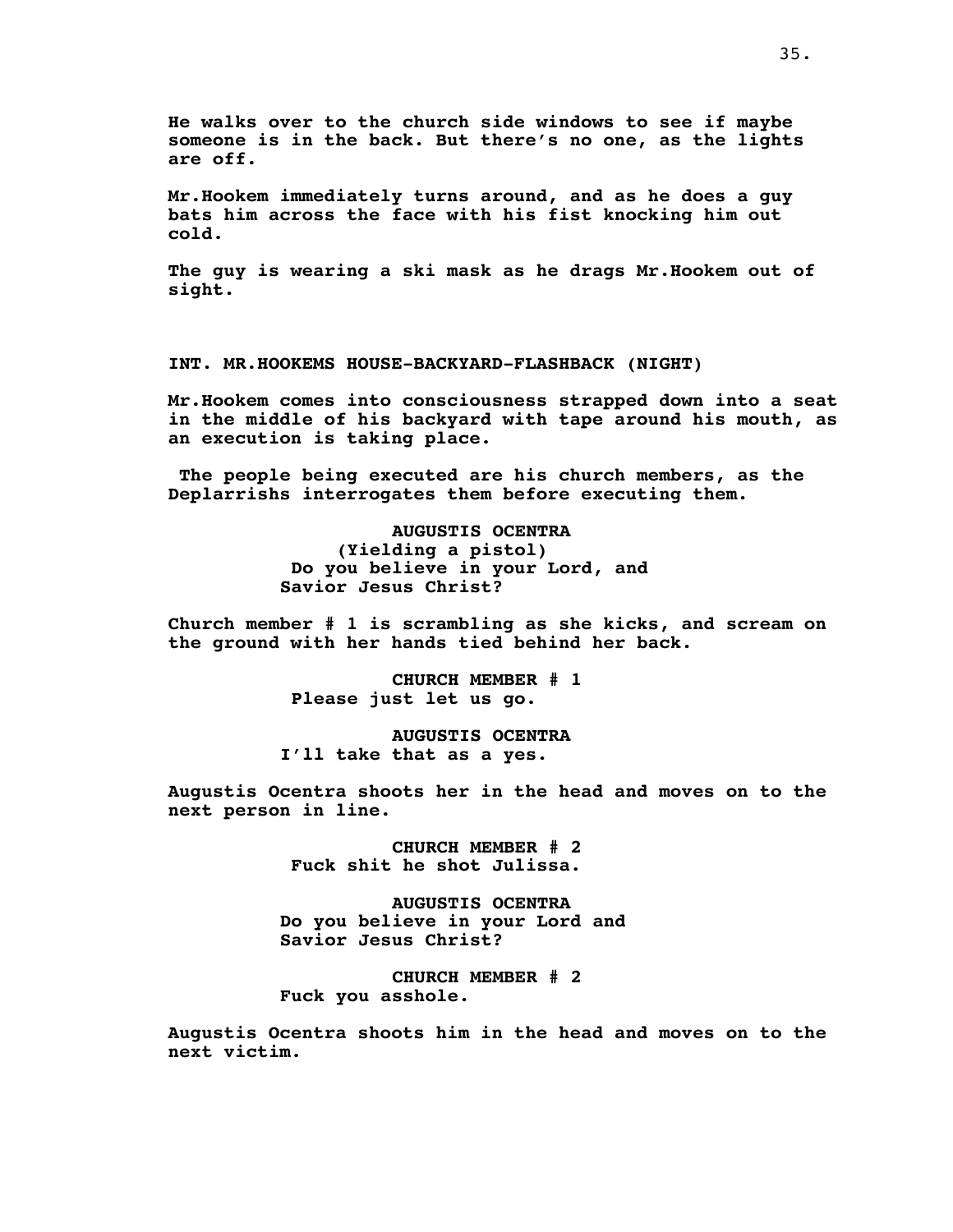**He walks over to the church side windows to see if maybe someone is in the back. But there's no one, as the lights are off.**

**Mr.Hookem immediately turns around, and as he does a guy bats him across the face with his fist knocking him out cold.**

**The guy is wearing a ski mask as he drags Mr.Hookem out of sight.**

**INT. MR.HOOKEMS HOUSE-BACKYARD-FLASHBACK (NIGHT)**

**Mr.Hookem comes into consciousness strapped down into a seat in the middle of his backyard with tape around his mouth, as an execution is taking place.**

**The people being executed are his church members, as the Deplarrishs interrogates them before executing them.**

> **AUGUSTIS OCENTRA (Yielding a pistol) Do you believe in your Lord, and Savior Jesus Christ?**

**Church member # 1 is scrambling as she kicks, and scream on the ground with her hands tied behind her back.**

> **CHURCH MEMBER # 1 Please just let us go.**

**AUGUSTIS OCENTRA I'll take that as a yes.**

**Augustis Ocentra shoots her in the head and moves on to the next person in line.**

> **CHURCH MEMBER # 2 Fuck shit he shot Julissa.**

**AUGUSTIS OCENTRA Do you believe in your Lord and Savior Jesus Christ?**

**CHURCH MEMBER # 2 Fuck you asshole.**

**Augustis Ocentra shoots him in the head and moves on to the next victim.**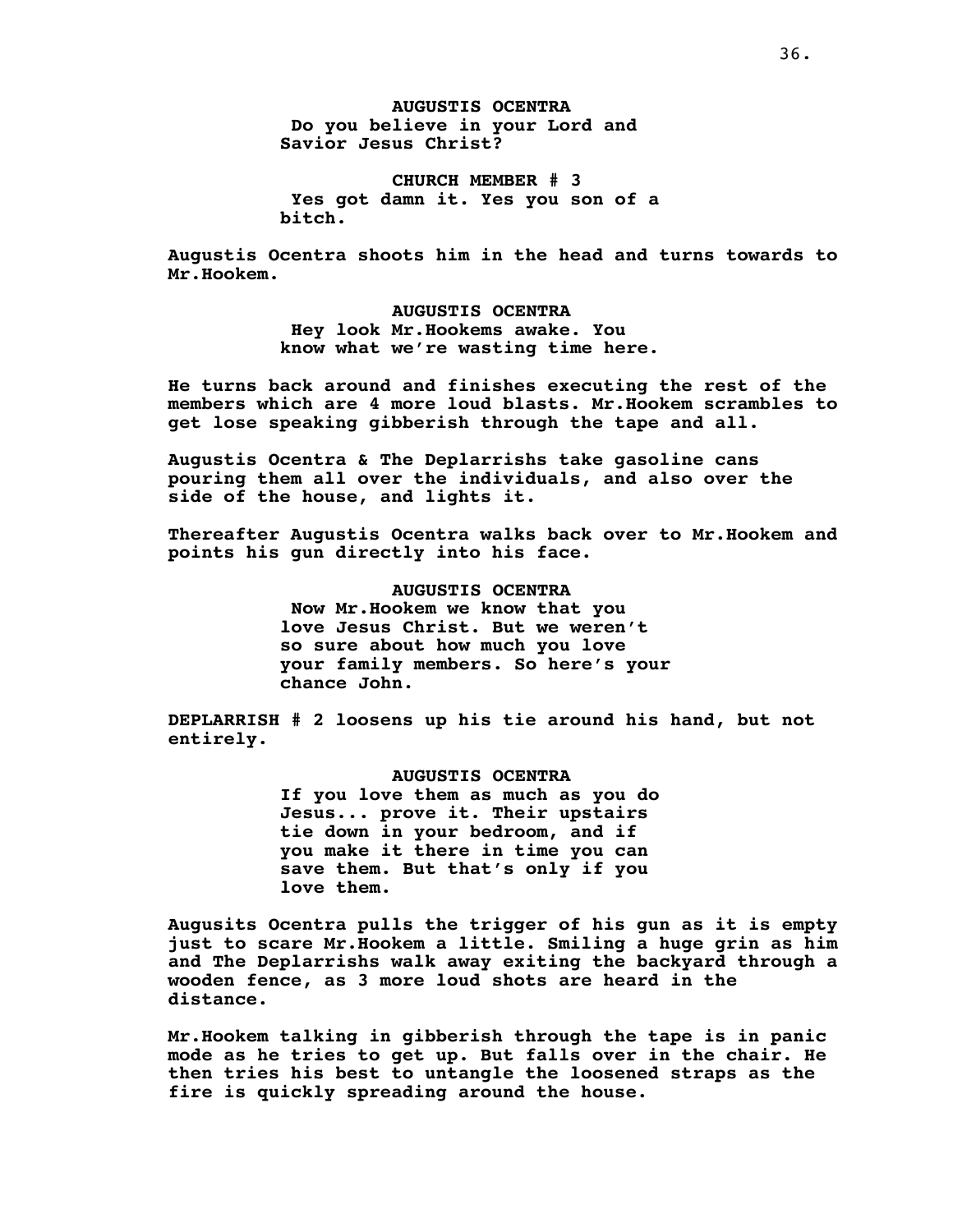**AUGUSTIS OCENTRA Do you believe in your Lord and Savior Jesus Christ?**

**CHURCH MEMBER # 3 Yes got damn it. Yes you son of a bitch.**

**Augustis Ocentra shoots him in the head and turns towards to Mr.Hookem.**

> **AUGUSTIS OCENTRA Hey look Mr.Hookems awake. You know what we're wasting time here.**

**He turns back around and finishes executing the rest of the members which are 4 more loud blasts. Mr.Hookem scrambles to get lose speaking gibberish through the tape and all.**

**Augustis Ocentra & The Deplarrishs take gasoline cans pouring them all over the individuals, and also over the side of the house, and lights it.**

**Thereafter Augustis Ocentra walks back over to Mr.Hookem and points his gun directly into his face.**

> **AUGUSTIS OCENTRA Now Mr.Hookem we know that you love Jesus Christ. But we weren't so sure about how much you love your family members. So here's your chance John.**

**DEPLARRISH # 2 loosens up his tie around his hand, but not entirely.**

> **AUGUSTIS OCENTRA If you love them as much as you do Jesus... prove it. Their upstairs tie down in your bedroom, and if you make it there in time you can save them. But that's only if you love them.**

**Augusits Ocentra pulls the trigger of his gun as it is empty just to scare Mr.Hookem a little. Smiling a huge grin as him and The Deplarrishs walk away exiting the backyard through a wooden fence, as 3 more loud shots are heard in the distance.**

**Mr.Hookem talking in gibberish through the tape is in panic mode as he tries to get up. But falls over in the chair. He then tries his best to untangle the loosened straps as the fire is quickly spreading around the house.**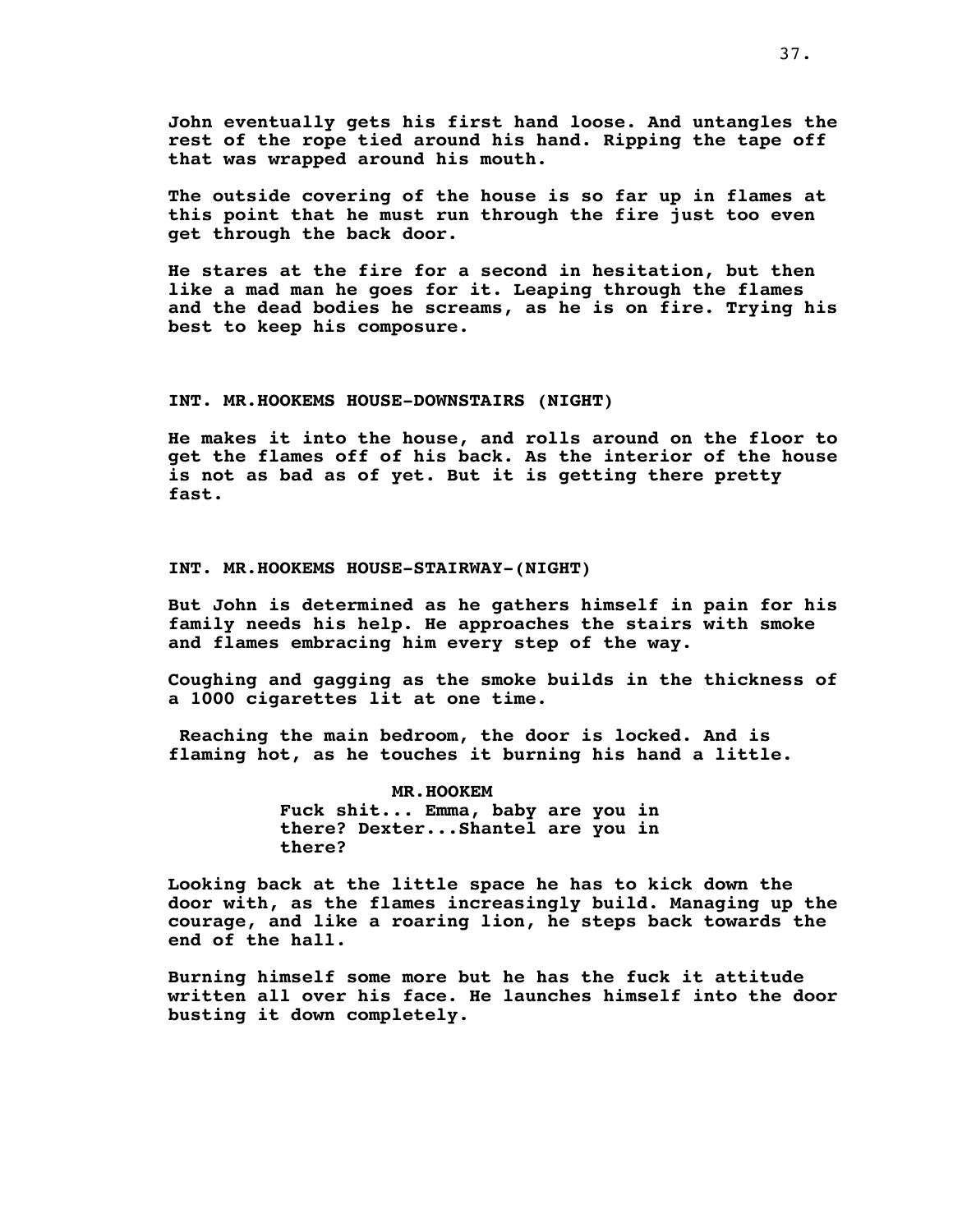**John eventually gets his first hand loose. And untangles the rest of the rope tied around his hand. Ripping the tape off that was wrapped around his mouth.**

**The outside covering of the house is so far up in flames at this point that he must run through the fire just too even get through the back door.**

**He stares at the fire for a second in hesitation, but then like a mad man he goes for it. Leaping through the flames and the dead bodies he screams, as he is on fire. Trying his best to keep his composure.**

# **INT. MR.HOOKEMS HOUSE-DOWNSTAIRS (NIGHT)**

**He makes it into the house, and rolls around on the floor to get the flames off of his back. As the interior of the house is not as bad as of yet. But it is getting there pretty fast.**

# **INT. MR.HOOKEMS HOUSE-STAIRWAY-(NIGHT)**

**But John is determined as he gathers himself in pain for his family needs his help. He approaches the stairs with smoke and flames embracing him every step of the way.**

**Coughing and gagging as the smoke builds in the thickness of a 1000 cigarettes lit at one time.**

**Reaching the main bedroom, the door is locked. And is flaming hot, as he touches it burning his hand a little.**

> **MR.HOOKEM Fuck shit... Emma, baby are you in there? Dexter...Shantel are you in there?**

**Looking back at the little space he has to kick down the door with, as the flames increasingly build. Managing up the courage, and like a roaring lion, he steps back towards the end of the hall.**

**Burning himself some more but he has the fuck it attitude written all over his face. He launches himself into the door busting it down completely.**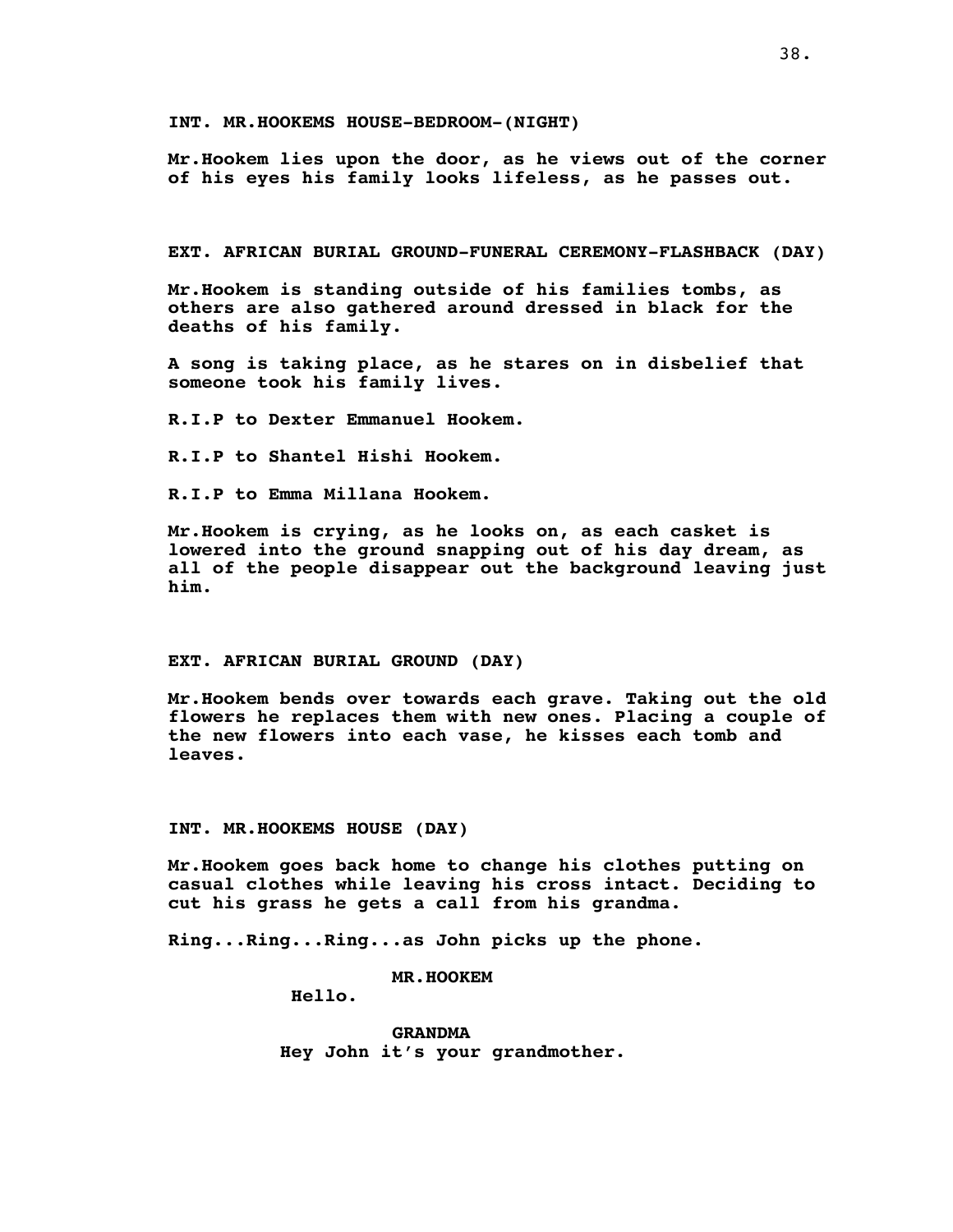**INT. MR.HOOKEMS HOUSE-BEDROOM-(NIGHT)**

**Mr.Hookem lies upon the door, as he views out of the corner of his eyes his family looks lifeless, as he passes out.**

**EXT. AFRICAN BURIAL GROUND-FUNERAL CEREMONY-FLASHBACK (DAY)**

**Mr.Hookem is standing outside of his families tombs, as others are also gathered around dressed in black for the deaths of his family.**

**A song is taking place, as he stares on in disbelief that someone took his family lives.**

**R.I.P to Dexter Emmanuel Hookem.**

**R.I.P to Shantel Hishi Hookem.**

**R.I.P to Emma Millana Hookem.**

**Mr.Hookem is crying, as he looks on, as each casket is lowered into the ground snapping out of his day dream, as all of the people disappear out the background leaving just him.**

#### **EXT. AFRICAN BURIAL GROUND (DAY)**

**Mr.Hookem bends over towards each grave. Taking out the old flowers he replaces them with new ones. Placing a couple of the new flowers into each vase, he kisses each tomb and leaves.**

# **INT. MR.HOOKEMS HOUSE (DAY)**

**Mr.Hookem goes back home to change his clothes putting on casual clothes while leaving his cross intact. Deciding to cut his grass he gets a call from his grandma.**

**Ring...Ring...Ring...as John picks up the phone.**

**MR.HOOKEM**

**Hello.**

**GRANDMA Hey John it's your grandmother.**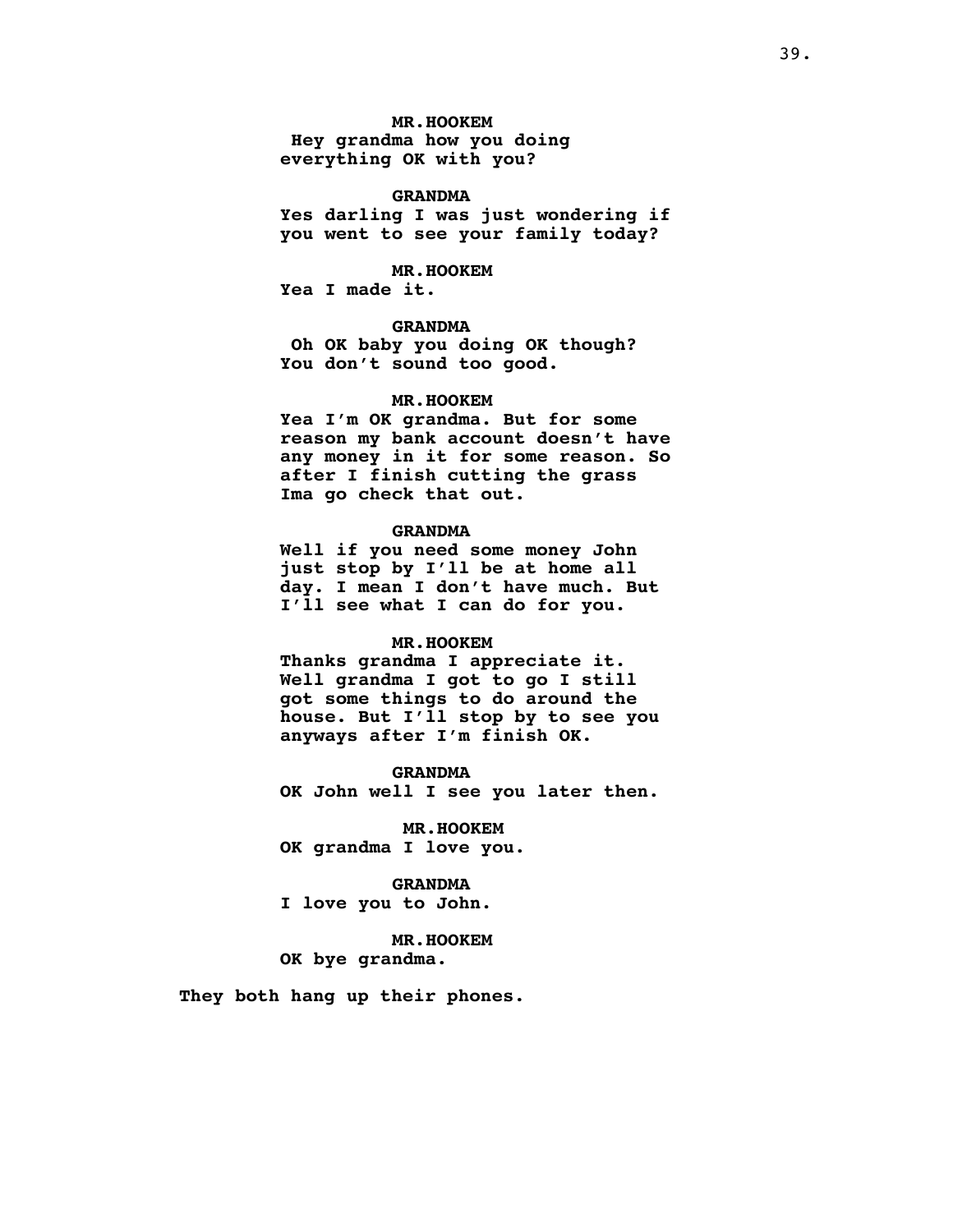# **MR.HOOKEM**

**Hey grandma how you doing everything OK with you?**

# **GRANDMA**

**Yes darling I was just wondering if you went to see your family today?**

#### **MR.HOOKEM**

**Yea I made it.**

# **GRANDMA**

**Oh OK baby you doing OK though? You don't sound too good.**

# **MR.HOOKEM**

**Yea I'm OK grandma. But for some reason my bank account doesn't have any money in it for some reason. So after I finish cutting the grass Ima go check that out.**

## **GRANDMA**

**Well if you need some money John just stop by I'll be at home all day. I mean I don't have much. But I'll see what I can do for you.**

# **MR.HOOKEM**

**Thanks grandma I appreciate it. Well grandma I got to go I still got some things to do around the house. But I'll stop by to see you anyways after I'm finish OK.**

**GRANDMA OK John well I see you later then.**

**MR.HOOKEM OK grandma I love you.**

# **GRANDMA**

**I love you to John.**

**MR.HOOKEM OK bye grandma.**

**They both hang up their phones.**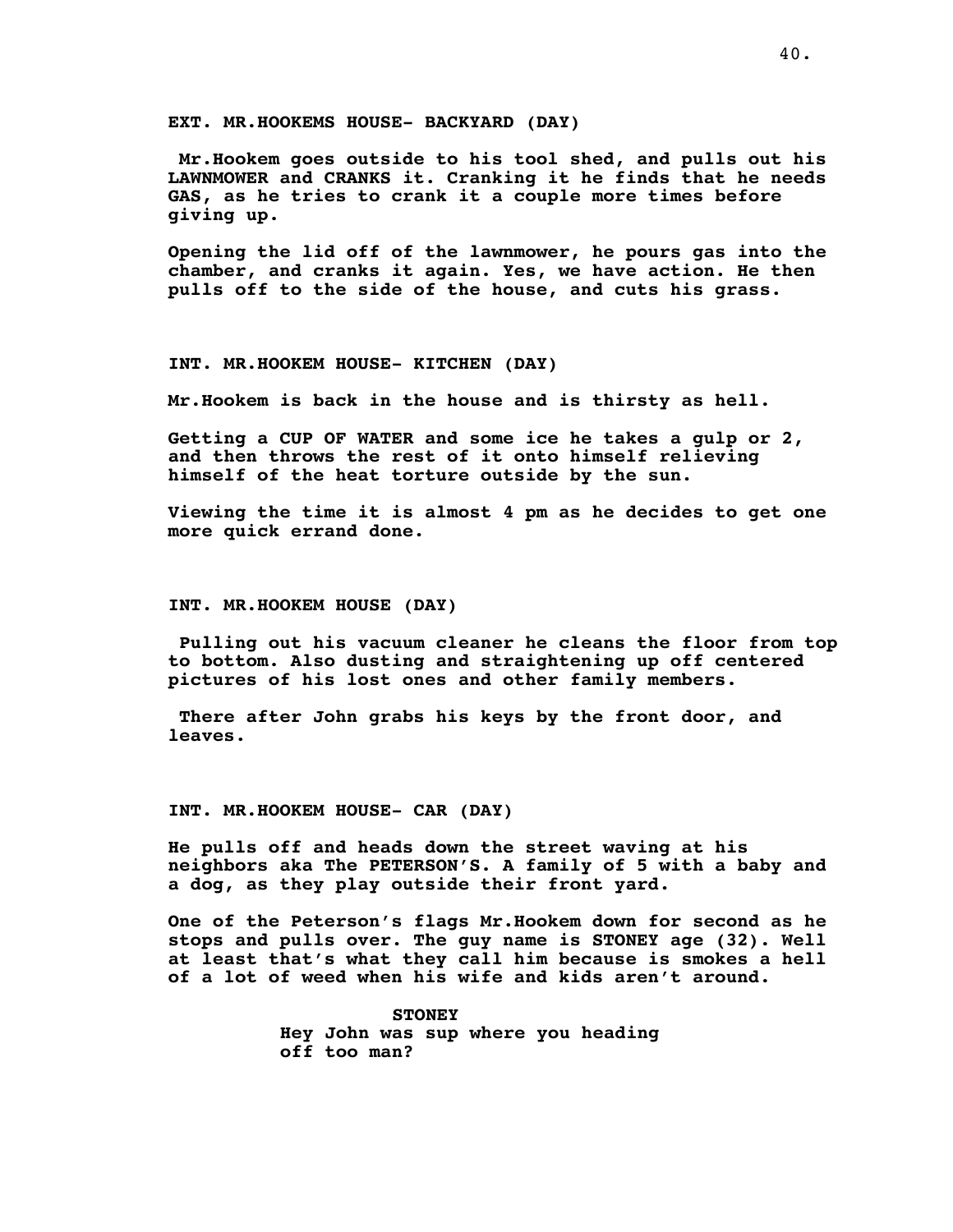**EXT. MR.HOOKEMS HOUSE- BACKYARD (DAY)**

**Mr.Hookem goes outside to his tool shed, and pulls out his LAWNMOWER and CRANKS it. Cranking it he finds that he needs GAS, as he tries to crank it a couple more times before giving up.**

**Opening the lid off of the lawnmower, he pours gas into the chamber, and cranks it again. Yes, we have action. He then pulls off to the side of the house, and cuts his grass.**

**INT. MR.HOOKEM HOUSE- KITCHEN (DAY)**

**Mr.Hookem is back in the house and is thirsty as hell.**

**Getting a CUP OF WATER and some ice he takes a gulp or 2, and then throws the rest of it onto himself relieving himself of the heat torture outside by the sun.**

**Viewing the time it is almost 4 pm as he decides to get one more quick errand done.**

**INT. MR.HOOKEM HOUSE (DAY)**

**Pulling out his vacuum cleaner he cleans the floor from top to bottom. Also dusting and straightening up off centered pictures of his lost ones and other family members.**

**There after John grabs his keys by the front door, and leaves.**

**INT. MR.HOOKEM HOUSE- CAR (DAY)**

**He pulls off and heads down the street waving at his neighbors aka The PETERSON'S. A family of 5 with a baby and a dog, as they play outside their front yard.**

**One of the Peterson's flags Mr.Hookem down for second as he stops and pulls over. The guy name is STONEY age (32). Well at least that's what they call him because is smokes a hell of a lot of weed when his wife and kids aren't around.**

> **STONEY Hey John was sup where you heading off too man?**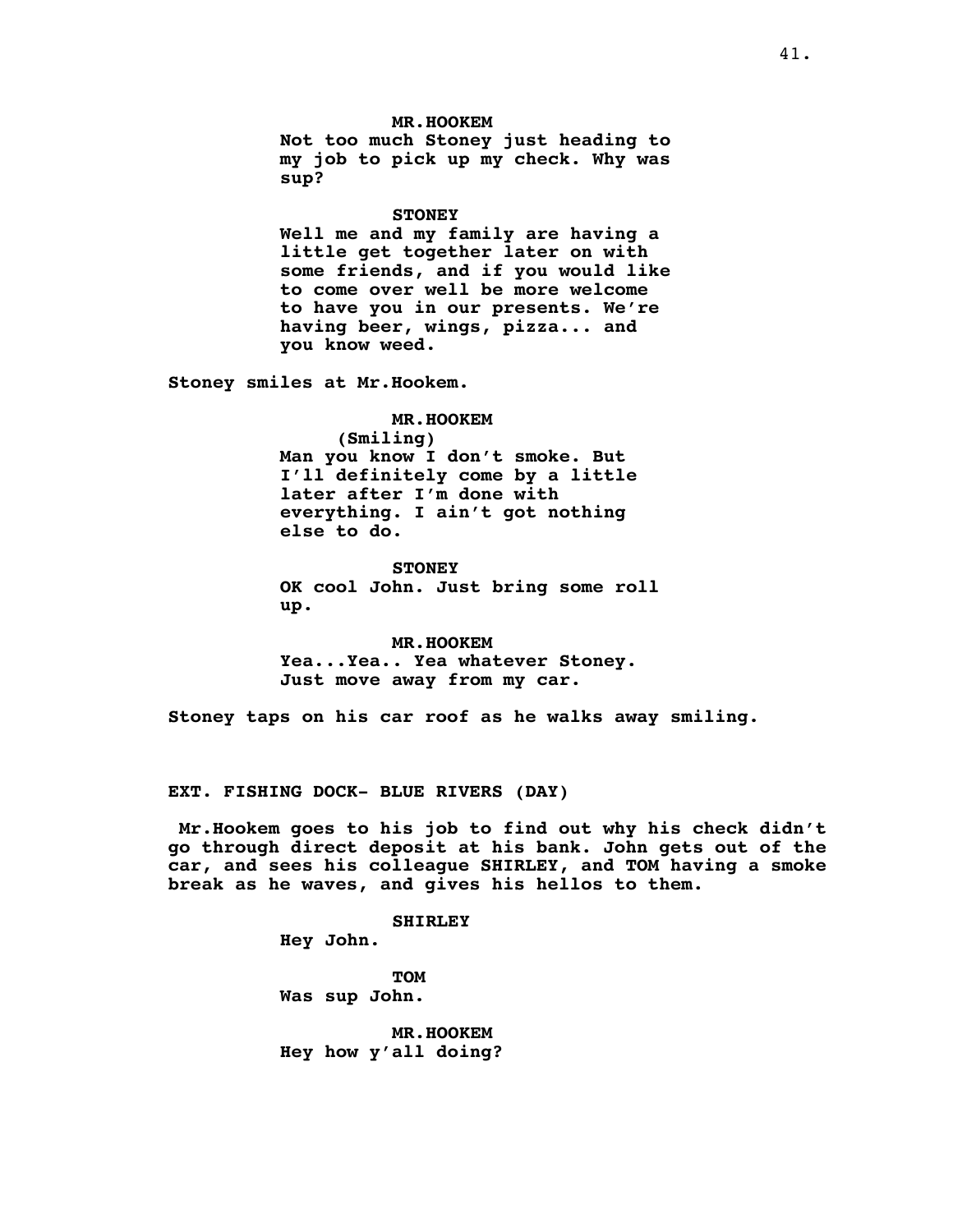**MR.HOOKEM Not too much Stoney just heading to my job to pick up my check. Why was sup?**

#### **STONEY**

**Well me and my family are having a little get together later on with some friends, and if you would like to come over well be more welcome to have you in our presents. We're having beer, wings, pizza... and you know weed.**

**Stoney smiles at Mr.Hookem.**

**MR.HOOKEM (Smiling) Man you know I don't smoke. But I'll definitely come by a little later after I'm done with everything. I ain't got nothing else to do.**

**STONEY OK cool John. Just bring some roll up.**

**MR.HOOKEM Yea...Yea.. Yea whatever Stoney. Just move away from my car.**

**Stoney taps on his car roof as he walks away smiling.**

**EXT. FISHING DOCK- BLUE RIVERS (DAY)**

**Mr.Hookem goes to his job to find out why his check didn't go through direct deposit at his bank. John gets out of the car, and sees his colleague SHIRLEY, and TOM having a smoke break as he waves, and gives his hellos to them.**

**SHIRLEY**

**Hey John.**

**TOM Was sup John.**

**MR.HOOKEM Hey how y'all doing?**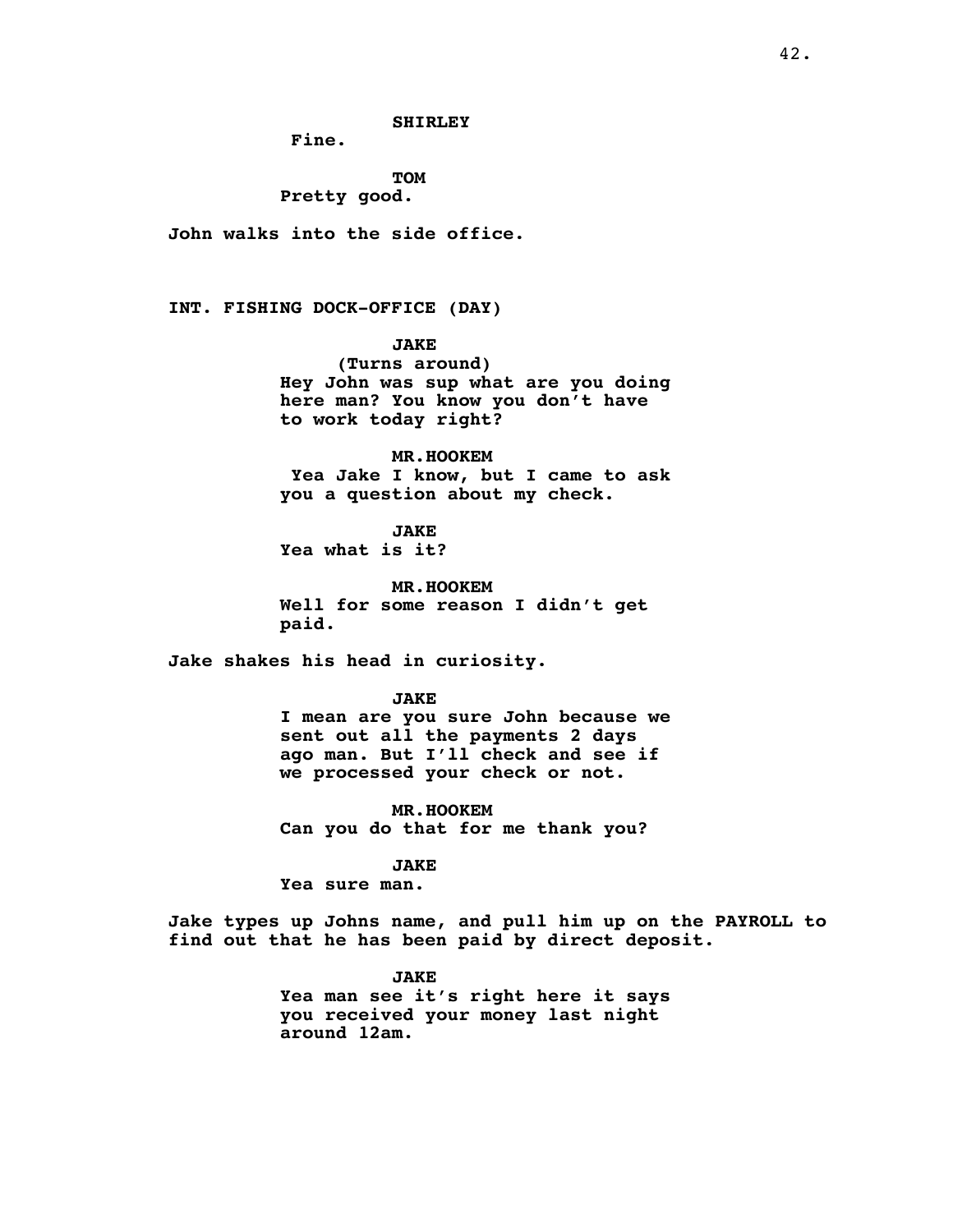**Fine.**

**TOM Pretty good.**

**John walks into the side office.**

**INT. FISHING DOCK-OFFICE (DAY)**

**JAKE**

**(Turns around) Hey John was sup what are you doing here man? You know you don't have to work today right?**

**MR.HOOKEM Yea Jake I know, but I came to ask you a question about my check.**

**JAKE Yea what is it?**

**MR.HOOKEM Well for some reason I didn't get paid.**

**Jake shakes his head in curiosity.**

**JAKE**

**I mean are you sure John because we sent out all the payments 2 days ago man. But I'll check and see if we processed your check or not.**

**MR.HOOKEM Can you do that for me thank you?**

**JAKE**

**Yea sure man.**

**Jake types up Johns name, and pull him up on the PAYROLL to find out that he has been paid by direct deposit.**

> **JAKE Yea man see it's right here it says you received your money last night around 12am.**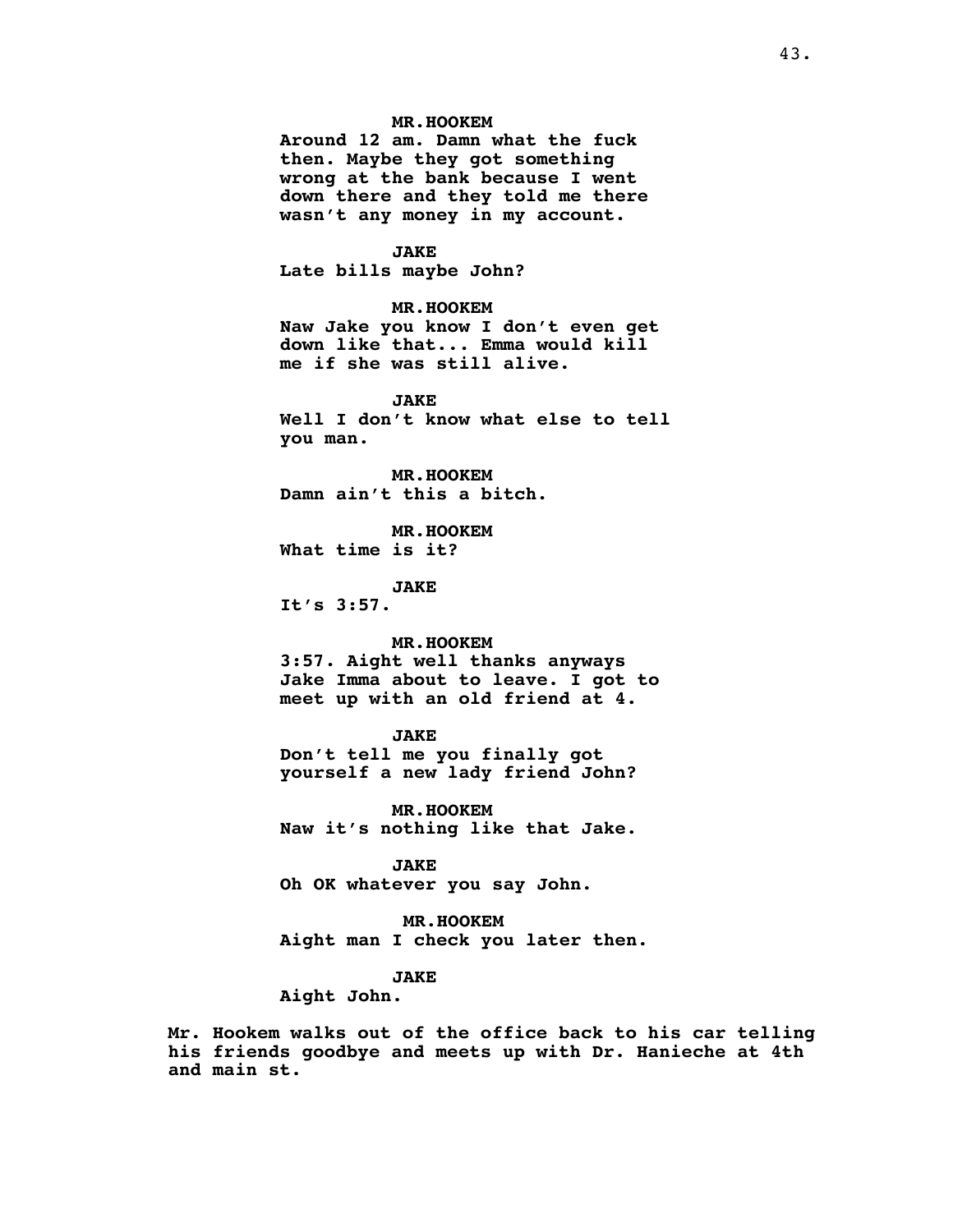# **MR.HOOKEM**

**Around 12 am. Damn what the fuck then. Maybe they got something wrong at the bank because I went down there and they told me there wasn't any money in my account.**

# **JAKE**

**Late bills maybe John?**

# **MR.HOOKEM**

**Naw Jake you know I don't even get down like that... Emma would kill me if she was still alive.**

# **JAKE**

**Well I don't know what else to tell you man.**

**MR.HOOKEM Damn ain't this a bitch.**

**MR.HOOKEM What time is it?**

**JAKE**

**It's 3:57.**

# **MR.HOOKEM**

**3:57. Aight well thanks anyways Jake Imma about to leave. I got to meet up with an old friend at 4.**

# **JAKE**

**Don't tell me you finally got yourself a new lady friend John?**

**MR.HOOKEM Naw it's nothing like that Jake.**

#### **JAKE**

**Oh OK whatever you say John.**

# **MR.HOOKEM**

**Aight man I check you later then.**

# **JAKE**

**Aight John.**

**Mr. Hookem walks out of the office back to his car telling his friends goodbye and meets up with Dr. Hanieche at 4th and main st.**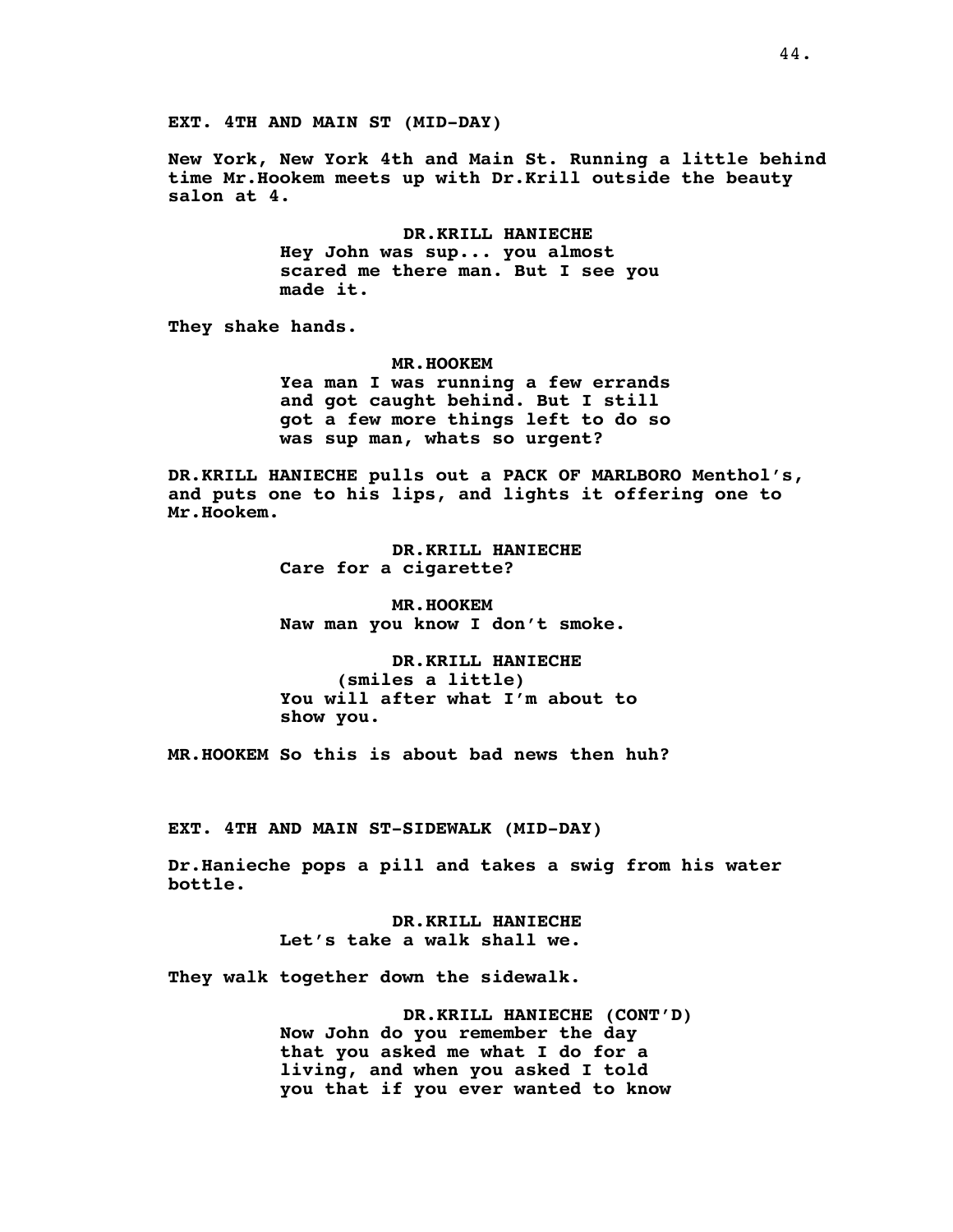**New York, New York 4th and Main St. Running a little behind time Mr.Hookem meets up with Dr.Krill outside the beauty salon at 4.**

> **DR.KRILL HANIECHE Hey John was sup... you almost scared me there man. But I see you made it.**

**They shake hands.**

**MR.HOOKEM Yea man I was running a few errands and got caught behind. But I still got a few more things left to do so was sup man, whats so urgent?**

**DR.KRILL HANIECHE pulls out a PACK OF MARLBORO Menthol's, and puts one to his lips, and lights it offering one to Mr.Hookem.**

> **DR.KRILL HANIECHE Care for a cigarette?**

**MR.HOOKEM Naw man you know I don't smoke.**

**DR.KRILL HANIECHE (smiles a little) You will after what I'm about to show you.**

**MR.HOOKEM So this is about bad news then huh?**

**EXT. 4TH AND MAIN ST-SIDEWALK (MID-DAY)**

**Dr.Hanieche pops a pill and takes a swig from his water bottle.**

> **DR.KRILL HANIECHE Let's take a walk shall we.**

**They walk together down the sidewalk.**

**DR.KRILL HANIECHE (CONT'D) Now John do you remember the day that you asked me what I do for a living, and when you asked I told you that if you ever wanted to know**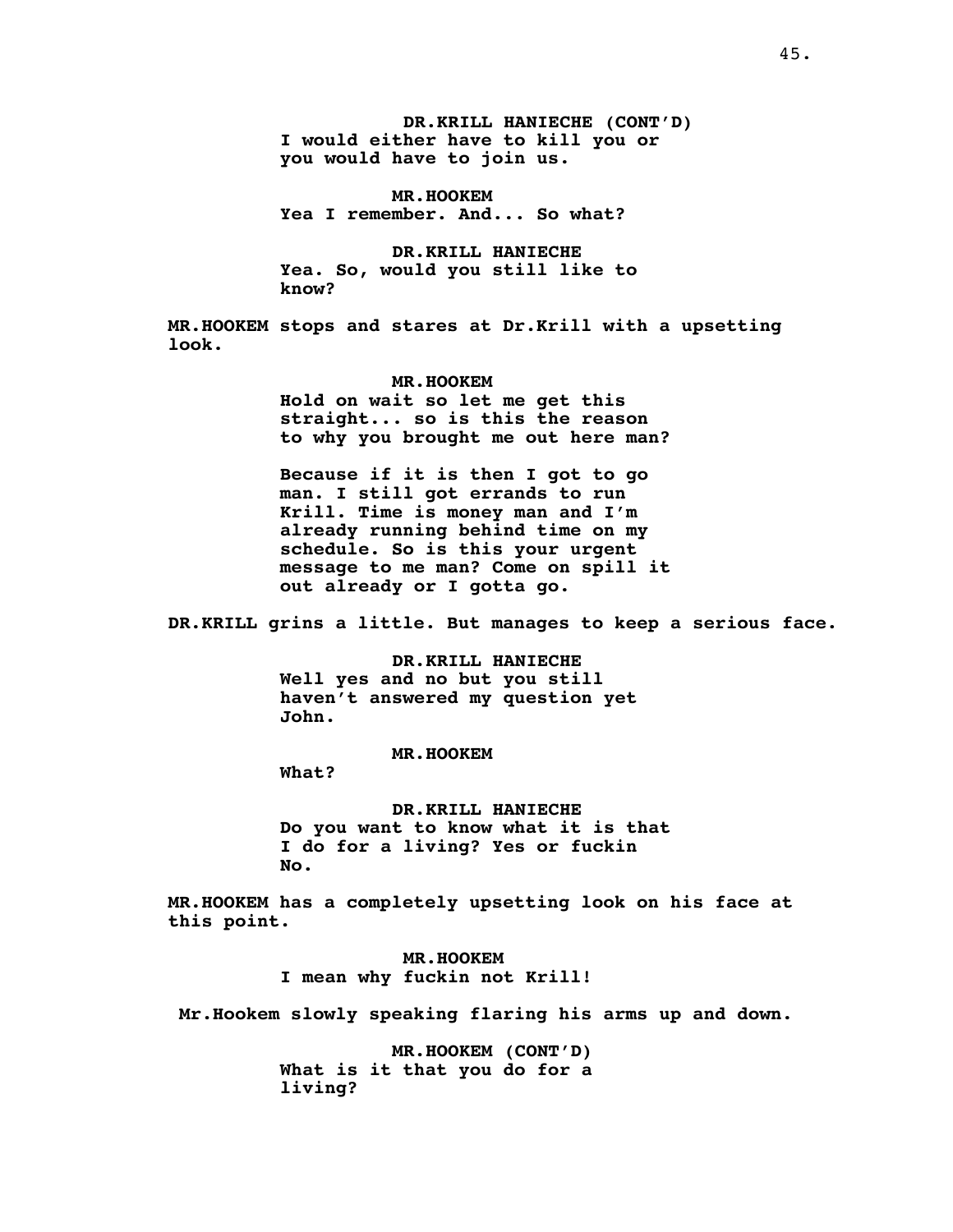**DR.KRILL HANIECHE (CONT'D) I would either have to kill you or you would have to join us.**

**MR.HOOKEM Yea I remember. And... So what?**

**DR.KRILL HANIECHE Yea. So, would you still like to know?**

**MR.HOOKEM stops and stares at Dr.Krill with a upsetting look.**

**MR.HOOKEM**

**Hold on wait so let me get this straight... so is this the reason to why you brought me out here man?**

**Because if it is then I got to go man. I still got errands to run Krill. Time is money man and I'm already running behind time on my schedule. So is this your urgent message to me man? Come on spill it out already or I gotta go.**

**DR.KRILL grins a little. But manages to keep a serious face.**

**DR.KRILL HANIECHE Well yes and no but you still haven't answered my question yet John.**

**MR.HOOKEM**

**What?**

**DR.KRILL HANIECHE Do you want to know what it is that I do for a living? Yes or fuckin No.**

**MR.HOOKEM has a completely upsetting look on his face at this point.**

> **MR.HOOKEM I mean why fuckin not Krill!**

**Mr.Hookem slowly speaking flaring his arms up and down.**

**MR.HOOKEM (CONT'D) What is it that you do for a living?**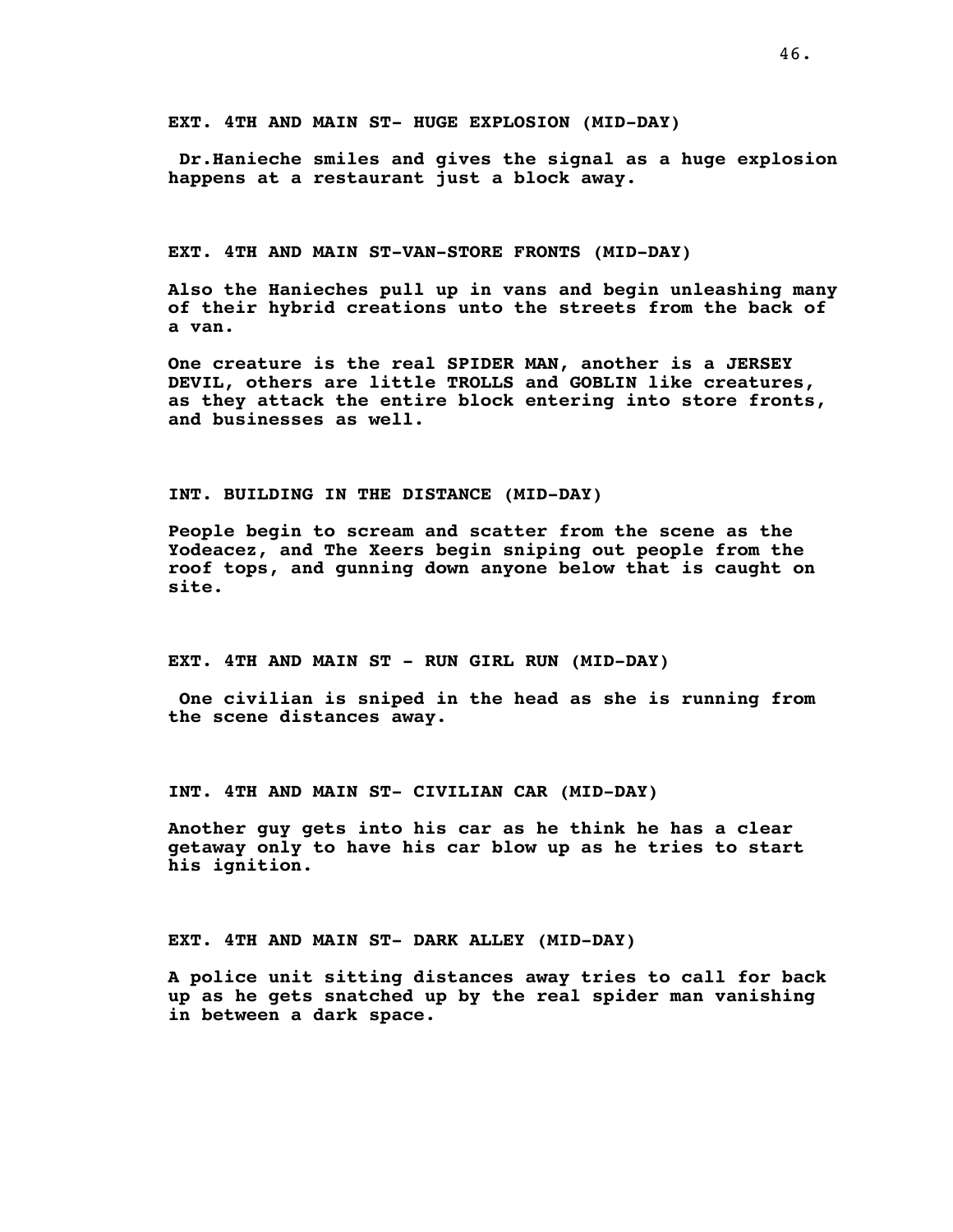**Dr.Hanieche smiles and gives the signal as a huge explosion happens at a restaurant just a block away.**

**EXT. 4TH AND MAIN ST-VAN-STORE FRONTS (MID-DAY)**

**Also the Hanieches pull up in vans and begin unleashing many of their hybrid creations unto the streets from the back of a van.**

**One creature is the real SPIDER MAN, another is a JERSEY DEVIL, others are little TROLLS and GOBLIN like creatures, as they attack the entire block entering into store fronts, and businesses as well.**

**INT. BUILDING IN THE DISTANCE (MID-DAY)**

**People begin to scream and scatter from the scene as the Yodeacez, and The Xeers begin sniping out people from the roof tops, and gunning down anyone below that is caught on site.**

**EXT. 4TH AND MAIN ST - RUN GIRL RUN (MID-DAY)**

**One civilian is sniped in the head as she is running from the scene distances away.**

**INT. 4TH AND MAIN ST- CIVILIAN CAR (MID-DAY)**

**Another guy gets into his car as he think he has a clear getaway only to have his car blow up as he tries to start his ignition.**

**EXT. 4TH AND MAIN ST- DARK ALLEY (MID-DAY)**

**A police unit sitting distances away tries to call for back up as he gets snatched up by the real spider man vanishing in between a dark space.**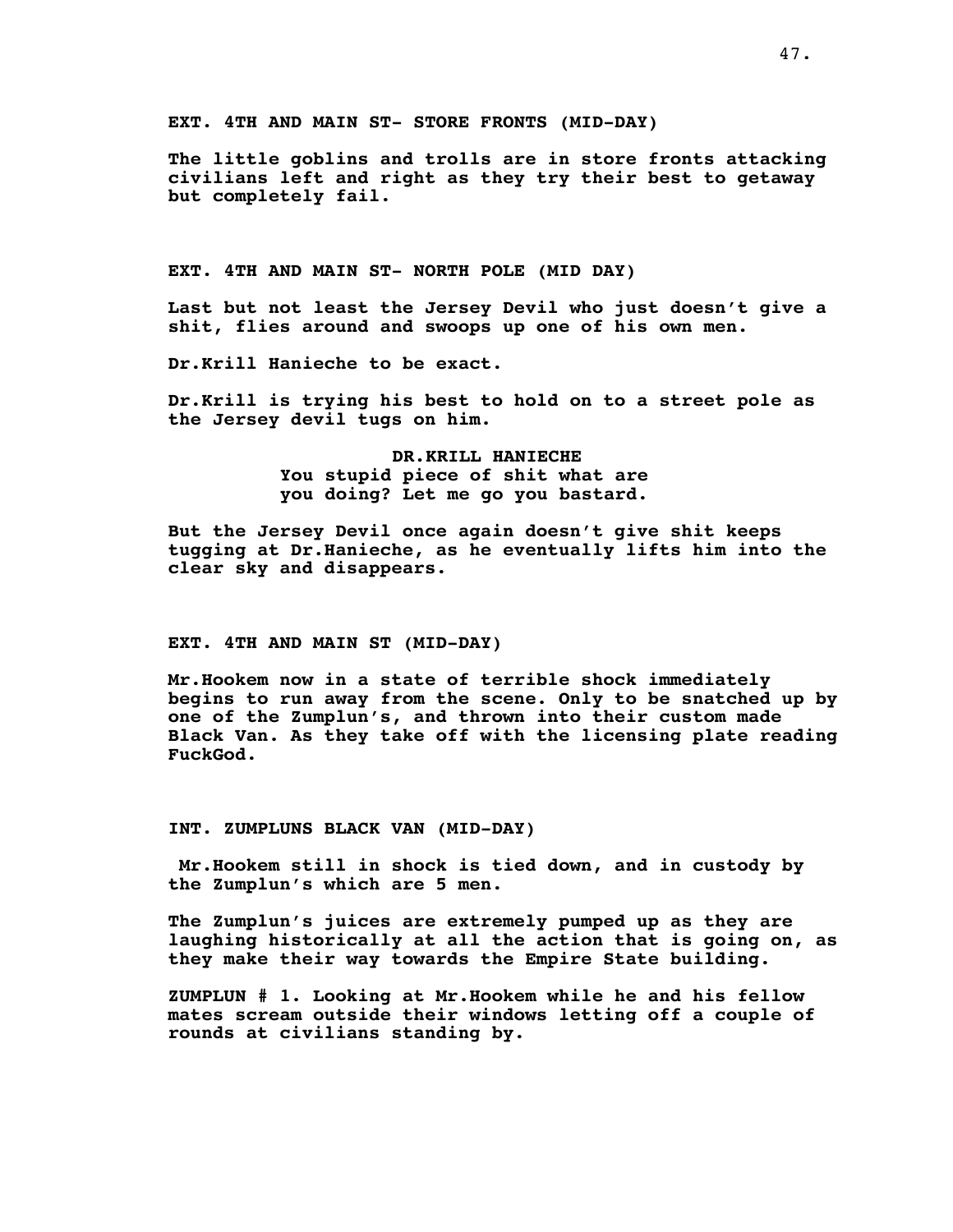**EXT. 4TH AND MAIN ST- STORE FRONTS (MID-DAY)**

**The little goblins and trolls are in store fronts attacking civilians left and right as they try their best to getaway but completely fail.**

**EXT. 4TH AND MAIN ST- NORTH POLE (MID DAY)**

**Last but not least the Jersey Devil who just doesn't give a shit, flies around and swoops up one of his own men.**

**Dr.Krill Hanieche to be exact.**

**Dr.Krill is trying his best to hold on to a street pole as the Jersey devil tugs on him.**

> **DR.KRILL HANIECHE You stupid piece of shit what are you doing? Let me go you bastard.**

**But the Jersey Devil once again doesn't give shit keeps tugging at Dr.Hanieche, as he eventually lifts him into the clear sky and disappears.**

#### **EXT. 4TH AND MAIN ST (MID-DAY)**

**Mr.Hookem now in a state of terrible shock immediately begins to run away from the scene. Only to be snatched up by one of the Zumplun's, and thrown into their custom made Black Van. As they take off with the licensing plate reading FuckGod.**

#### **INT. ZUMPLUNS BLACK VAN (MID-DAY)**

**Mr.Hookem still in shock is tied down, and in custody by the Zumplun's which are 5 men.**

**The Zumplun's juices are extremely pumped up as they are laughing historically at all the action that is going on, as they make their way towards the Empire State building.**

**ZUMPLUN # 1. Looking at Mr.Hookem while he and his fellow mates scream outside their windows letting off a couple of rounds at civilians standing by.**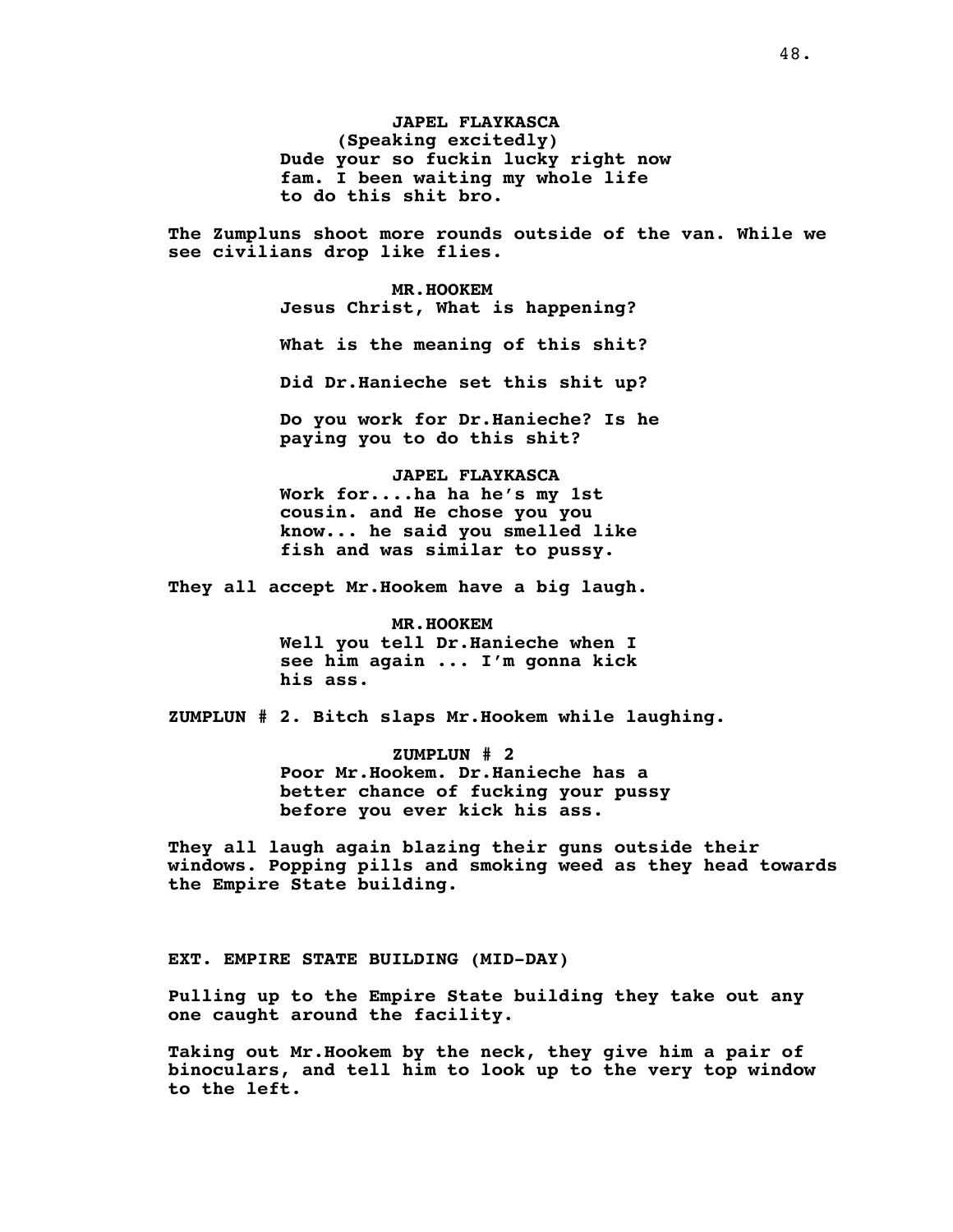**JAPEL FLAYKASCA (Speaking excitedly) Dude your so fuckin lucky right now fam. I been waiting my whole life to do this shit bro.**

**The Zumpluns shoot more rounds outside of the van. While we see civilians drop like flies.**

> **MR.HOOKEM Jesus Christ, What is happening? What is the meaning of this shit? Did Dr.Hanieche set this shit up? Do you work for Dr.Hanieche? Is he**

**paying you to do this shit?**

**JAPEL FLAYKASCA Work for....ha ha he's my 1st cousin. and He chose you you know... he said you smelled like fish and was similar to pussy.**

**They all accept Mr.Hookem have a big laugh.**

**MR.HOOKEM Well you tell Dr.Hanieche when I see him again ... I'm gonna kick his ass.**

**ZUMPLUN # 2. Bitch slaps Mr.Hookem while laughing.**

**ZUMPLUN # 2 Poor Mr.Hookem. Dr.Hanieche has a better chance of fucking your pussy before you ever kick his ass.**

**They all laugh again blazing their guns outside their windows. Popping pills and smoking weed as they head towards the Empire State building.**

**EXT. EMPIRE STATE BUILDING (MID-DAY)**

**Pulling up to the Empire State building they take out any one caught around the facility.**

**Taking out Mr.Hookem by the neck, they give him a pair of binoculars, and tell him to look up to the very top window to the left.**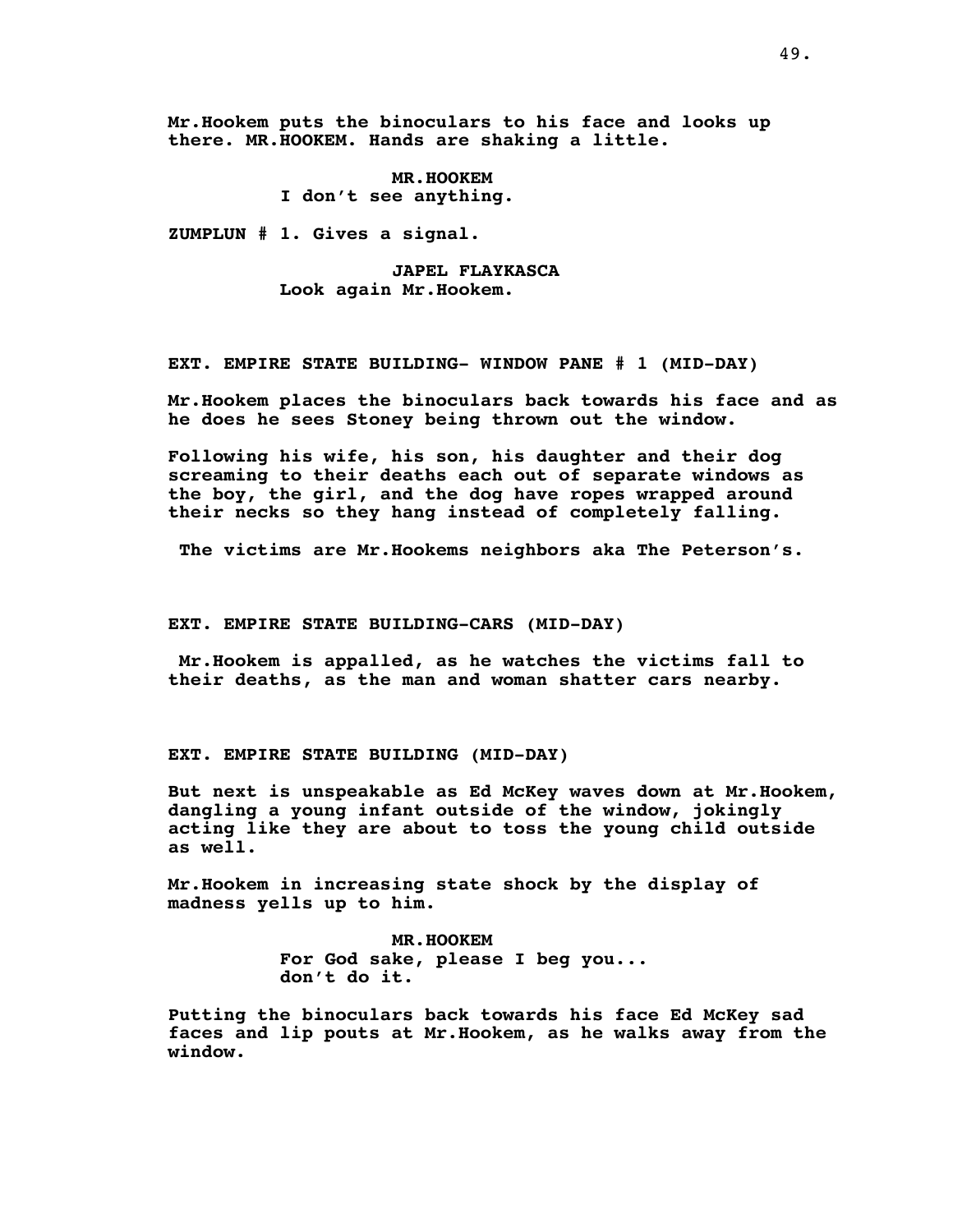**Mr.Hookem puts the binoculars to his face and looks up there. MR.HOOKEM. Hands are shaking a little.**

> **MR.HOOKEM I don't see anything.**

**ZUMPLUN # 1. Gives a signal.**

**JAPEL FLAYKASCA Look again Mr.Hookem.**

**EXT. EMPIRE STATE BUILDING- WINDOW PANE # 1 (MID-DAY)**

**Mr.Hookem places the binoculars back towards his face and as he does he sees Stoney being thrown out the window.**

**Following his wife, his son, his daughter and their dog screaming to their deaths each out of separate windows as the boy, the girl, and the dog have ropes wrapped around their necks so they hang instead of completely falling.**

**The victims are Mr.Hookems neighbors aka The Peterson's.**

**EXT. EMPIRE STATE BUILDING-CARS (MID-DAY)**

**Mr.Hookem is appalled, as he watches the victims fall to their deaths, as the man and woman shatter cars nearby.**

**EXT. EMPIRE STATE BUILDING (MID-DAY)**

**But next is unspeakable as Ed McKey waves down at Mr.Hookem, dangling a young infant outside of the window, jokingly acting like they are about to toss the young child outside as well.**

**Mr.Hookem in increasing state shock by the display of madness yells up to him.**

> **MR.HOOKEM For God sake, please I beg you... don't do it.**

**Putting the binoculars back towards his face Ed McKey sad faces and lip pouts at Mr.Hookem, as he walks away from the window.**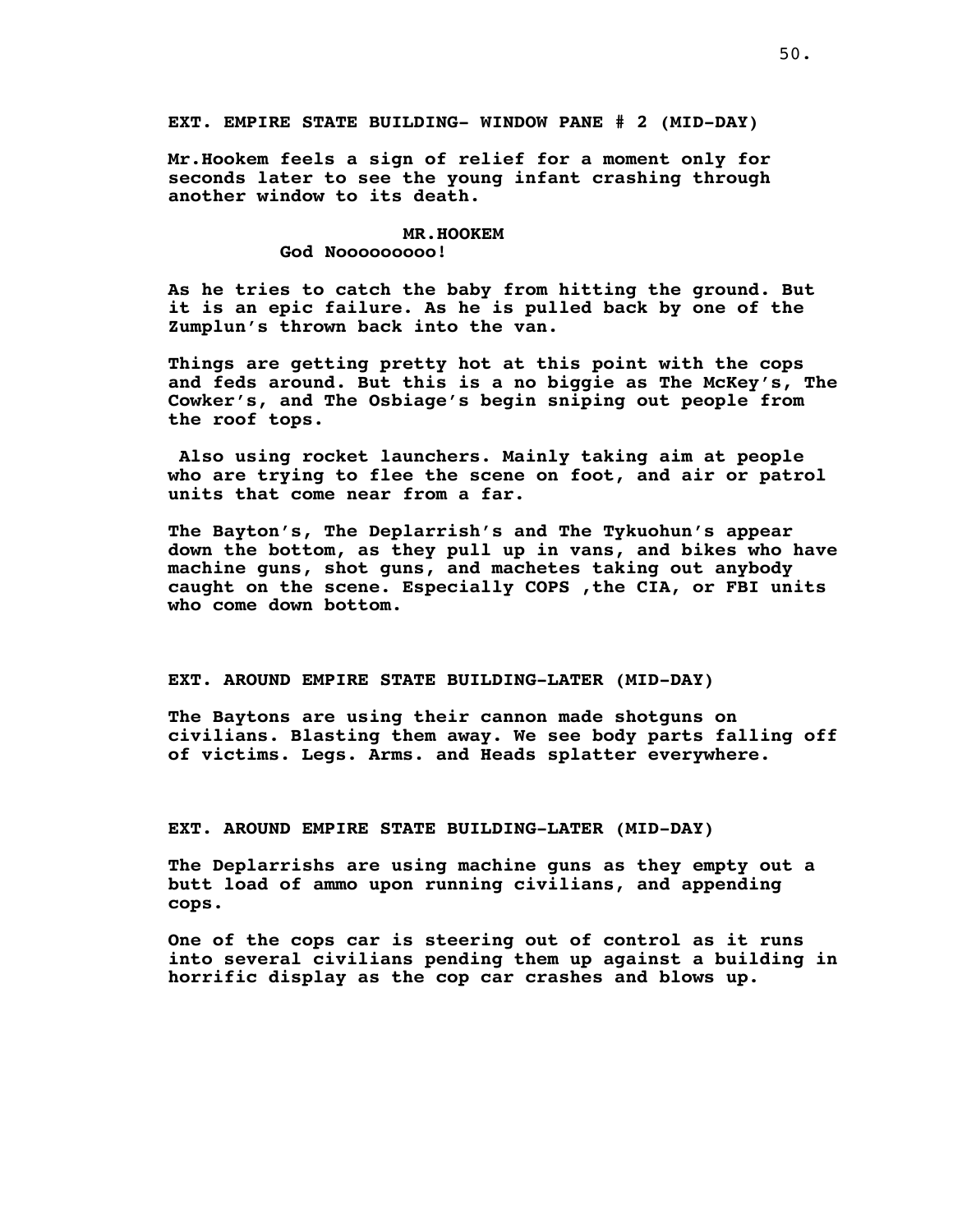**Mr.Hookem feels a sign of relief for a moment only for seconds later to see the young infant crashing through another window to its death.**

#### **MR.HOOKEM**

#### **God Nooooooooo!**

**As he tries to catch the baby from hitting the ground. But it is an epic failure. As he is pulled back by one of the Zumplun's thrown back into the van.**

**Things are getting pretty hot at this point with the cops and feds around. But this is a no biggie as The McKey's, The Cowker's, and The Osbiage's begin sniping out people from the roof tops.**

**Also using rocket launchers. Mainly taking aim at people who are trying to flee the scene on foot, and air or patrol units that come near from a far.**

**The Bayton's, The Deplarrish's and The Tykuohun's appear down the bottom, as they pull up in vans, and bikes who have machine guns, shot guns, and machetes taking out anybody caught on the scene. Especially COPS ,the CIA, or FBI units who come down bottom.**

# **EXT. AROUND EMPIRE STATE BUILDING-LATER (MID-DAY)**

**The Baytons are using their cannon made shotguns on civilians. Blasting them away. We see body parts falling off of victims. Legs. Arms. and Heads splatter everywhere.**

**EXT. AROUND EMPIRE STATE BUILDING-LATER (MID-DAY)**

**The Deplarrishs are using machine guns as they empty out a butt load of ammo upon running civilians, and appending cops.**

**One of the cops car is steering out of control as it runs into several civilians pending them up against a building in horrific display as the cop car crashes and blows up.**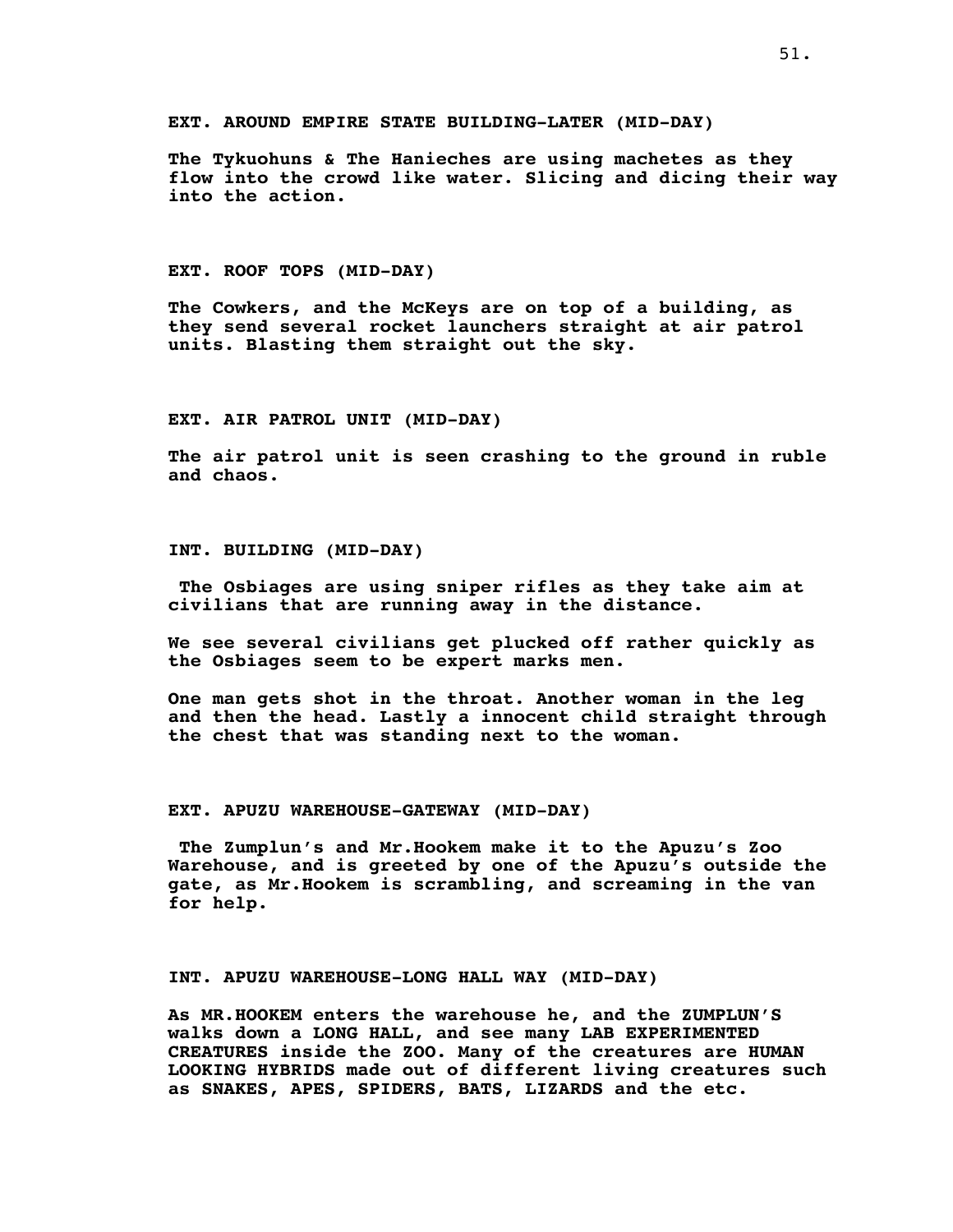**EXT. AROUND EMPIRE STATE BUILDING-LATER (MID-DAY)**

**The Tykuohuns & The Hanieches are using machetes as they flow into the crowd like water. Slicing and dicing their way into the action.**

**EXT. ROOF TOPS (MID-DAY)**

**The Cowkers, and the McKeys are on top of a building, as they send several rocket launchers straight at air patrol units. Blasting them straight out the sky.**

**EXT. AIR PATROL UNIT (MID-DAY)**

**The air patrol unit is seen crashing to the ground in ruble and chaos.**

**INT. BUILDING (MID-DAY)**

**The Osbiages are using sniper rifles as they take aim at civilians that are running away in the distance.**

**We see several civilians get plucked off rather quickly as the Osbiages seem to be expert marks men.**

**One man gets shot in the throat. Another woman in the leg and then the head. Lastly a innocent child straight through the chest that was standing next to the woman.**

**EXT. APUZU WAREHOUSE-GATEWAY (MID-DAY)**

**The Zumplun's and Mr.Hookem make it to the Apuzu's Zoo Warehouse, and is greeted by one of the Apuzu's outside the gate, as Mr.Hookem is scrambling, and screaming in the van for help.**

**INT. APUZU WAREHOUSE-LONG HALL WAY (MID-DAY)**

**As MR.HOOKEM enters the warehouse he, and the ZUMPLUN'S walks down a LONG HALL, and see many LAB EXPERIMENTED CREATURES inside the ZOO. Many of the creatures are HUMAN LOOKING HYBRIDS made out of different living creatures such as SNAKES, APES, SPIDERS, BATS, LIZARDS and the etc.**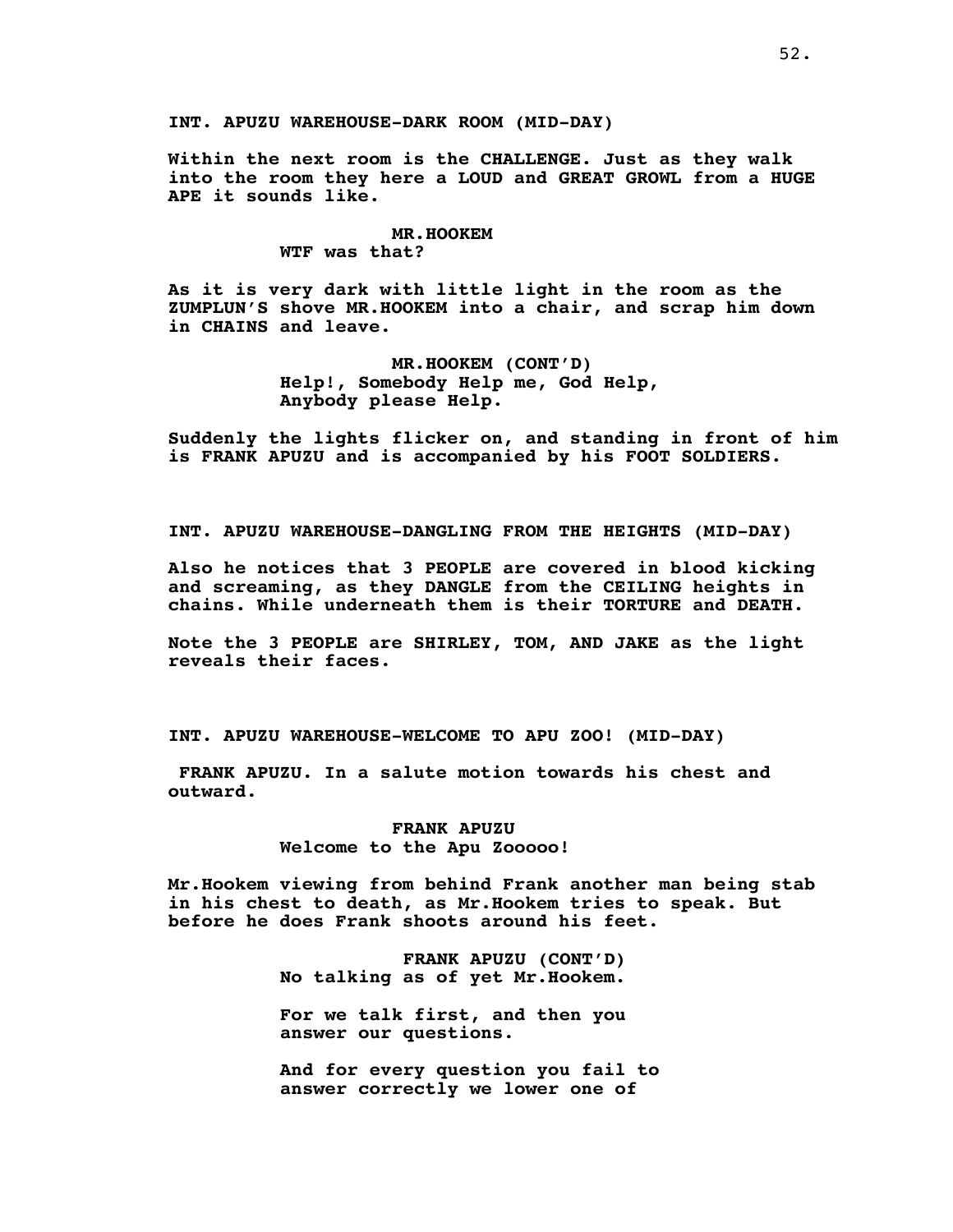**Within the next room is the CHALLENGE. Just as they walk into the room they here a LOUD and GREAT GROWL from a HUGE APE it sounds like.**

# **MR.HOOKEM**

**WTF was that?**

**As it is very dark with little light in the room as the ZUMPLUN'S shove MR.HOOKEM into a chair, and scrap him down in CHAINS and leave.**

> **MR.HOOKEM (CONT'D) Help!, Somebody Help me, God Help, Anybody please Help.**

**Suddenly the lights flicker on, and standing in front of him is FRANK APUZU and is accompanied by his FOOT SOLDIERS.**

**INT. APUZU WAREHOUSE-DANGLING FROM THE HEIGHTS (MID-DAY)**

**Also he notices that 3 PEOPLE are covered in blood kicking and screaming, as they DANGLE from the CEILING heights in chains. While underneath them is their TORTURE and DEATH.**

**Note the 3 PEOPLE are SHIRLEY, TOM, AND JAKE as the light reveals their faces.**

**INT. APUZU WAREHOUSE-WELCOME TO APU ZOO! (MID-DAY)**

**FRANK APUZU. In a salute motion towards his chest and outward.**

> **FRANK APUZU Welcome to the Apu Zooooo!**

**Mr.Hookem viewing from behind Frank another man being stab in his chest to death, as Mr.Hookem tries to speak. But before he does Frank shoots around his feet.**

> **FRANK APUZU (CONT'D) No talking as of yet Mr.Hookem.**

**For we talk first, and then you answer our questions.**

**And for every question you fail to answer correctly we lower one of**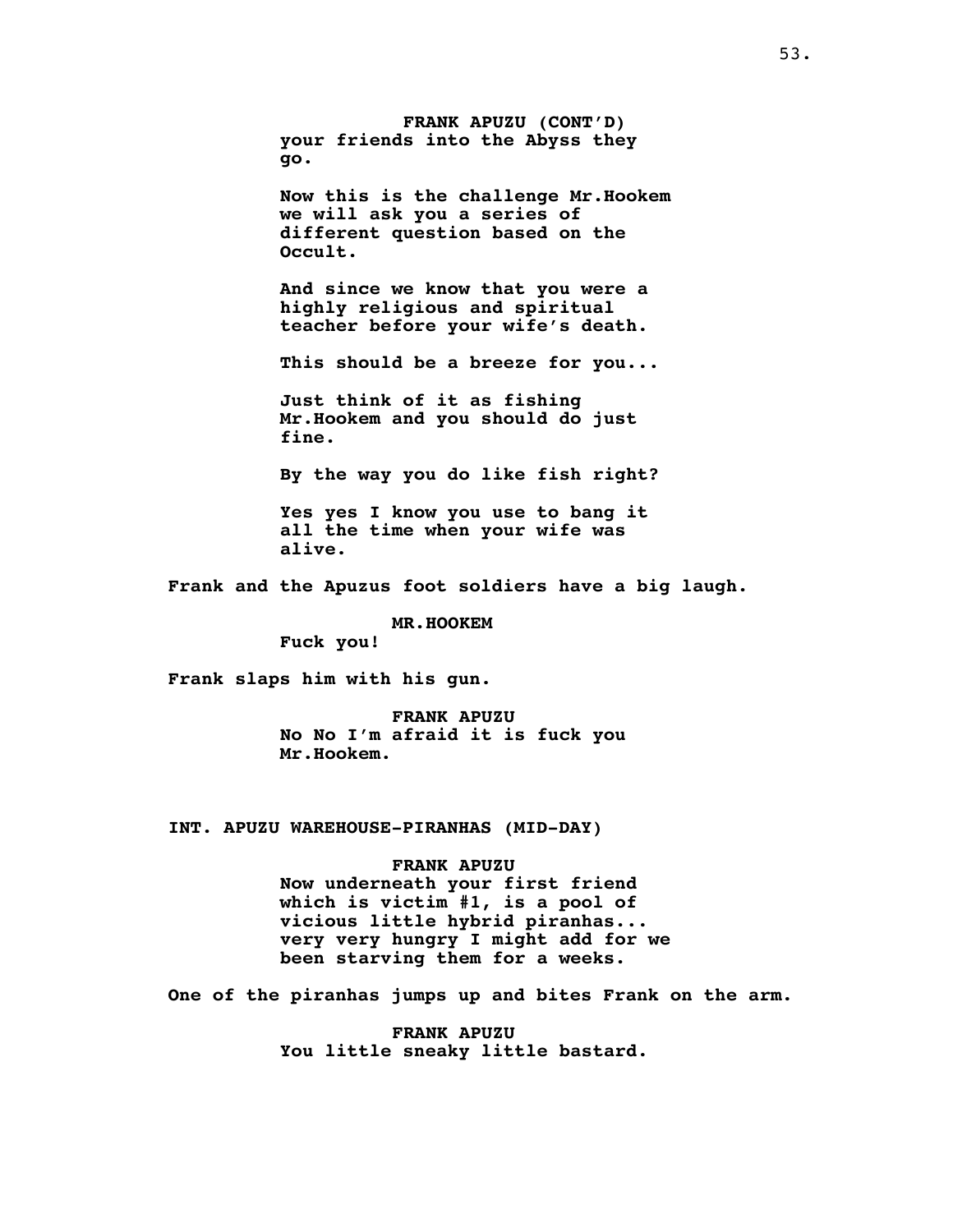**FRANK APUZU (CONT'D) your friends into the Abyss they go.**

**Now this is the challenge Mr.Hookem we will ask you a series of different question based on the Occult.**

**And since we know that you were a highly religious and spiritual teacher before your wife's death.**

**This should be a breeze for you...**

**Just think of it as fishing Mr.Hookem and you should do just fine.**

**By the way you do like fish right?**

**Yes yes I know you use to bang it all the time when your wife was alive.**

**Frank and the Apuzus foot soldiers have a big laugh.**

**MR.HOOKEM**

**Fuck you!**

**Frank slaps him with his gun.**

**FRANK APUZU No No I'm afraid it is fuck you Mr.Hookem.**

**INT. APUZU WAREHOUSE-PIRANHAS (MID-DAY)**

# **FRANK APUZU**

**Now underneath your first friend which is victim #1, is a pool of vicious little hybrid piranhas... very very hungry I might add for we been starving them for a weeks.**

**One of the piranhas jumps up and bites Frank on the arm.**

**FRANK APUZU You little sneaky little bastard.**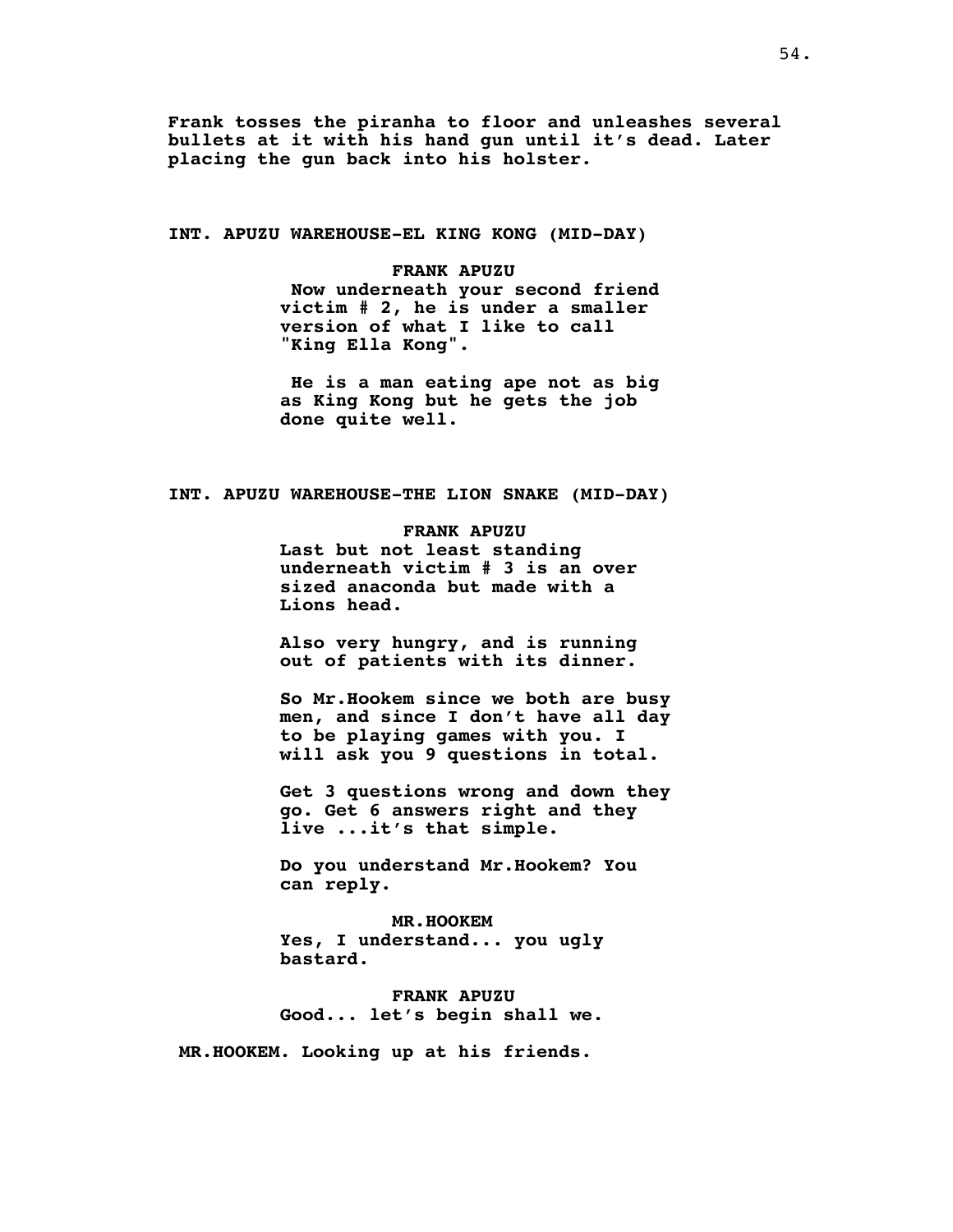**Frank tosses the piranha to floor and unleashes several bullets at it with his hand gun until it's dead. Later placing the gun back into his holster.**

**INT. APUZU WAREHOUSE-EL KING KONG (MID-DAY)**

**FRANK APUZU Now underneath your second friend victim # 2, he is under a smaller version of what I like to call "King Ella Kong".**

**He is a man eating ape not as big as King Kong but he gets the job done quite well.**

**INT. APUZU WAREHOUSE-THE LION SNAKE (MID-DAY)**

**FRANK APUZU Last but not least standing underneath victim # 3 is an over sized anaconda but made with a Lions head.**

**Also very hungry, and is running out of patients with its dinner.**

**So Mr.Hookem since we both are busy men, and since I don't have all day to be playing games with you. I will ask you 9 questions in total.**

**Get 3 questions wrong and down they go. Get 6 answers right and they live ...it's that simple.**

**Do you understand Mr.Hookem? You can reply.**

**MR.HOOKEM Yes, I understand... you ugly bastard.**

**FRANK APUZU Good... let's begin shall we.**

**MR.HOOKEM. Looking up at his friends.**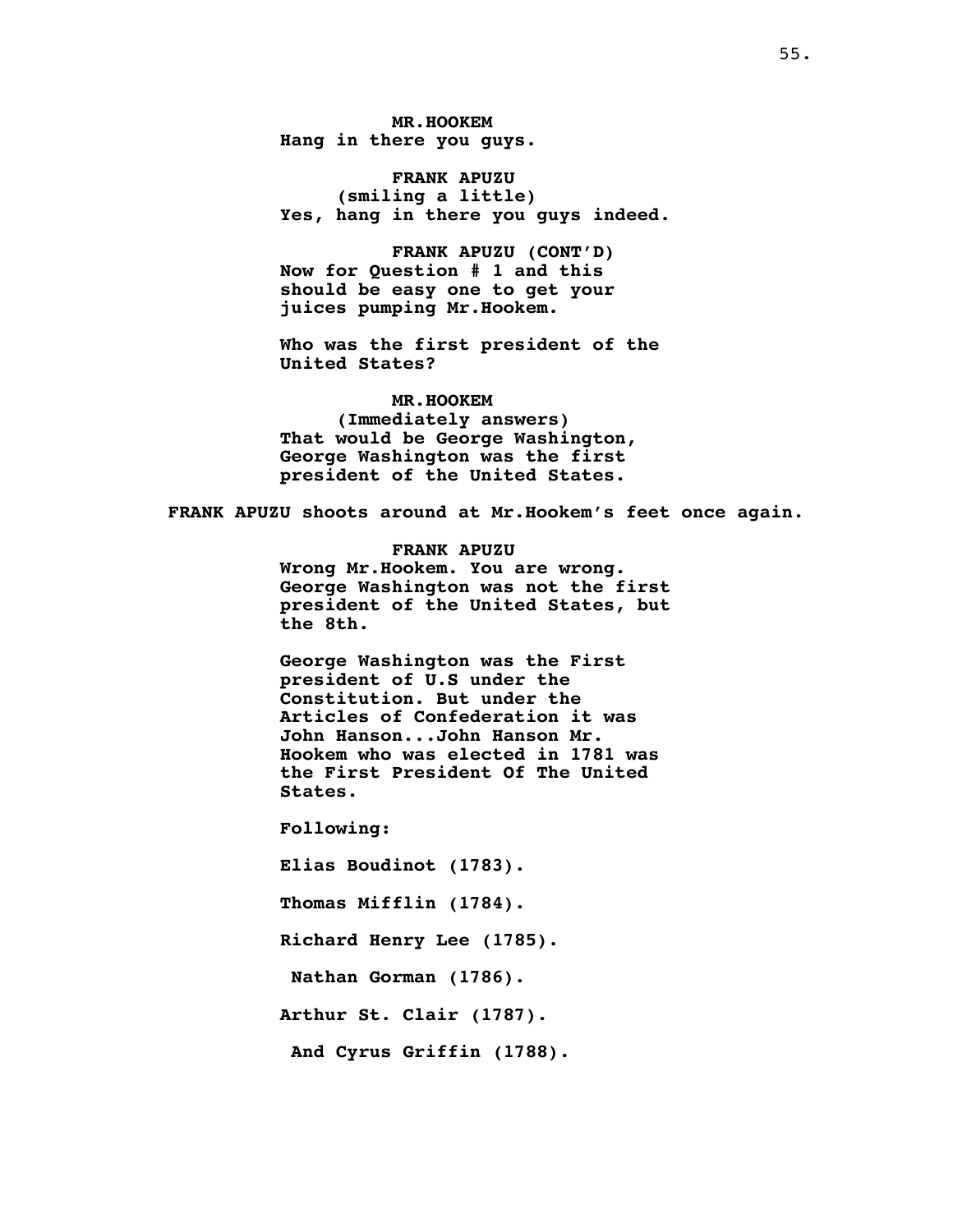**MR.HOOKEM Hang in there you guys.**

**FRANK APUZU (smiling a little) Yes, hang in there you guys indeed.**

**FRANK APUZU (CONT'D) Now for Question # 1 and this should be easy one to get your juices pumping Mr.Hookem.**

**Who was the first president of the United States?**

**MR.HOOKEM (Immediately answers) That would be George Washington, George Washington was the first president of the United States.**

**FRANK APUZU shoots around at Mr.Hookem's feet once again.**

**FRANK APUZU Wrong Mr.Hookem. You are wrong. George Washington was not the first president of the United States, but the 8th.**

**George Washington was the First president of U.S under the Constitution. But under the Articles of Confederation it was John Hanson...John Hanson Mr. Hookem who was elected in 1781 was the First President Of The United States.**

**Following:**

**Elias Boudinot (1783).**

**Thomas Mifflin (1784).**

**Richard Henry Lee (1785).**

**Nathan Gorman (1786).**

**Arthur St. Clair (1787).**

**And Cyrus Griffin (1788).**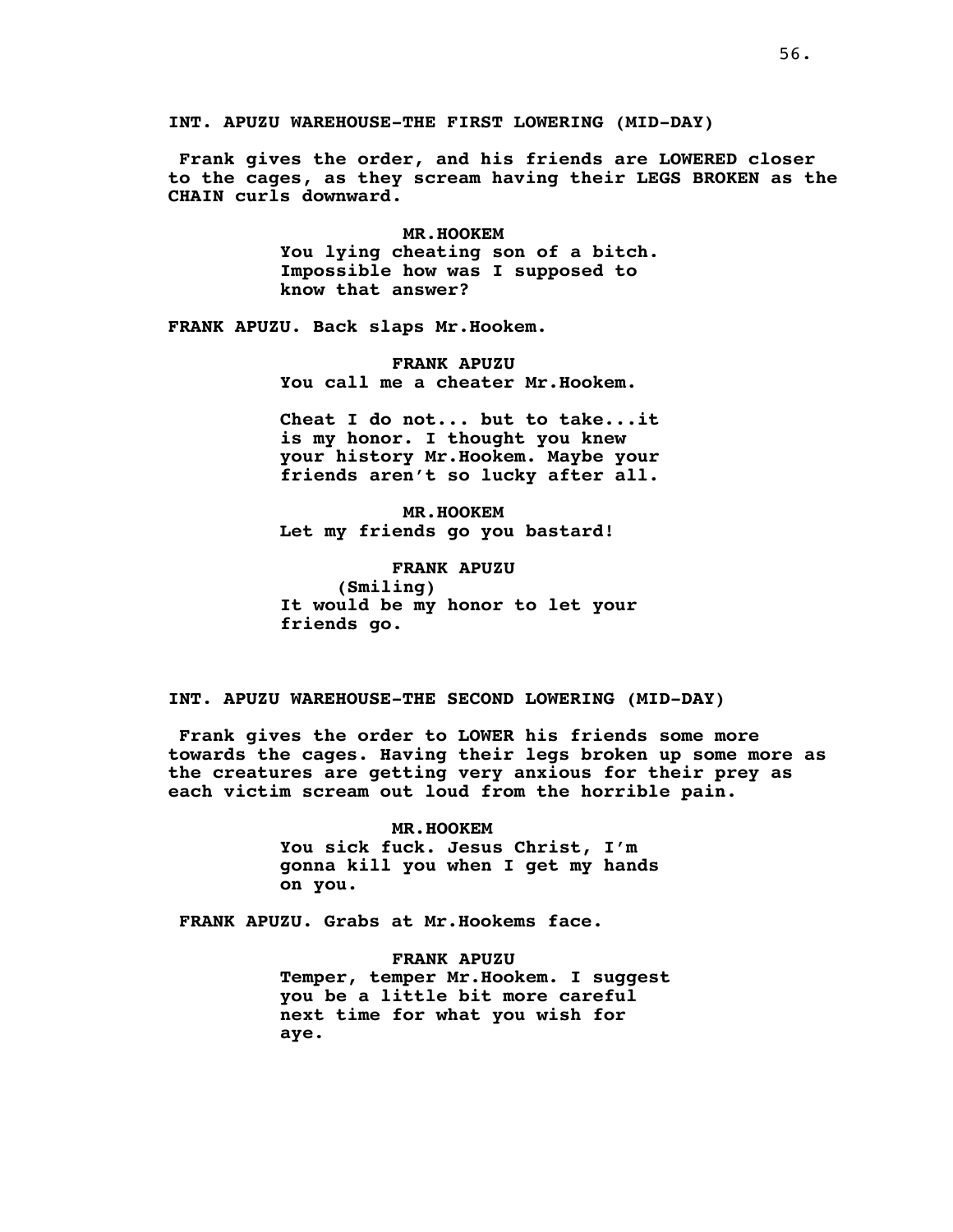**INT. APUZU WAREHOUSE-THE FIRST LOWERING (MID-DAY)**

**Frank gives the order, and his friends are LOWERED closer to the cages, as they scream having their LEGS BROKEN as the CHAIN curls downward.**

> **MR.HOOKEM You lying cheating son of a bitch. Impossible how was I supposed to know that answer?**

**FRANK APUZU. Back slaps Mr.Hookem.**

**FRANK APUZU You call me a cheater Mr.Hookem.**

**Cheat I do not... but to take...it is my honor. I thought you knew your history Mr.Hookem. Maybe your friends aren't so lucky after all.**

**MR.HOOKEM Let my friends go you bastard!**

**FRANK APUZU (Smiling) It would be my honor to let your friends go.**

**INT. APUZU WAREHOUSE-THE SECOND LOWERING (MID-DAY)**

**Frank gives the order to LOWER his friends some more towards the cages. Having their legs broken up some more as the creatures are getting very anxious for their prey as each victim scream out loud from the horrible pain.**

> **MR.HOOKEM You sick fuck. Jesus Christ, I'm gonna kill you when I get my hands on you.**

**FRANK APUZU. Grabs at Mr.Hookems face.**

**FRANK APUZU Temper, temper Mr.Hookem. I suggest you be a little bit more careful next time for what you wish for aye.**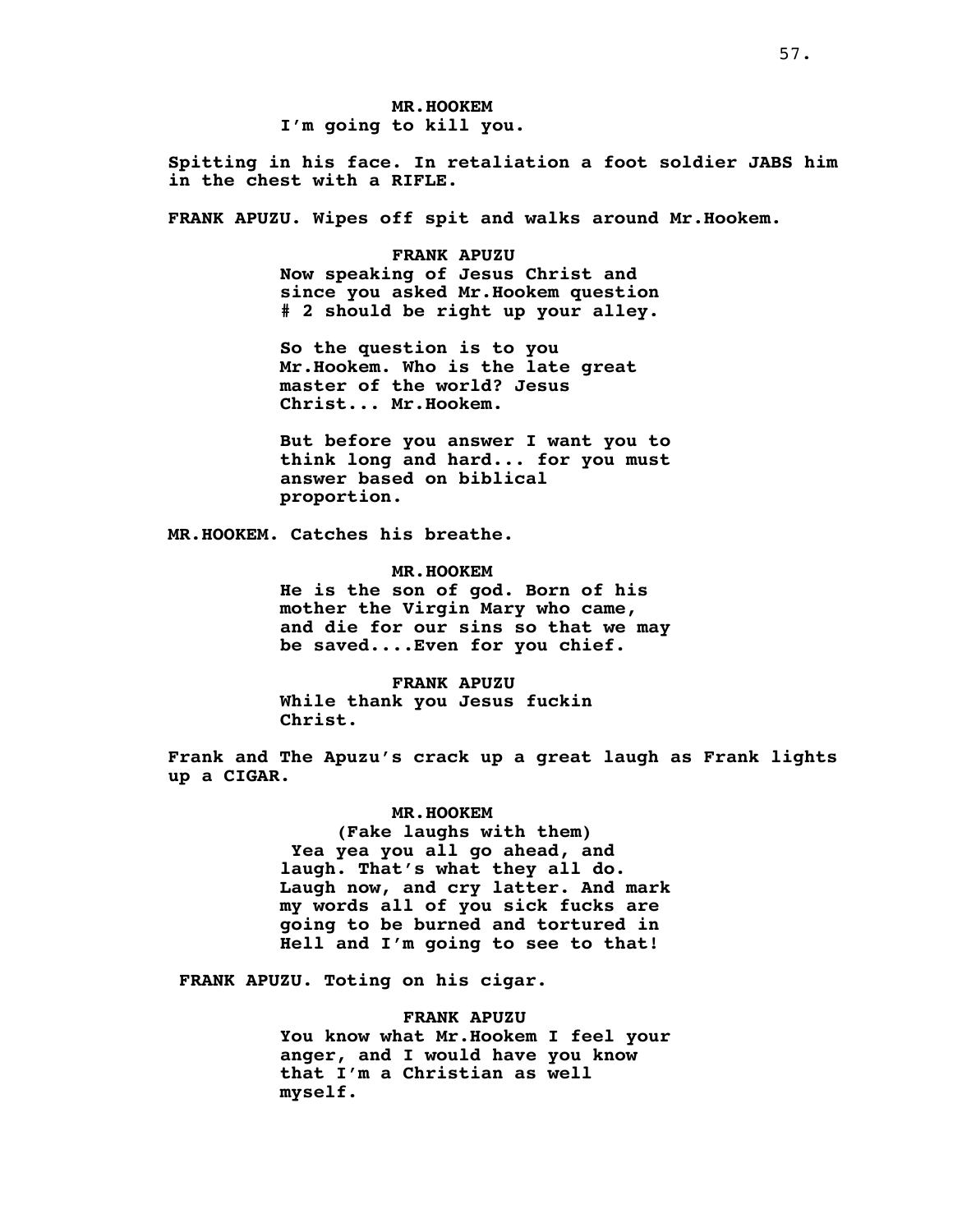**MR.HOOKEM I'm going to kill you.**

**Spitting in his face. In retaliation a foot soldier JABS him in the chest with a RIFLE.**

**FRANK APUZU. Wipes off spit and walks around Mr.Hookem.**

**FRANK APUZU Now speaking of Jesus Christ and since you asked Mr.Hookem question # 2 should be right up your alley.**

**So the question is to you Mr.Hookem. Who is the late great master of the world? Jesus Christ... Mr.Hookem.**

**But before you answer I want you to think long and hard... for you must answer based on biblical proportion.**

**MR.HOOKEM. Catches his breathe.**

**MR.HOOKEM He is the son of god. Born of his mother the Virgin Mary who came, and die for our sins so that we may be saved....Even for you chief.**

**FRANK APUZU While thank you Jesus fuckin Christ.**

**Frank and The Apuzu's crack up a great laugh as Frank lights up a CIGAR.**

**MR.HOOKEM**

**(Fake laughs with them) Yea yea you all go ahead, and laugh. That's what they all do. Laugh now, and cry latter. And mark my words all of you sick fucks are going to be burned and tortured in Hell and I'm going to see to that!**

**FRANK APUZU. Toting on his cigar.**

**FRANK APUZU You know what Mr.Hookem I feel your anger, and I would have you know that I'm a Christian as well myself.**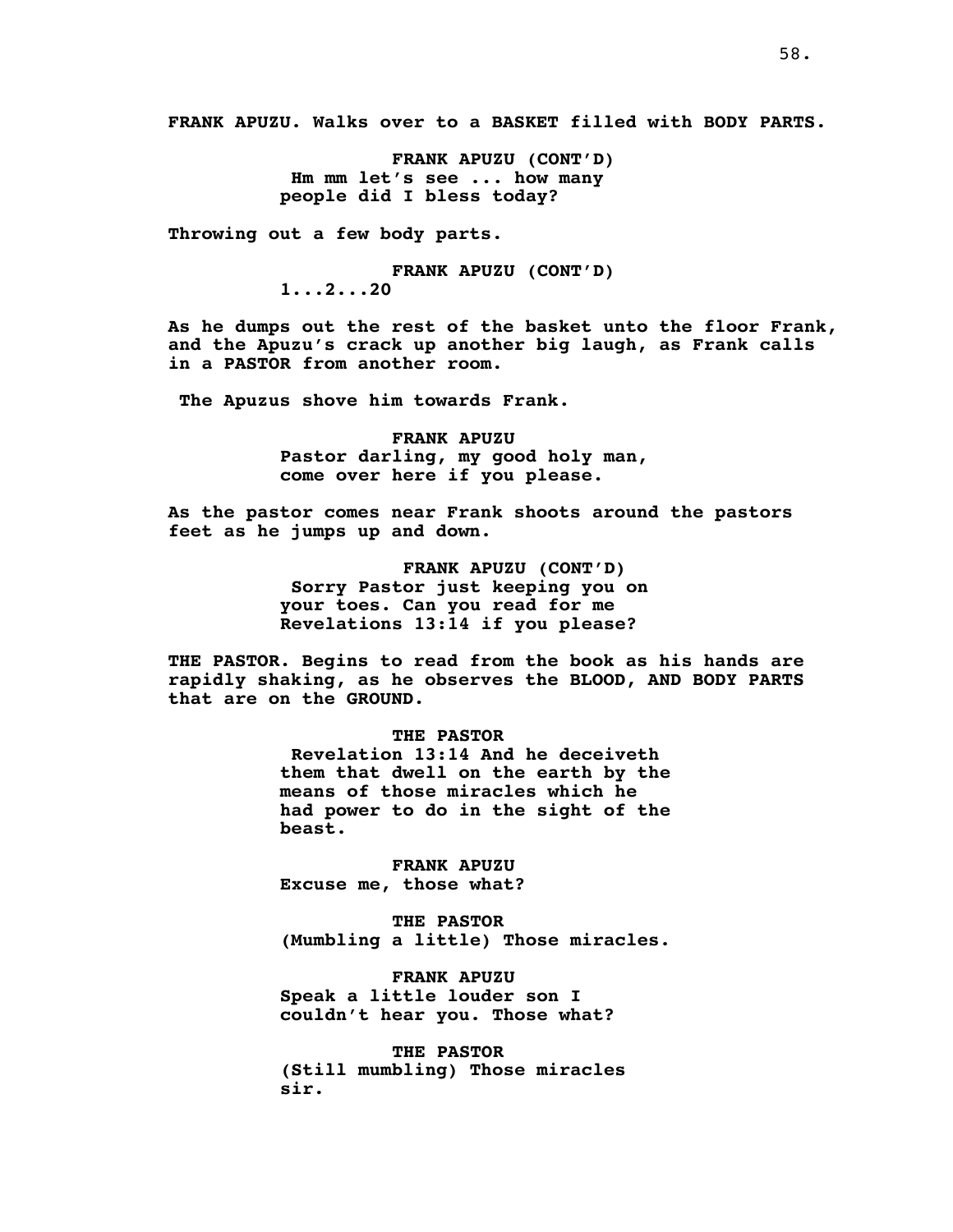**FRANK APUZU. Walks over to a BASKET filled with BODY PARTS.**

**FRANK APUZU (CONT'D) Hm mm let's see ... how many people did I bless today?**

**Throwing out a few body parts.**

**FRANK APUZU (CONT'D) 1...2...20**

**As he dumps out the rest of the basket unto the floor Frank, and the Apuzu's crack up another big laugh, as Frank calls in a PASTOR from another room.**

**The Apuzus shove him towards Frank.**

**FRANK APUZU Pastor darling, my good holy man, come over here if you please.**

**As the pastor comes near Frank shoots around the pastors feet as he jumps up and down.**

> **FRANK APUZU (CONT'D) Sorry Pastor just keeping you on your toes. Can you read for me Revelations 13:14 if you please?**

**THE PASTOR. Begins to read from the book as his hands are rapidly shaking, as he observes the BLOOD, AND BODY PARTS that are on the GROUND.**

# **THE PASTOR**

**Revelation 13:14 And he deceiveth them that dwell on the earth by the means of those miracles which he had power to do in the sight of the beast.**

**FRANK APUZU Excuse me, those what?**

**THE PASTOR (Mumbling a little) Those miracles.**

**FRANK APUZU Speak a little louder son I couldn't hear you. Those what?**

**THE PASTOR (Still mumbling) Those miracles sir.**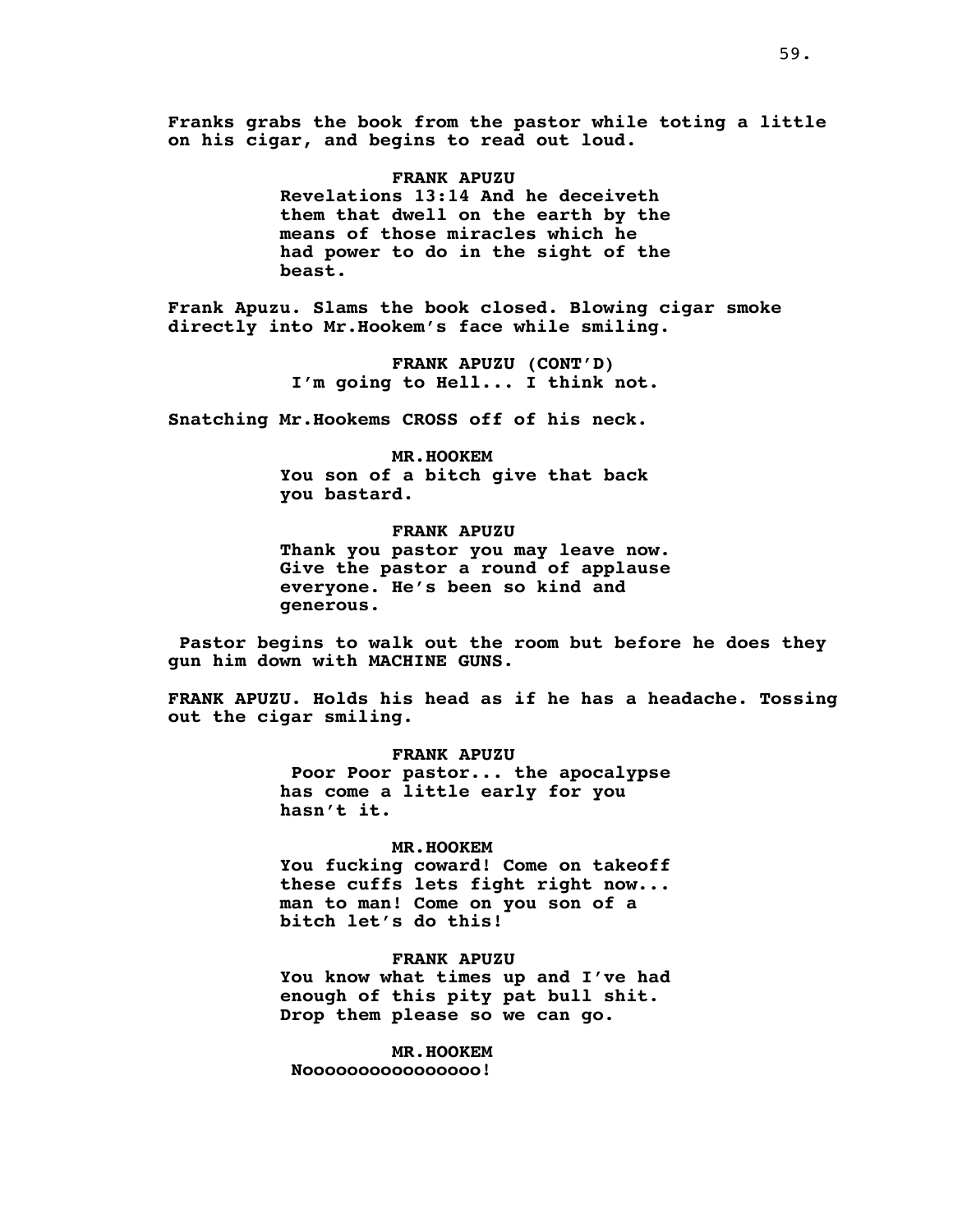**Franks grabs the book from the pastor while toting a little on his cigar, and begins to read out loud.**

# **FRANK APUZU**

**Revelations 13:14 And he deceiveth them that dwell on the earth by the means of those miracles which he had power to do in the sight of the beast.**

**Frank Apuzu. Slams the book closed. Blowing cigar smoke directly into Mr.Hookem's face while smiling.**

> **FRANK APUZU (CONT'D) I'm going to Hell... I think not.**

**Snatching Mr.Hookems CROSS off of his neck.**

**MR.HOOKEM You son of a bitch give that back you bastard.**

**FRANK APUZU Thank you pastor you may leave now. Give the pastor a round of applause everyone. He's been so kind and generous.**

**Pastor begins to walk out the room but before he does they gun him down with MACHINE GUNS.**

**FRANK APUZU. Holds his head as if he has a headache. Tossing out the cigar smiling.**

> **FRANK APUZU Poor Poor pastor... the apocalypse has come a little early for you hasn't it.**

# **MR.HOOKEM**

**You fucking coward! Come on takeoff these cuffs lets fight right now... man to man! Come on you son of a bitch let's do this!**

**FRANK APUZU You know what times up and I've had enough of this pity pat bull shit. Drop them please so we can go.**

**MR.HOOKEM Noooooooooooooooo!**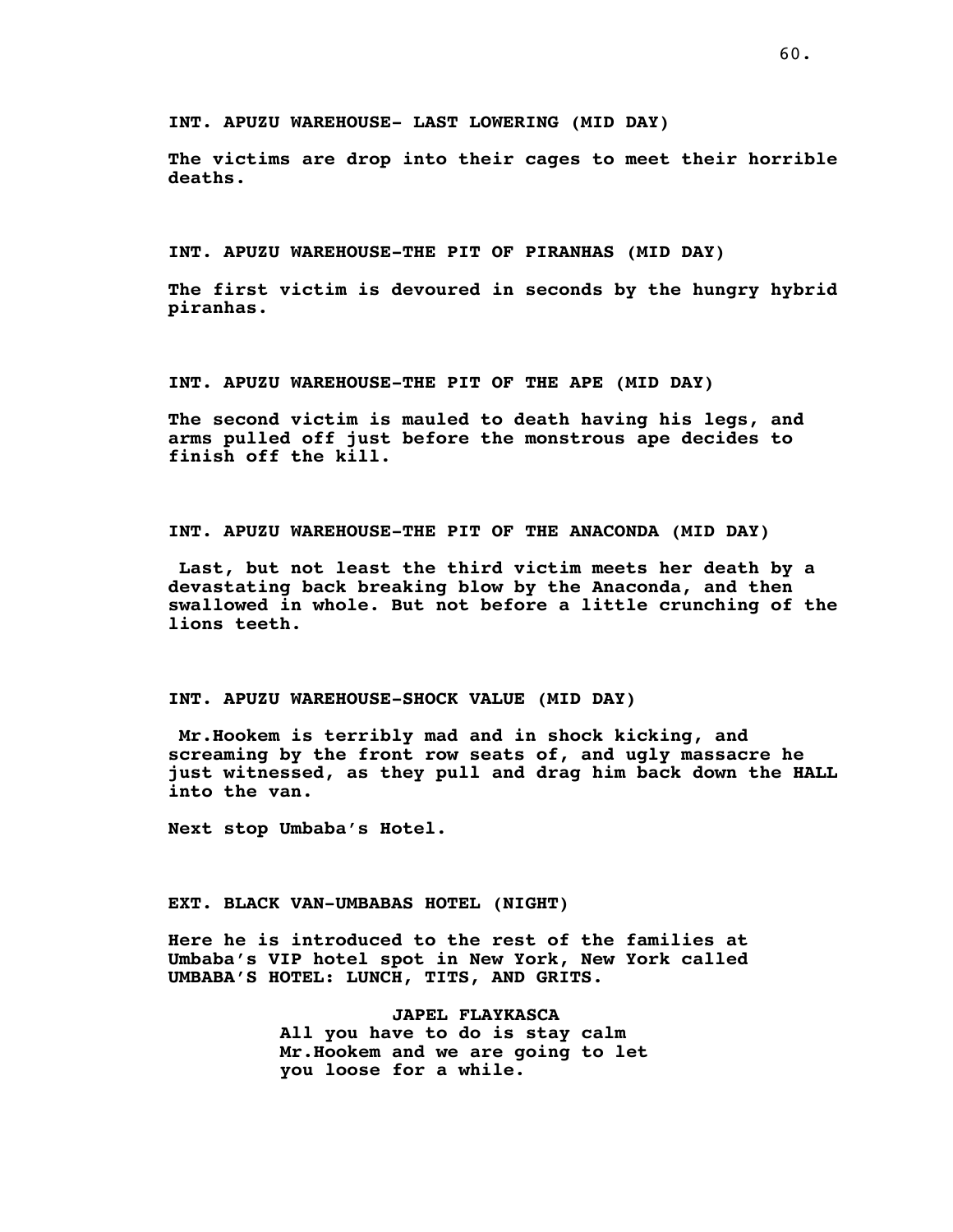**INT. APUZU WAREHOUSE- LAST LOWERING (MID DAY)**

**The victims are drop into their cages to meet their horrible deaths.**

**INT. APUZU WAREHOUSE-THE PIT OF PIRANHAS (MID DAY)**

**The first victim is devoured in seconds by the hungry hybrid piranhas.**

**INT. APUZU WAREHOUSE-THE PIT OF THE APE (MID DAY)**

**The second victim is mauled to death having his legs, and arms pulled off just before the monstrous ape decides to finish off the kill.**

**INT. APUZU WAREHOUSE-THE PIT OF THE ANACONDA (MID DAY)**

**Last, but not least the third victim meets her death by a devastating back breaking blow by the Anaconda, and then swallowed in whole. But not before a little crunching of the lions teeth.**

**INT. APUZU WAREHOUSE-SHOCK VALUE (MID DAY)**

**Mr.Hookem is terribly mad and in shock kicking, and screaming by the front row seats of, and ugly massacre he just witnessed, as they pull and drag him back down the HALL into the van.**

**Next stop Umbaba's Hotel.**

**EXT. BLACK VAN-UMBABAS HOTEL (NIGHT)**

**Here he is introduced to the rest of the families at Umbaba's VIP hotel spot in New York, New York called UMBABA'S HOTEL: LUNCH, TITS, AND GRITS.**

> **JAPEL FLAYKASCA All you have to do is stay calm Mr.Hookem and we are going to let you loose for a while.**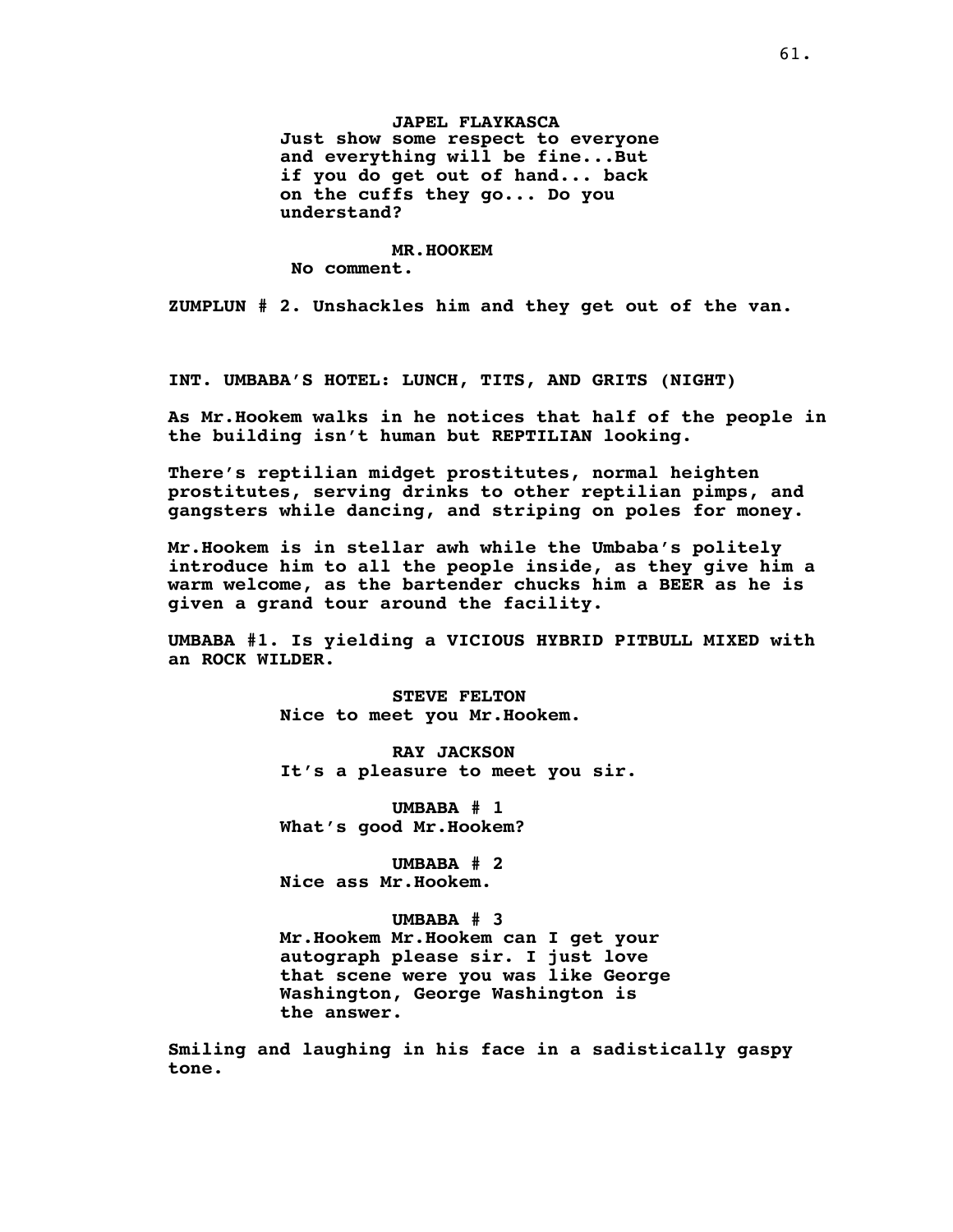**JAPEL FLAYKASCA Just show some respect to everyone and everything will be fine...But if you do get out of hand... back on the cuffs they go... Do you understand?**

#### **MR.HOOKEM**

**No comment.**

**ZUMPLUN # 2. Unshackles him and they get out of the van.**

**INT. UMBABA'S HOTEL: LUNCH, TITS, AND GRITS (NIGHT)**

**As Mr.Hookem walks in he notices that half of the people in the building isn't human but REPTILIAN looking.**

**There's reptilian midget prostitutes, normal heighten prostitutes, serving drinks to other reptilian pimps, and gangsters while dancing, and striping on poles for money.**

**Mr.Hookem is in stellar awh while the Umbaba's politely introduce him to all the people inside, as they give him a warm welcome, as the bartender chucks him a BEER as he is given a grand tour around the facility.**

**UMBABA #1. Is yielding a VICIOUS HYBRID PITBULL MIXED with an ROCK WILDER.**

> **STEVE FELTON Nice to meet you Mr.Hookem.**

**RAY JACKSON It's a pleasure to meet you sir.**

**UMBABA # 1 What's good Mr.Hookem?**

**UMBABA # 2 Nice ass Mr.Hookem.**

**UMBABA # 3**

**Mr.Hookem Mr.Hookem can I get your autograph please sir. I just love that scene were you was like George Washington, George Washington is the answer.**

**Smiling and laughing in his face in a sadistically gaspy tone.**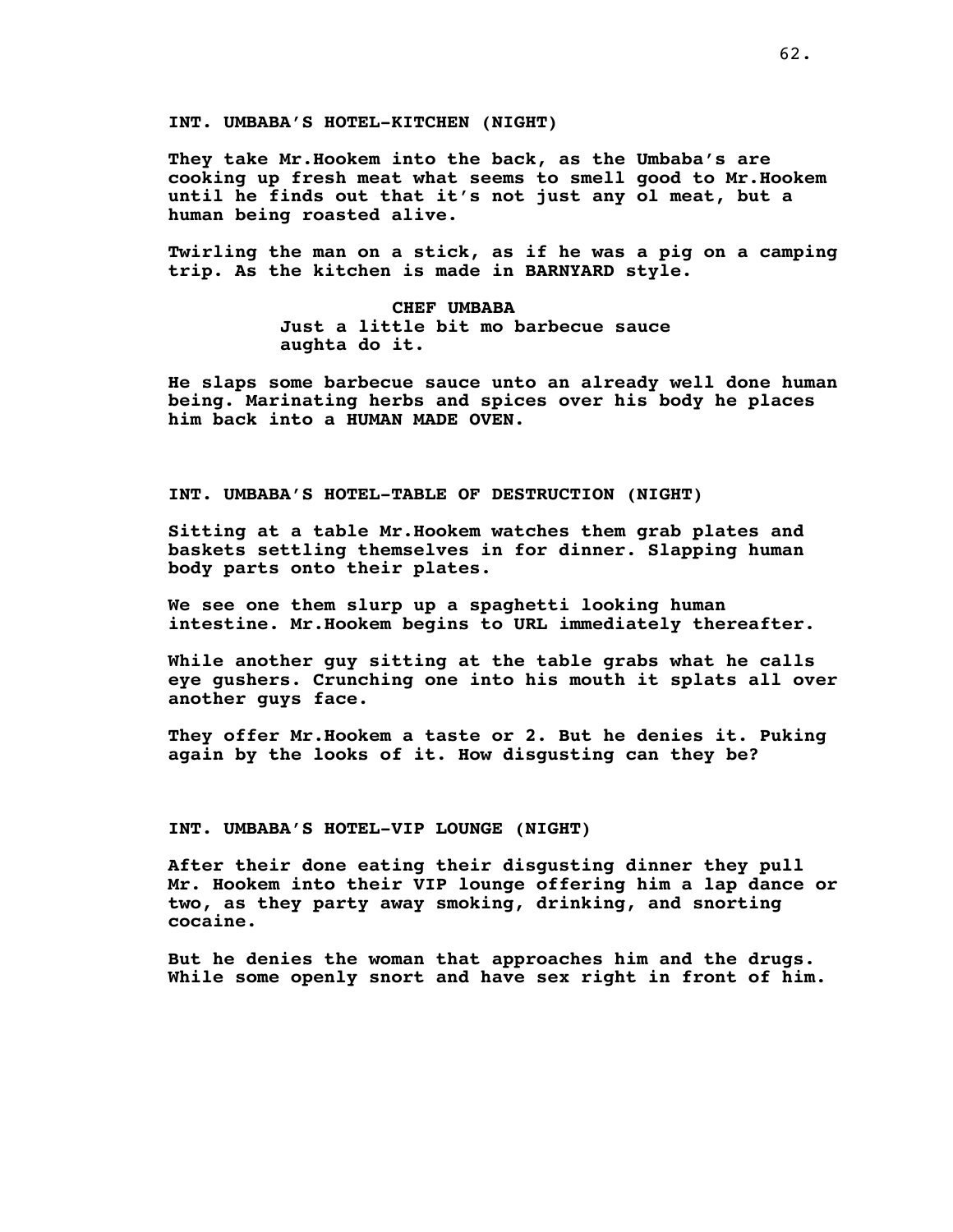**INT. UMBABA'S HOTEL-KITCHEN (NIGHT)**

**They take Mr.Hookem into the back, as the Umbaba's are cooking up fresh meat what seems to smell good to Mr.Hookem until he finds out that it's not just any ol meat, but a human being roasted alive.**

**Twirling the man on a stick, as if he was a pig on a camping trip. As the kitchen is made in BARNYARD style.**

> **CHEF UMBABA Just a little bit mo barbecue sauce aughta do it.**

**He slaps some barbecue sauce unto an already well done human being. Marinating herbs and spices over his body he places him back into a HUMAN MADE OVEN.**

# **INT. UMBABA'S HOTEL-TABLE OF DESTRUCTION (NIGHT)**

**Sitting at a table Mr.Hookem watches them grab plates and baskets settling themselves in for dinner. Slapping human body parts onto their plates.**

**We see one them slurp up a spaghetti looking human intestine. Mr.Hookem begins to URL immediately thereafter.**

**While another guy sitting at the table grabs what he calls eye gushers. Crunching one into his mouth it splats all over another guys face.**

**They offer Mr.Hookem a taste or 2. But he denies it. Puking again by the looks of it. How disgusting can they be?**

## **INT. UMBABA'S HOTEL-VIP LOUNGE (NIGHT)**

**After their done eating their disgusting dinner they pull Mr. Hookem into their VIP lounge offering him a lap dance or two, as they party away smoking, drinking, and snorting cocaine.**

**But he denies the woman that approaches him and the drugs. While some openly snort and have sex right in front of him.**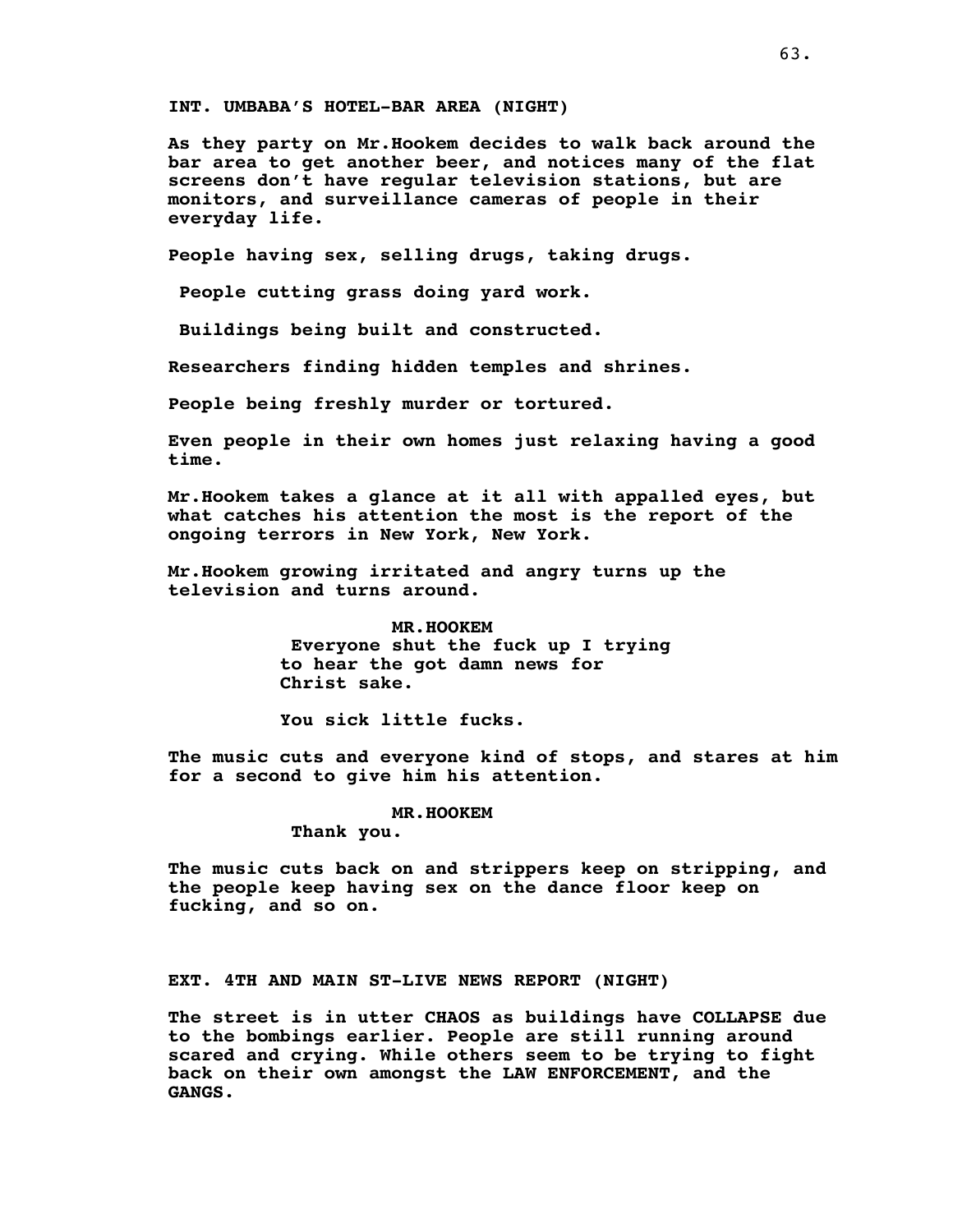**INT. UMBABA'S HOTEL-BAR AREA (NIGHT)**

**As they party on Mr.Hookem decides to walk back around the bar area to get another beer, and notices many of the flat screens don't have regular television stations, but are monitors, and surveillance cameras of people in their everyday life.**

**People having sex, selling drugs, taking drugs.**

**People cutting grass doing yard work.**

**Buildings being built and constructed.**

**Researchers finding hidden temples and shrines.**

**People being freshly murder or tortured.**

**Even people in their own homes just relaxing having a good time.**

**Mr.Hookem takes a glance at it all with appalled eyes, but what catches his attention the most is the report of the ongoing terrors in New York, New York.**

**Mr.Hookem growing irritated and angry turns up the television and turns around.**

> **MR.HOOKEM Everyone shut the fuck up I trying to hear the got damn news for Christ sake.**

**You sick little fucks.**

**The music cuts and everyone kind of stops, and stares at him for a second to give him his attention.**

**MR.HOOKEM**

**Thank you.**

**The music cuts back on and strippers keep on stripping, and the people keep having sex on the dance floor keep on fucking, and so on.**

**EXT. 4TH AND MAIN ST-LIVE NEWS REPORT (NIGHT)**

**The street is in utter CHAOS as buildings have COLLAPSE due to the bombings earlier. People are still running around scared and crying. While others seem to be trying to fight back on their own amongst the LAW ENFORCEMENT, and the GANGS.**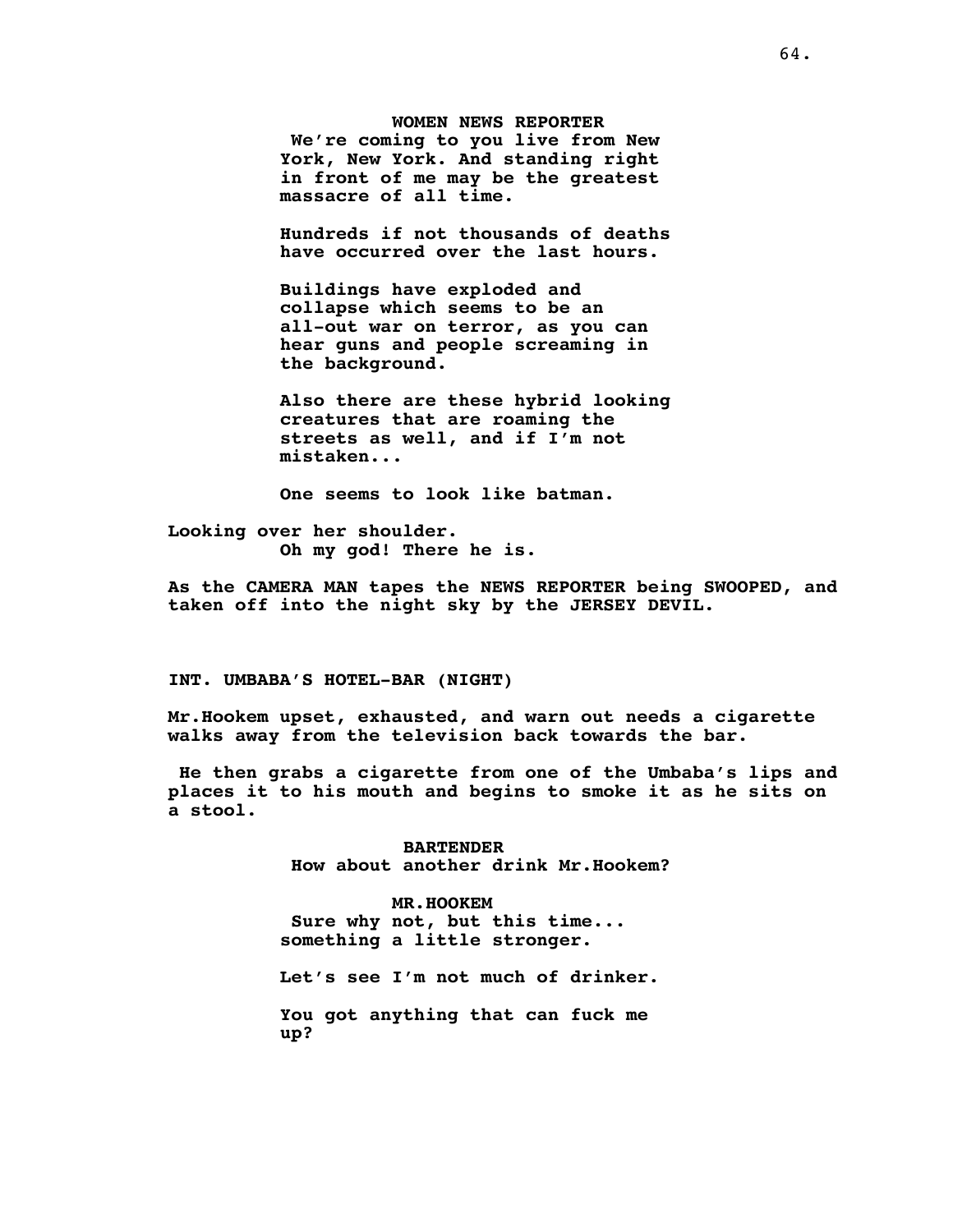**WOMEN NEWS REPORTER We're coming to you live from New York, New York. And standing right in front of me may be the greatest massacre of all time.**

**Hundreds if not thousands of deaths have occurred over the last hours.**

**Buildings have exploded and collapse which seems to be an all-out war on terror, as you can hear guns and people screaming in the background.**

**Also there are these hybrid looking creatures that are roaming the streets as well, and if I'm not mistaken...**

**One seems to look like batman.**

**Looking over her shoulder. Oh my god! There he is.**

**As the CAMERA MAN tapes the NEWS REPORTER being SWOOPED, and taken off into the night sky by the JERSEY DEVIL.**

**INT. UMBABA'S HOTEL-BAR (NIGHT)**

**Mr.Hookem upset, exhausted, and warn out needs a cigarette walks away from the television back towards the bar.**

**He then grabs a cigarette from one of the Umbaba's lips and places it to his mouth and begins to smoke it as he sits on a stool.**

> **BARTENDER How about another drink Mr.Hookem?**

**MR.HOOKEM Sure why not, but this time... something a little stronger.**

**Let's see I'm not much of drinker.**

**You got anything that can fuck me up?**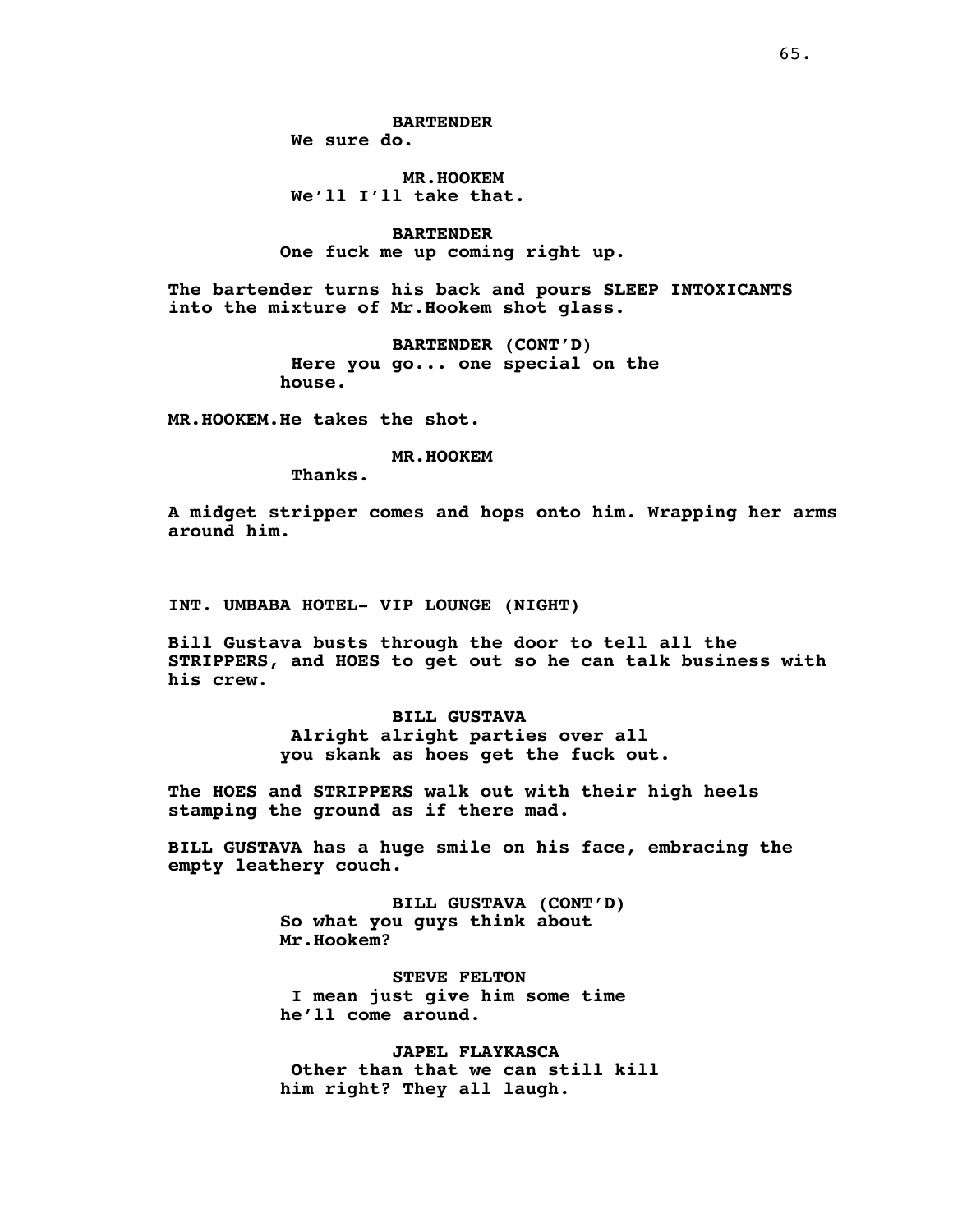**MR.HOOKEM We'll I'll take that.**

**BARTENDER One fuck me up coming right up.**

**The bartender turns his back and pours SLEEP INTOXICANTS into the mixture of Mr.Hookem shot glass.**

> **BARTENDER (CONT'D) Here you go... one special on the house.**

**MR.HOOKEM.He takes the shot.**

**MR.HOOKEM**

**Thanks.**

**A midget stripper comes and hops onto him. Wrapping her arms around him.**

**INT. UMBABA HOTEL- VIP LOUNGE (NIGHT)**

**Bill Gustava busts through the door to tell all the STRIPPERS, and HOES to get out so he can talk business with his crew.**

> **BILL GUSTAVA Alright alright parties over all you skank as hoes get the fuck out.**

**The HOES and STRIPPERS walk out with their high heels stamping the ground as if there mad.**

**BILL GUSTAVA has a huge smile on his face, embracing the empty leathery couch.**

> **BILL GUSTAVA (CONT'D) So what you guys think about Mr.Hookem?**

> **STEVE FELTON I mean just give him some time he'll come around.**

**JAPEL FLAYKASCA Other than that we can still kill him right? They all laugh.**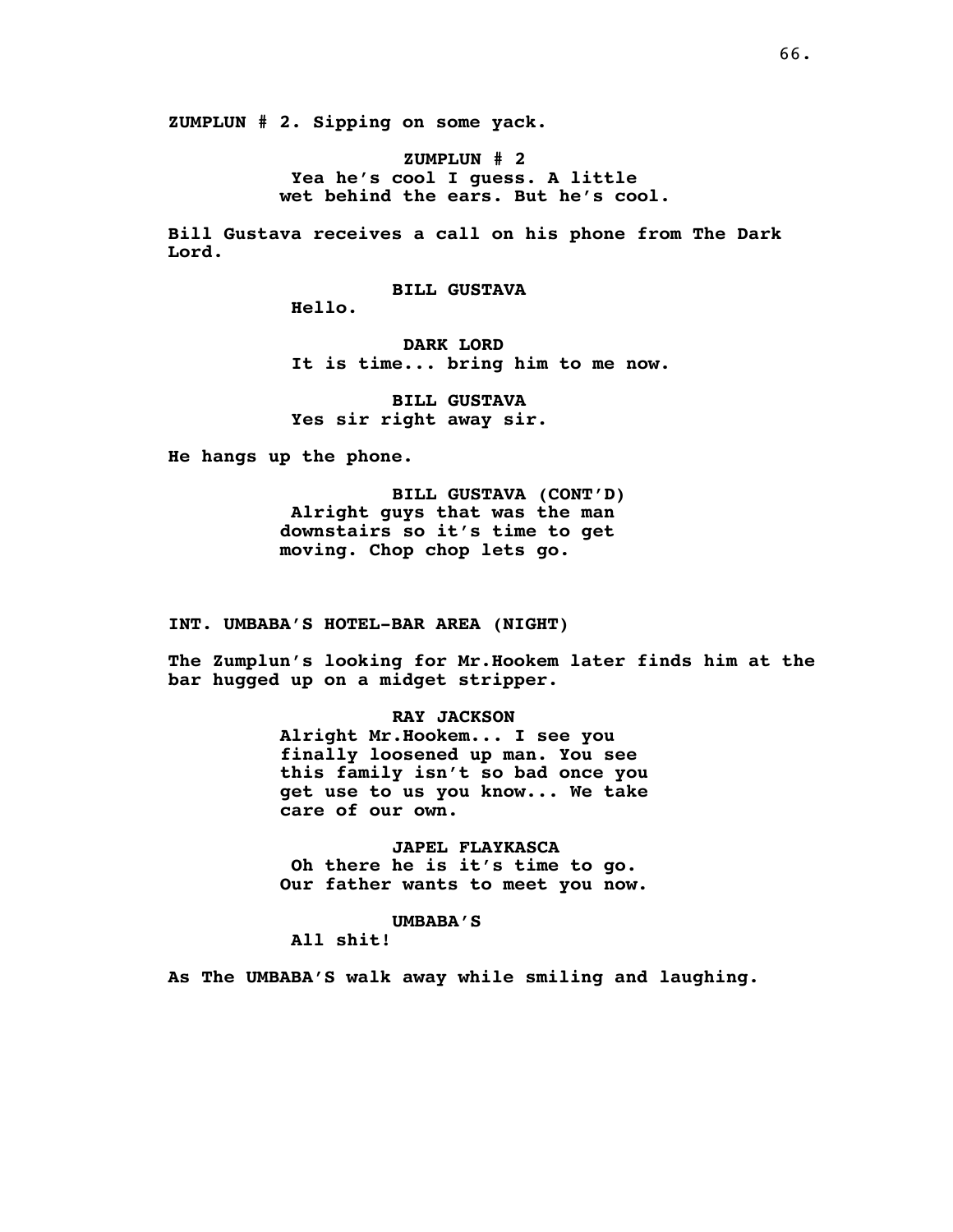**ZUMPLUN # 2. Sipping on some yack.**

**ZUMPLUN # 2 Yea he's cool I guess. A little wet behind the ears. But he's cool.**

**Bill Gustava receives a call on his phone from The Dark Lord.**

**BILL GUSTAVA**

**Hello.**

**DARK LORD It is time... bring him to me now.**

**BILL GUSTAVA Yes sir right away sir.**

**He hangs up the phone.**

**BILL GUSTAVA (CONT'D) Alright guys that was the man downstairs so it's time to get moving. Chop chop lets go.**

**INT. UMBABA'S HOTEL-BAR AREA (NIGHT)**

**The Zumplun's looking for Mr.Hookem later finds him at the bar hugged up on a midget stripper.**

# **RAY JACKSON**

**Alright Mr.Hookem... I see you finally loosened up man. You see this family isn't so bad once you get use to us you know... We take care of our own.**

**JAPEL FLAYKASCA Oh there he is it's time to go. Our father wants to meet you now.**

## **UMBABA'S**

**All shit!**

**As The UMBABA'S walk away while smiling and laughing.**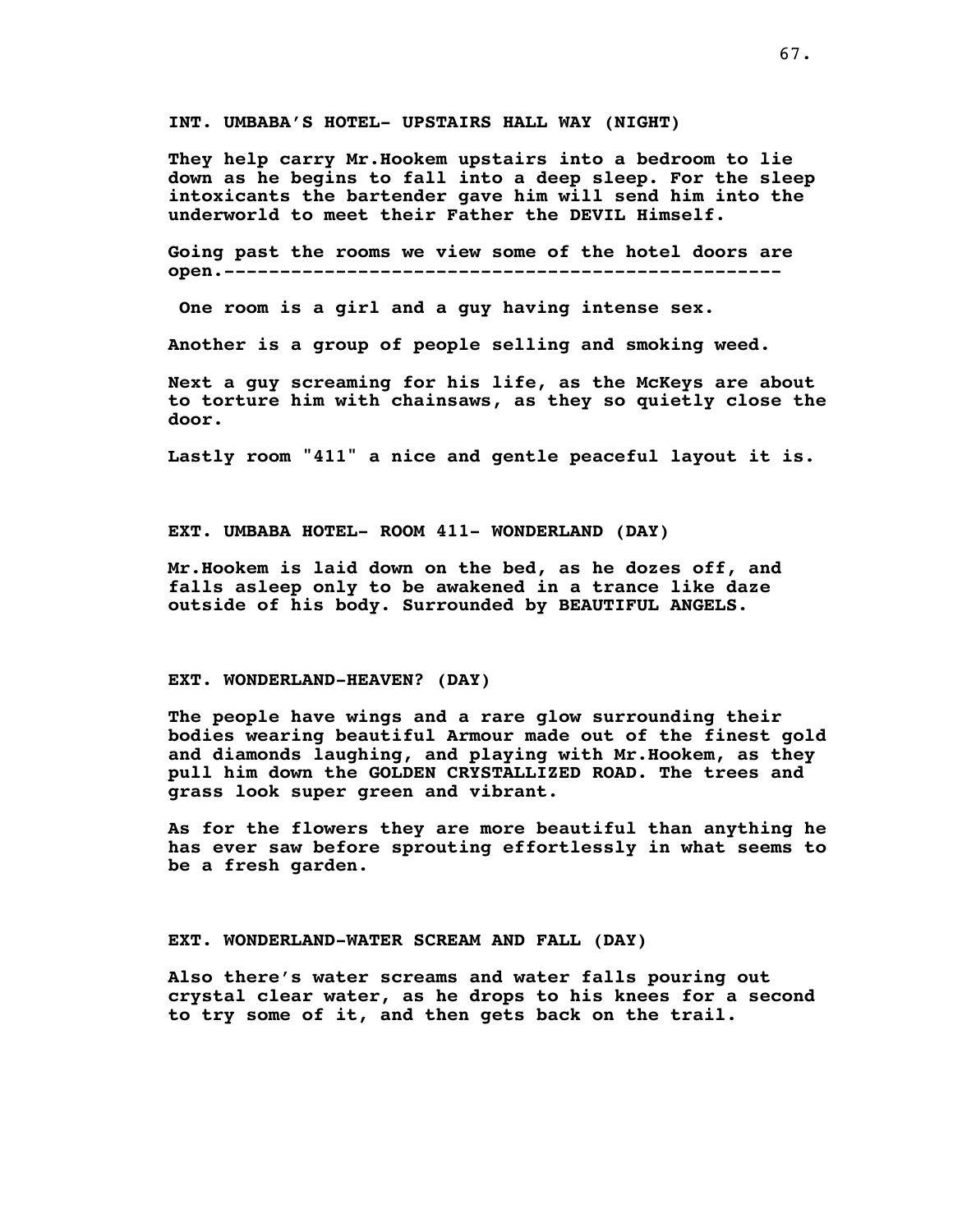**INT. UMBABA'S HOTEL- UPSTAIRS HALL WAY (NIGHT)**

**They help carry Mr.Hookem upstairs into a bedroom to lie down as he begins to fall into a deep sleep. For the sleep intoxicants the bartender gave him will send him into the underworld to meet their Father the DEVIL Himself.**

**Going past the rooms we view some of the hotel doors are open.--------------------------------------------------**

**One room is a girl and a guy having intense sex.**

**Another is a group of people selling and smoking weed.**

**Next a guy screaming for his life, as the McKeys are about to torture him with chainsaws, as they so quietly close the door.**

**Lastly room "411" a nice and gentle peaceful layout it is.**

**EXT. UMBABA HOTEL- ROOM 411- WONDERLAND (DAY)**

**Mr.Hookem is laid down on the bed, as he dozes off, and falls asleep only to be awakened in a trance like daze outside of his body. Surrounded by BEAUTIFUL ANGELS.**

# **EXT. WONDERLAND-HEAVEN? (DAY)**

**The people have wings and a rare glow surrounding their bodies wearing beautiful Armour made out of the finest gold and diamonds laughing, and playing with Mr.Hookem, as they pull him down the GOLDEN CRYSTALLIZED ROAD. The trees and grass look super green and vibrant.**

**As for the flowers they are more beautiful than anything he has ever saw before sprouting effortlessly in what seems to be a fresh garden.**

**EXT. WONDERLAND-WATER SCREAM AND FALL (DAY)**

**Also there's water screams and water falls pouring out crystal clear water, as he drops to his knees for a second to try some of it, and then gets back on the trail.**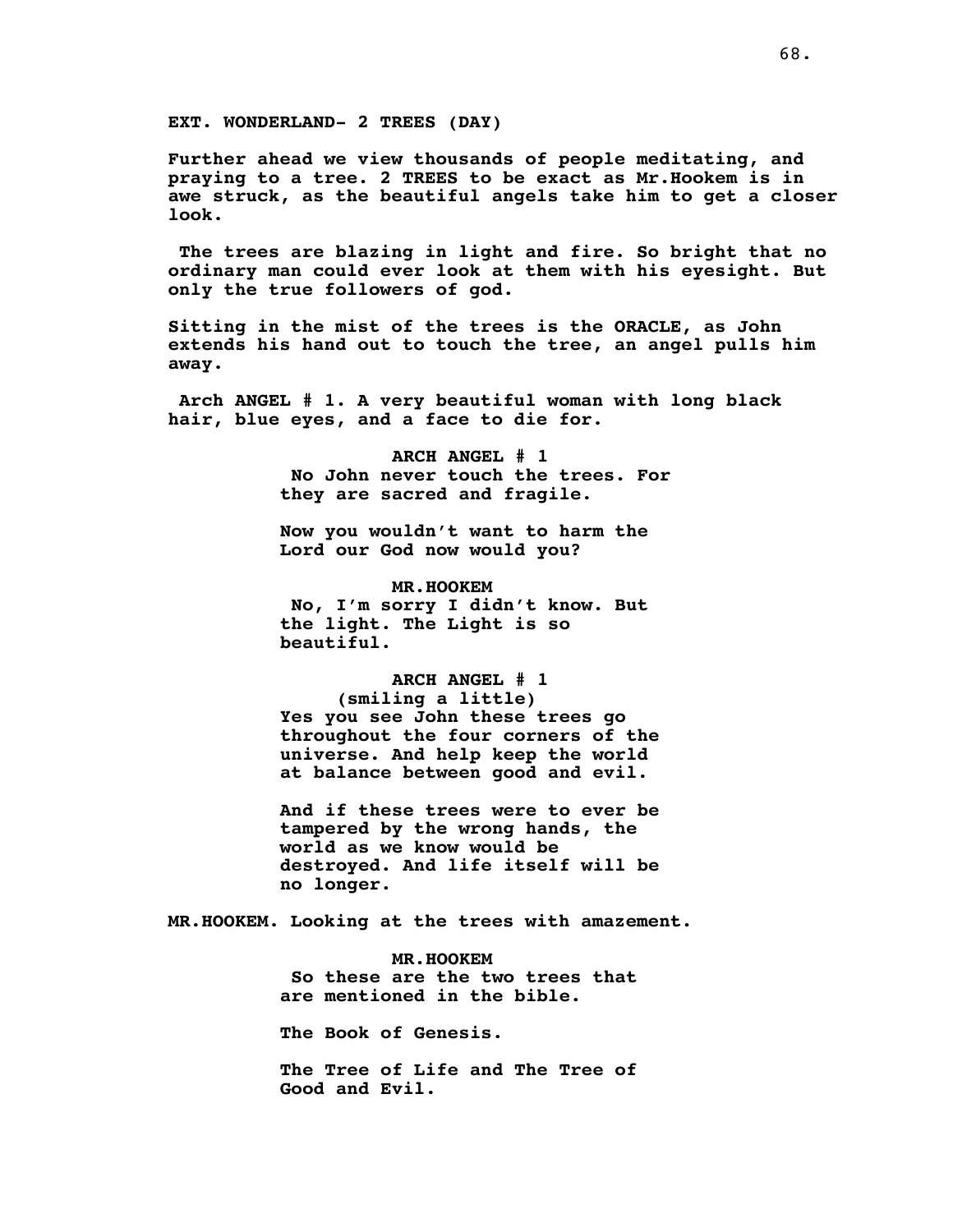**Further ahead we view thousands of people meditating, and praying to a tree. 2 TREES to be exact as Mr.Hookem is in awe struck, as the beautiful angels take him to get a closer look.**

**The trees are blazing in light and fire. So bright that no ordinary man could ever look at them with his eyesight. But only the true followers of god.**

**Sitting in the mist of the trees is the ORACLE, as John extends his hand out to touch the tree, an angel pulls him away.**

**Arch ANGEL # 1. A very beautiful woman with long black hair, blue eyes, and a face to die for.**

> **ARCH ANGEL # 1 No John never touch the trees. For they are sacred and fragile.**

**Now you wouldn't want to harm the Lord our God now would you?**

**MR.HOOKEM No, I'm sorry I didn't know. But the light. The Light is so beautiful.**

**ARCH ANGEL # 1 (smiling a little) Yes you see John these trees go throughout the four corners of the universe. And help keep the world at balance between good and evil.**

**And if these trees were to ever be tampered by the wrong hands, the world as we know would be destroyed. And life itself will be no longer.**

**MR.HOOKEM. Looking at the trees with amazement.**

**MR.HOOKEM So these are the two trees that are mentioned in the bible.**

**The Book of Genesis.**

**The Tree of Life and The Tree of Good and Evil.**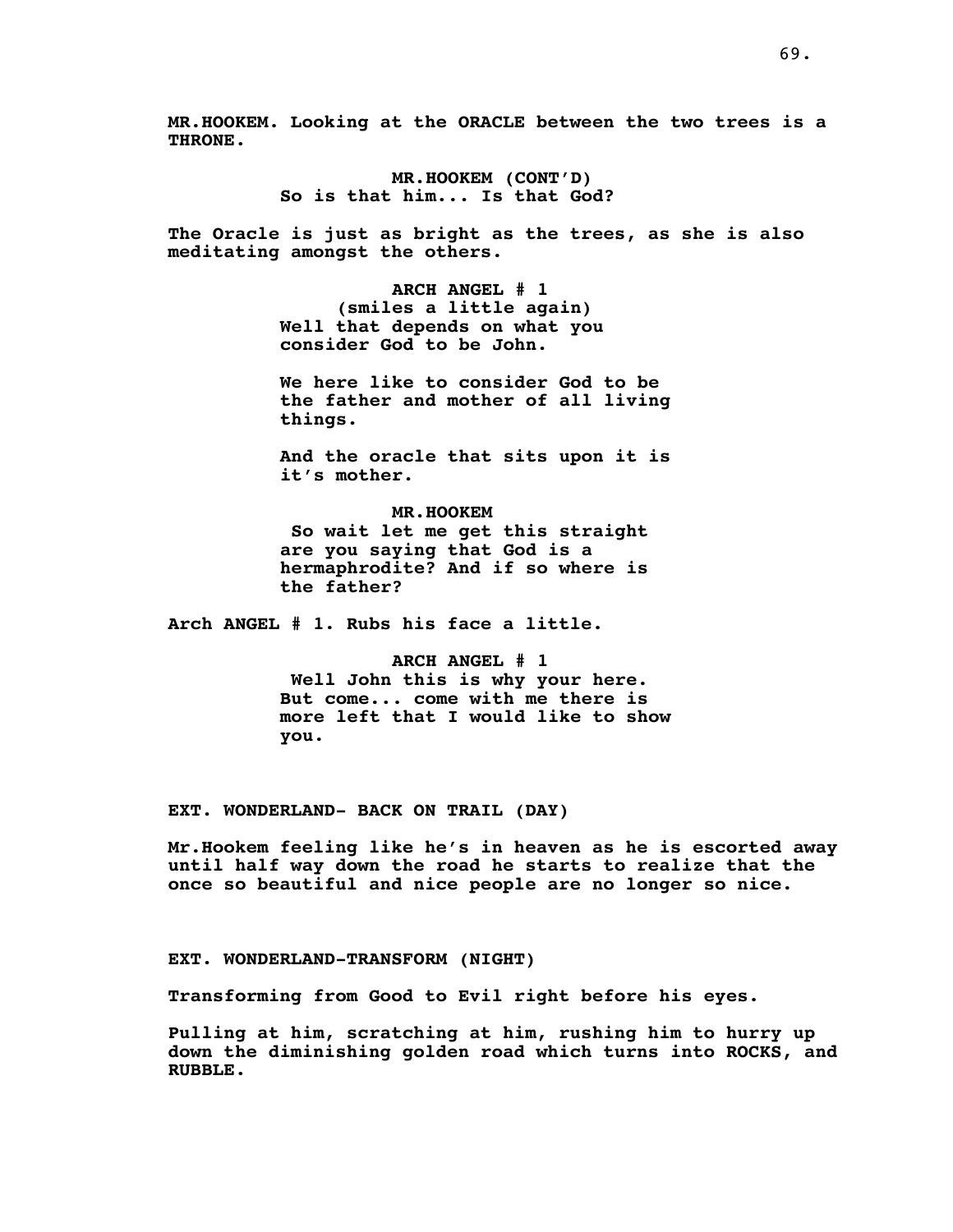**MR.HOOKEM. Looking at the ORACLE between the two trees is a THRONE.**

> **MR.HOOKEM (CONT'D) So is that him... Is that God?**

**The Oracle is just as bright as the trees, as she is also meditating amongst the others.**

> **ARCH ANGEL # 1 (smiles a little again) Well that depends on what you consider God to be John.**

**We here like to consider God to be the father and mother of all living things.**

**And the oracle that sits upon it is it's mother.**

**MR.HOOKEM So wait let me get this straight are you saying that God is a hermaphrodite? And if so where is the father?**

**Arch ANGEL # 1. Rubs his face a little.**

**ARCH ANGEL # 1 Well John this is why your here. But come... come with me there is more left that I would like to show you.**

**EXT. WONDERLAND- BACK ON TRAIL (DAY)**

**Mr.Hookem feeling like he's in heaven as he is escorted away until half way down the road he starts to realize that the once so beautiful and nice people are no longer so nice.**

**EXT. WONDERLAND-TRANSFORM (NIGHT)**

**Transforming from Good to Evil right before his eyes.**

**Pulling at him, scratching at him, rushing him to hurry up down the diminishing golden road which turns into ROCKS, and RUBBLE.**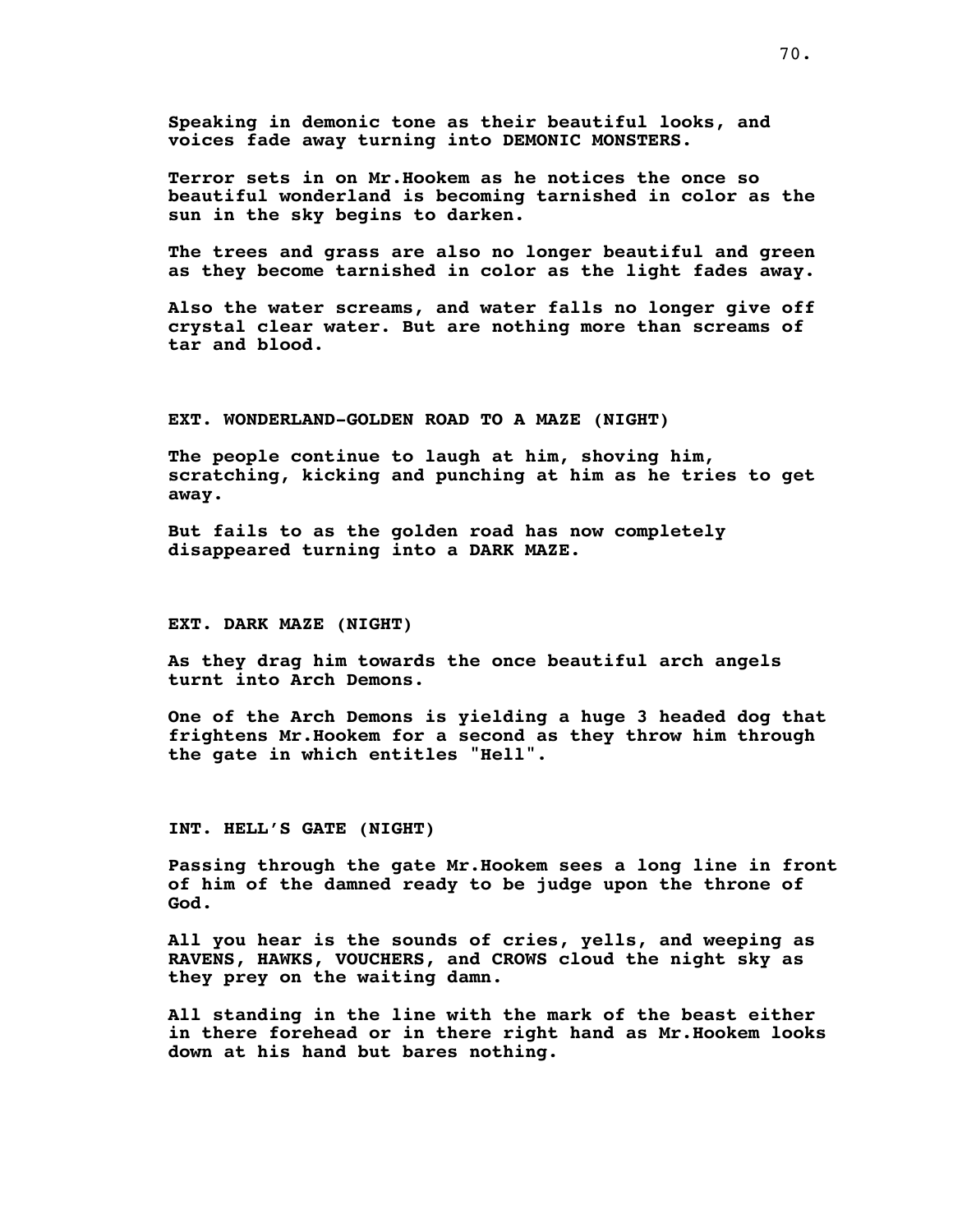**Speaking in demonic tone as their beautiful looks, and voices fade away turning into DEMONIC MONSTERS.**

**Terror sets in on Mr.Hookem as he notices the once so beautiful wonderland is becoming tarnished in color as the sun in the sky begins to darken.**

**The trees and grass are also no longer beautiful and green as they become tarnished in color as the light fades away.**

**Also the water screams, and water falls no longer give off crystal clear water. But are nothing more than screams of tar and blood.**

# **EXT. WONDERLAND-GOLDEN ROAD TO A MAZE (NIGHT)**

**The people continue to laugh at him, shoving him, scratching, kicking and punching at him as he tries to get away.**

**But fails to as the golden road has now completely disappeared turning into a DARK MAZE.**

# **EXT. DARK MAZE (NIGHT)**

**As they drag him towards the once beautiful arch angels turnt into Arch Demons.**

**One of the Arch Demons is yielding a huge 3 headed dog that frightens Mr.Hookem for a second as they throw him through the gate in which entitles "Hell".**

# **INT. HELL'S GATE (NIGHT)**

**Passing through the gate Mr.Hookem sees a long line in front of him of the damned ready to be judge upon the throne of God.**

**All you hear is the sounds of cries, yells, and weeping as RAVENS, HAWKS, VOUCHERS, and CROWS cloud the night sky as they prey on the waiting damn.**

**All standing in the line with the mark of the beast either in there forehead or in there right hand as Mr.Hookem looks down at his hand but bares nothing.**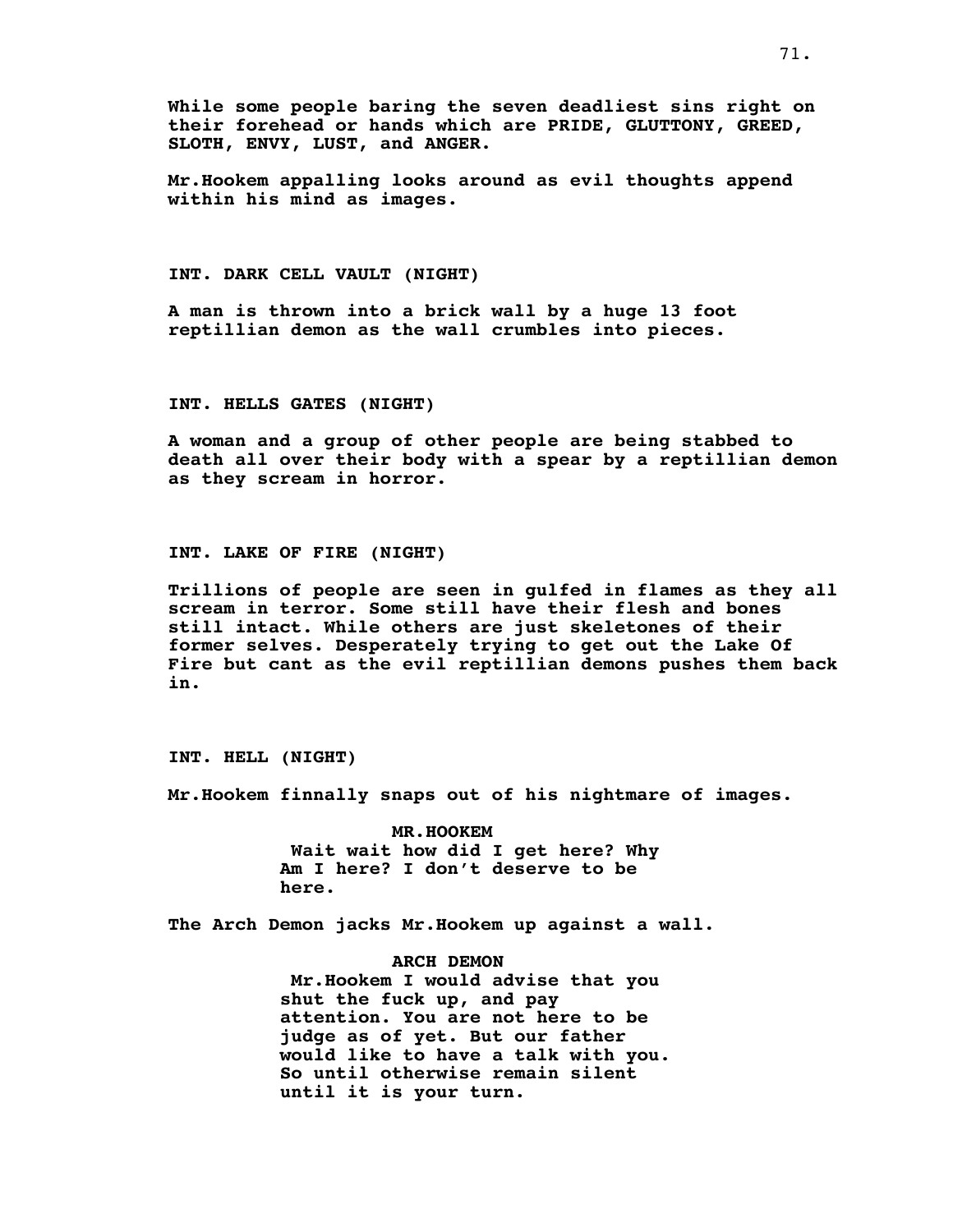**While some people baring the seven deadliest sins right on their forehead or hands which are PRIDE, GLUTTONY, GREED, SLOTH, ENVY, LUST, and ANGER.**

**Mr.Hookem appalling looks around as evil thoughts append within his mind as images.**

# **INT. DARK CELL VAULT (NIGHT)**

**A man is thrown into a brick wall by a huge 13 foot reptillian demon as the wall crumbles into pieces.**

# **INT. HELLS GATES (NIGHT)**

**A woman and a group of other people are being stabbed to death all over their body with a spear by a reptillian demon as they scream in horror.**

#### **INT. LAKE OF FIRE (NIGHT)**

**Trillions of people are seen in gulfed in flames as they all scream in terror. Some still have their flesh and bones still intact. While others are just skeletones of their former selves. Desperately trying to get out the Lake Of Fire but cant as the evil reptillian demons pushes them back in.**

**INT. HELL (NIGHT)**

**Mr.Hookem finnally snaps out of his nightmare of images.**

**MR.HOOKEM Wait wait how did I get here? Why Am I here? I don't deserve to be here.**

**The Arch Demon jacks Mr.Hookem up against a wall.**

**ARCH DEMON Mr.Hookem I would advise that you shut the fuck up, and pay attention. You are not here to be judge as of yet. But our father would like to have a talk with you. So until otherwise remain silent until it is your turn.**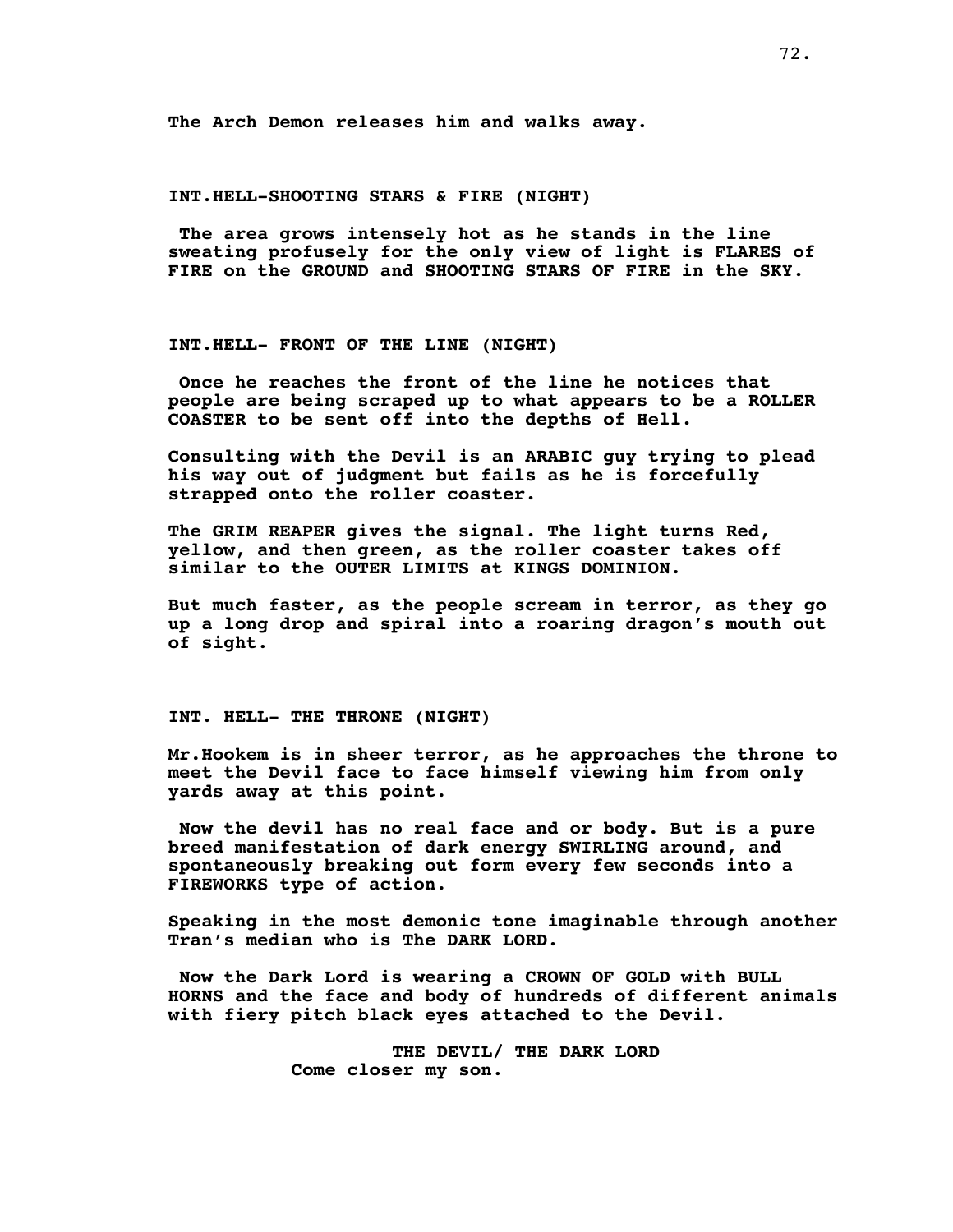**The Arch Demon releases him and walks away.**

# **INT.HELL-SHOOTING STARS & FIRE (NIGHT)**

**The area grows intensely hot as he stands in the line sweating profusely for the only view of light is FLARES of FIRE on the GROUND and SHOOTING STARS OF FIRE in the SKY.**

# **INT.HELL- FRONT OF THE LINE (NIGHT)**

**Once he reaches the front of the line he notices that people are being scraped up to what appears to be a ROLLER COASTER to be sent off into the depths of Hell.**

**Consulting with the Devil is an ARABIC guy trying to plead his way out of judgment but fails as he is forcefully strapped onto the roller coaster.**

**The GRIM REAPER gives the signal. The light turns Red, yellow, and then green, as the roller coaster takes off similar to the OUTER LIMITS at KINGS DOMINION.**

**But much faster, as the people scream in terror, as they go up a long drop and spiral into a roaring dragon's mouth out of sight.**

**INT. HELL- THE THRONE (NIGHT)**

**Mr.Hookem is in sheer terror, as he approaches the throne to meet the Devil face to face himself viewing him from only yards away at this point.**

**Now the devil has no real face and or body. But is a pure breed manifestation of dark energy SWIRLING around, and spontaneously breaking out form every few seconds into a FIREWORKS type of action.**

**Speaking in the most demonic tone imaginable through another Tran's median who is The DARK LORD.**

**Now the Dark Lord is wearing a CROWN OF GOLD with BULL HORNS and the face and body of hundreds of different animals with fiery pitch black eyes attached to the Devil.**

> **THE DEVIL/ THE DARK LORD Come closer my son.**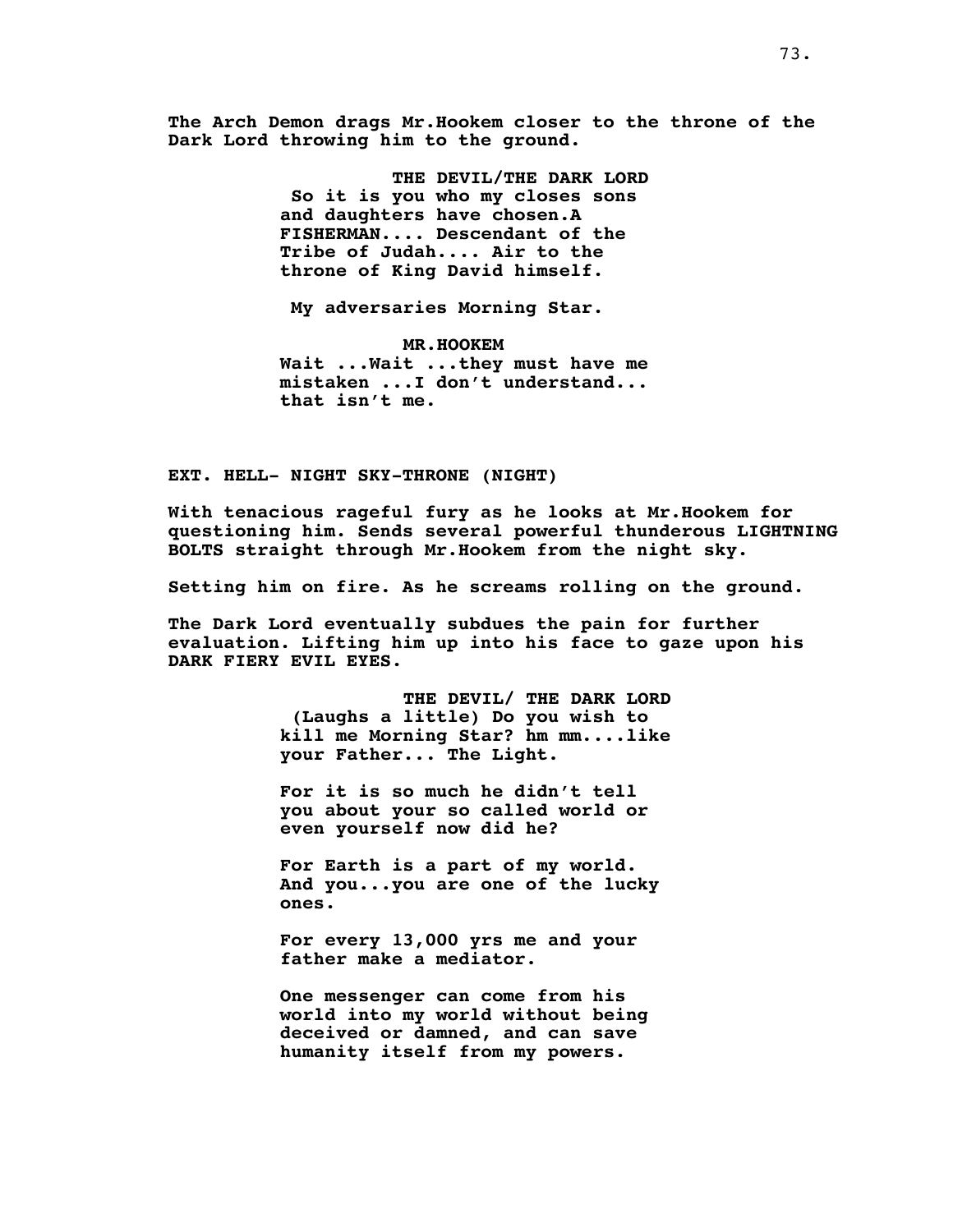**The Arch Demon drags Mr.Hookem closer to the throne of the Dark Lord throwing him to the ground.**

> **THE DEVIL/THE DARK LORD So it is you who my closes sons and daughters have chosen.A FISHERMAN.... Descendant of the Tribe of Judah.... Air to the throne of King David himself.**

**My adversaries Morning Star.**

**MR.HOOKEM Wait ...Wait ...they must have me mistaken ...I don't understand... that isn't me.**

**EXT. HELL- NIGHT SKY-THRONE (NIGHT)**

**With tenacious rageful fury as he looks at Mr.Hookem for questioning him. Sends several powerful thunderous LIGHTNING BOLTS straight through Mr.Hookem from the night sky.**

**Setting him on fire. As he screams rolling on the ground.**

**The Dark Lord eventually subdues the pain for further evaluation. Lifting him up into his face to gaze upon his DARK FIERY EVIL EYES.**

> **THE DEVIL/ THE DARK LORD (Laughs a little) Do you wish to kill me Morning Star? hm mm....like your Father... The Light.**

**For it is so much he didn't tell you about your so called world or even yourself now did he?**

**For Earth is a part of my world. And you...you are one of the lucky ones.**

**For every 13,000 yrs me and your father make a mediator.**

**One messenger can come from his world into my world without being deceived or damned, and can save humanity itself from my powers.**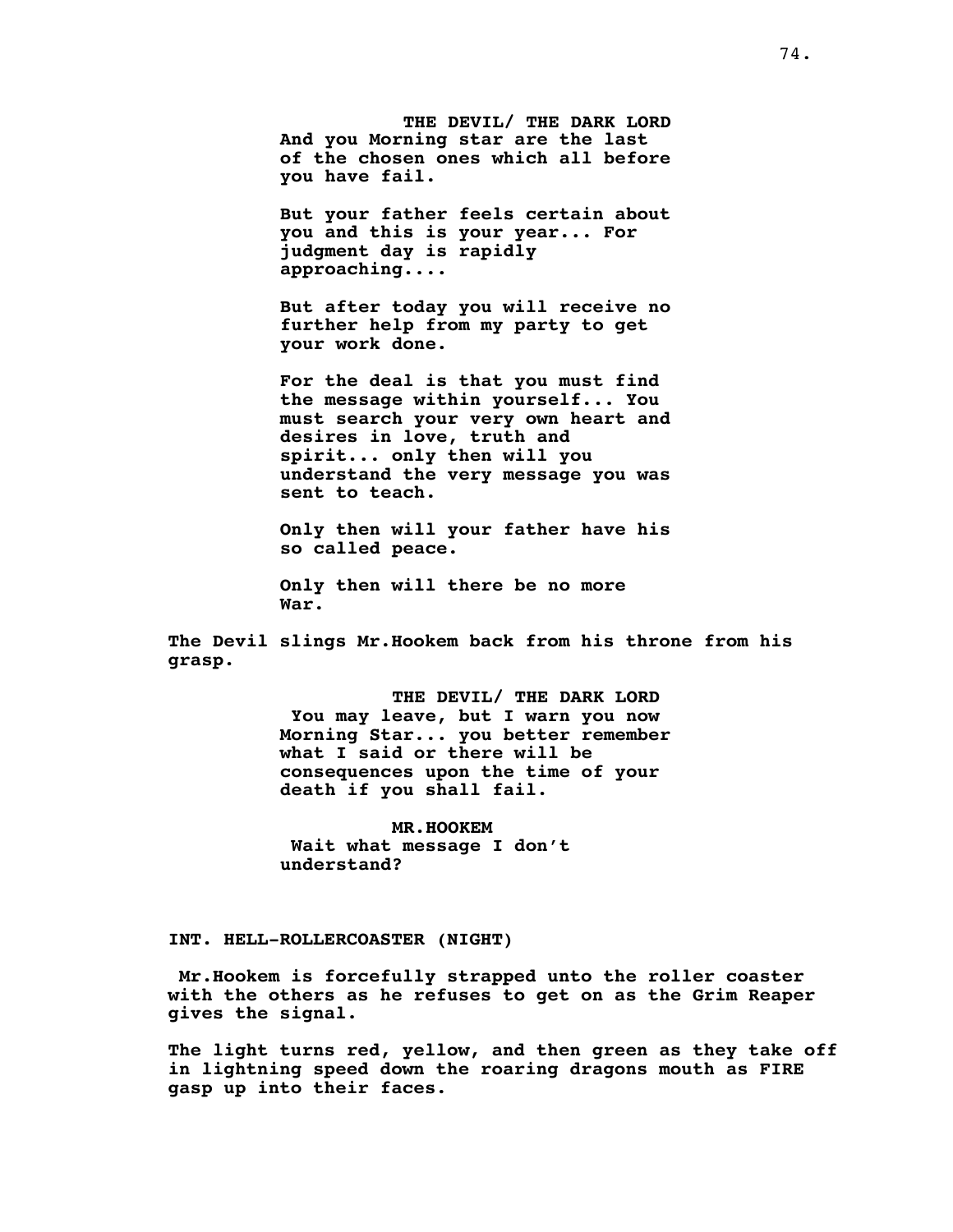**THE DEVIL/ THE DARK LORD And you Morning star are the last of the chosen ones which all before you have fail.**

**But your father feels certain about you and this is your year... For judgment day is rapidly approaching....**

**But after today you will receive no further help from my party to get your work done.**

**For the deal is that you must find the message within yourself... You must search your very own heart and desires in love, truth and spirit... only then will you understand the very message you was sent to teach.**

**Only then will your father have his so called peace.**

**Only then will there be no more War.**

**The Devil slings Mr.Hookem back from his throne from his grasp.**

> **THE DEVIL/ THE DARK LORD You may leave, but I warn you now Morning Star... you better remember what I said or there will be consequences upon the time of your death if you shall fail.**

**MR.HOOKEM Wait what message I don't understand?**

**INT. HELL-ROLLERCOASTER (NIGHT)**

**Mr.Hookem is forcefully strapped unto the roller coaster with the others as he refuses to get on as the Grim Reaper gives the signal.**

**The light turns red, yellow, and then green as they take off in lightning speed down the roaring dragons mouth as FIRE gasp up into their faces.**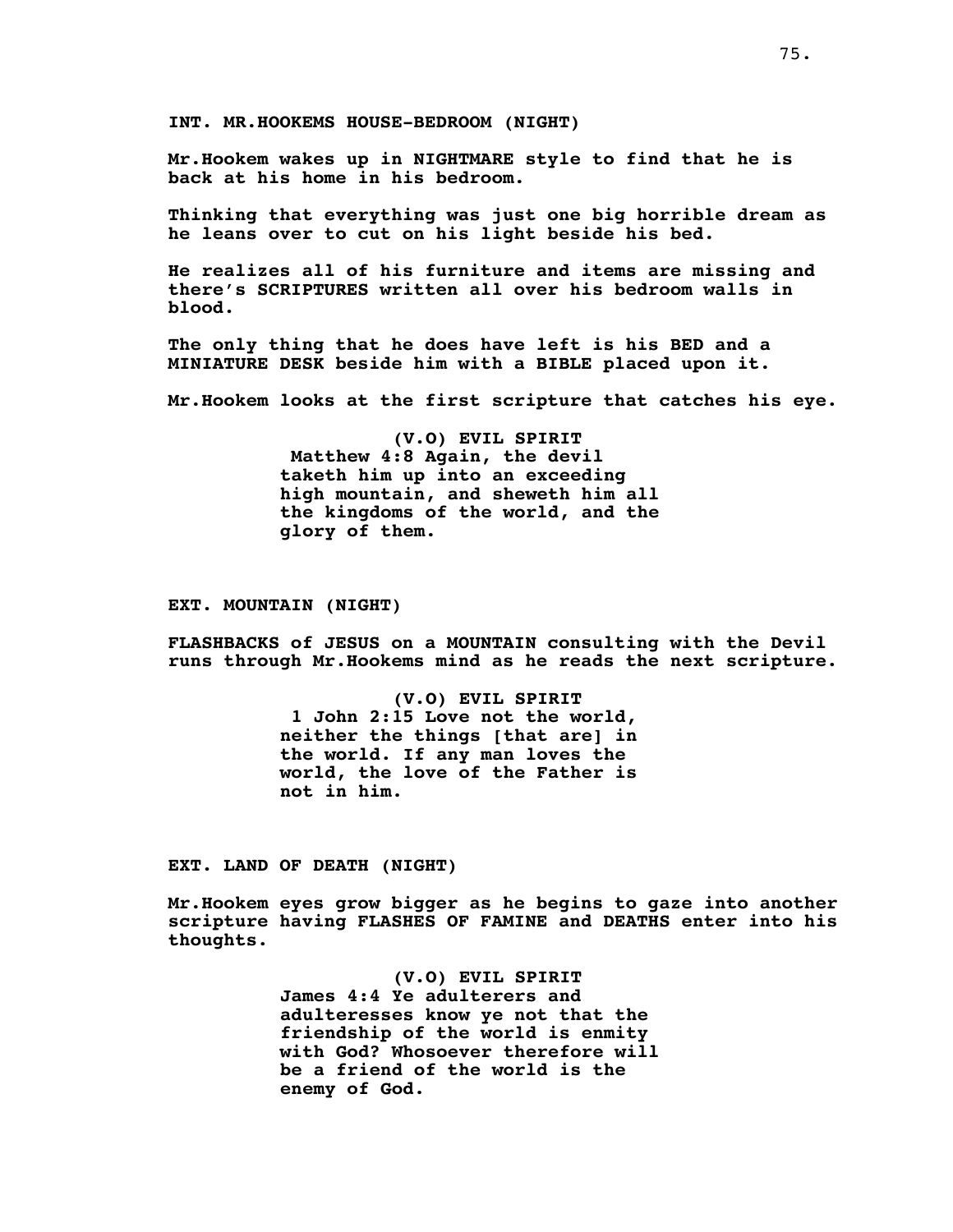**INT. MR.HOOKEMS HOUSE-BEDROOM (NIGHT)**

**Mr.Hookem wakes up in NIGHTMARE style to find that he is back at his home in his bedroom.**

**Thinking that everything was just one big horrible dream as he leans over to cut on his light beside his bed.**

**He realizes all of his furniture and items are missing and there's SCRIPTURES written all over his bedroom walls in blood.**

**The only thing that he does have left is his BED and a MINIATURE DESK beside him with a BIBLE placed upon it.**

**Mr.Hookem looks at the first scripture that catches his eye.**

**(V.O) EVIL SPIRIT Matthew 4:8 Again, the devil taketh him up into an exceeding high mountain, and sheweth him all the kingdoms of the world, and the glory of them.**

## **EXT. MOUNTAIN (NIGHT)**

**FLASHBACKS of JESUS on a MOUNTAIN consulting with the Devil runs through Mr.Hookems mind as he reads the next scripture.**

> **(V.O) EVIL SPIRIT 1 John 2:15 Love not the world, neither the things [that are] in the world. If any man loves the world, the love of the Father is not in him.**

**EXT. LAND OF DEATH (NIGHT)**

**Mr.Hookem eyes grow bigger as he begins to gaze into another scripture having FLASHES OF FAMINE and DEATHS enter into his thoughts.**

> **(V.O) EVIL SPIRIT James 4:4 Ye adulterers and adulteresses know ye not that the friendship of the world is enmity with God? Whosoever therefore will be a friend of the world is the enemy of God.**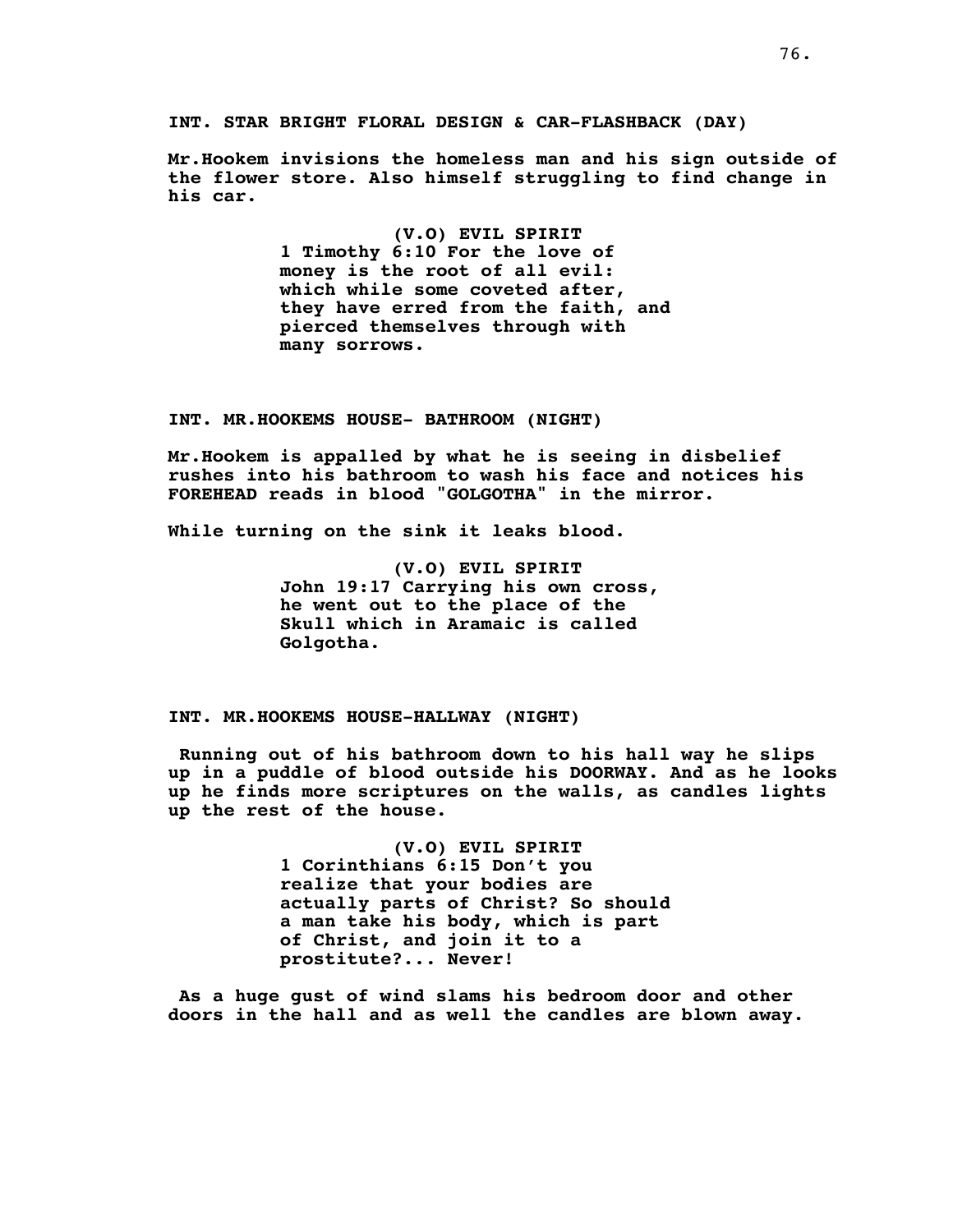**INT. STAR BRIGHT FLORAL DESIGN & CAR-FLASHBACK (DAY)**

**Mr.Hookem invisions the homeless man and his sign outside of the flower store. Also himself struggling to find change in his car.**

> **(V.O) EVIL SPIRIT 1 Timothy 6:10 For the love of money is the root of all evil: which while some coveted after, they have erred from the faith, and pierced themselves through with many sorrows.**

**INT. MR.HOOKEMS HOUSE- BATHROOM (NIGHT)**

**Mr.Hookem is appalled by what he is seeing in disbelief rushes into his bathroom to wash his face and notices his FOREHEAD reads in blood "GOLGOTHA" in the mirror.**

**While turning on the sink it leaks blood.**

**(V.O) EVIL SPIRIT John 19:17 Carrying his own cross, he went out to the place of the Skull which in Aramaic is called Golgotha.**

**INT. MR.HOOKEMS HOUSE-HALLWAY (NIGHT)**

**Running out of his bathroom down to his hall way he slips up in a puddle of blood outside his DOORWAY. And as he looks up he finds more scriptures on the walls, as candles lights up the rest of the house.**

> **(V.O) EVIL SPIRIT 1 Corinthians 6:15 Don't you realize that your bodies are actually parts of Christ? So should a man take his body, which is part of Christ, and join it to a prostitute?... Never!**

**As a huge gust of wind slams his bedroom door and other doors in the hall and as well the candles are blown away.**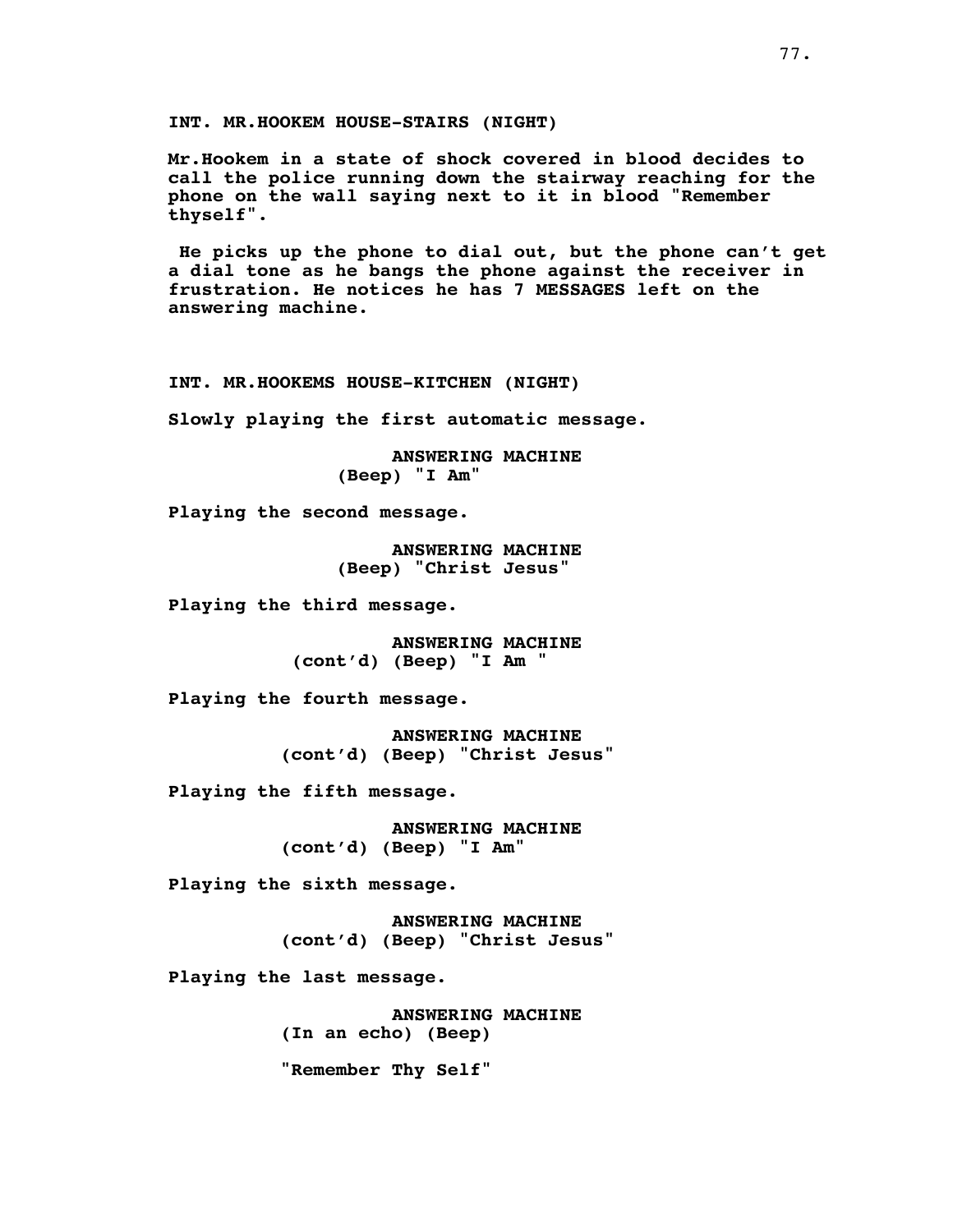**INT. MR.HOOKEM HOUSE-STAIRS (NIGHT)**

**Mr.Hookem in a state of shock covered in blood decides to call the police running down the stairway reaching for the phone on the wall saying next to it in blood "Remember thyself".**

**He picks up the phone to dial out, but the phone can't get a dial tone as he bangs the phone against the receiver in frustration. He notices he has 7 MESSAGES left on the answering machine.**

**INT. MR.HOOKEMS HOUSE-KITCHEN (NIGHT)**

**Slowly playing the first automatic message.**

**ANSWERING MACHINE (Beep) "I Am"**

**Playing the second message.**

**ANSWERING MACHINE (Beep) "Christ Jesus"**

**Playing the third message.**

**ANSWERING MACHINE (cont'd) (Beep) "I Am "**

**Playing the fourth message.**

**ANSWERING MACHINE (cont'd) (Beep) "Christ Jesus"**

**Playing the fifth message.**

**ANSWERING MACHINE (cont'd) (Beep) "I Am"**

**Playing the sixth message.**

**ANSWERING MACHINE (cont'd) (Beep) "Christ Jesus"**

**Playing the last message.**

**ANSWERING MACHINE (In an echo) (Beep)**

**"Remember Thy Self"**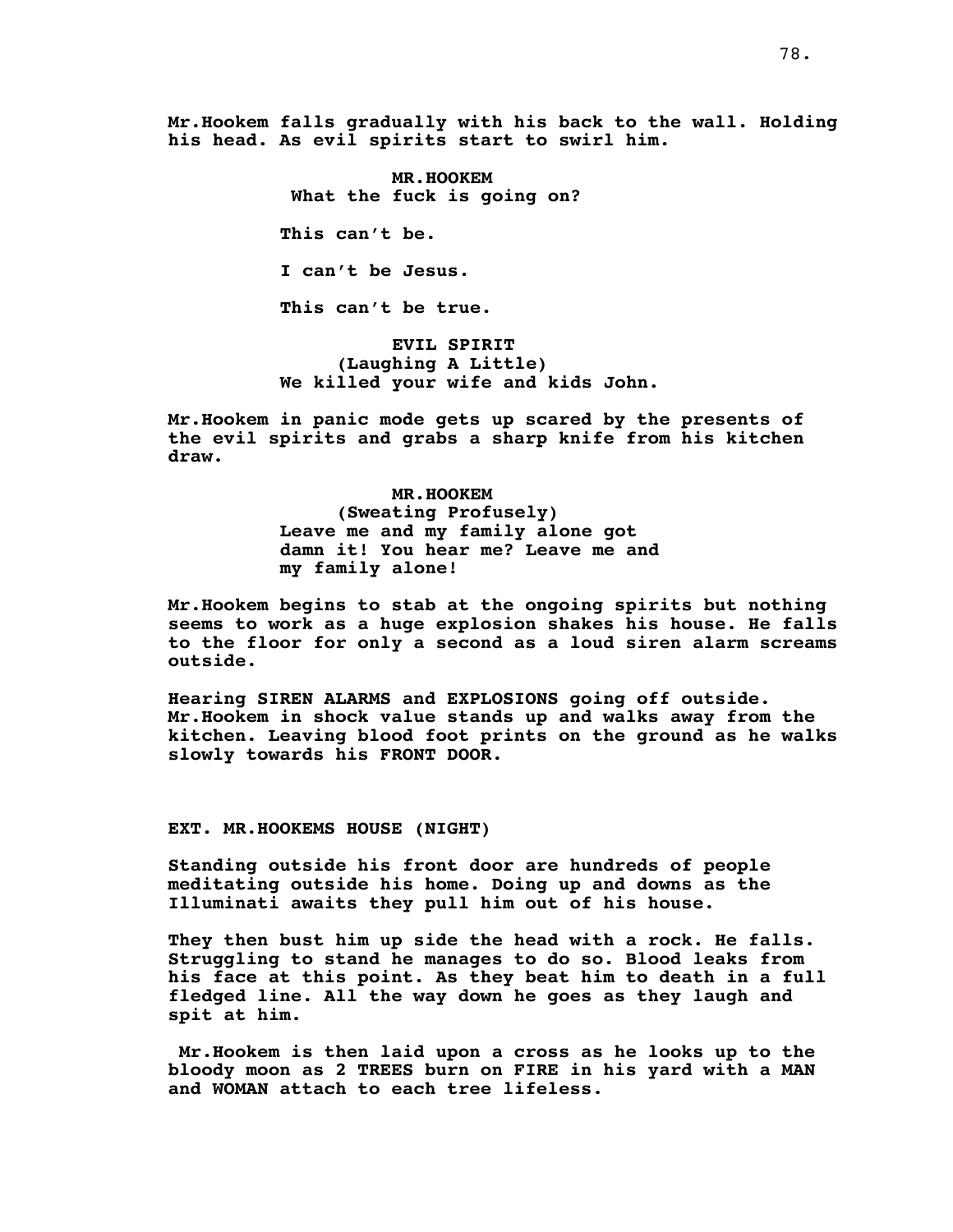**Mr.Hookem falls gradually with his back to the wall. Holding his head. As evil spirits start to swirl him.**

> **MR.HOOKEM What the fuck is going on? This can't be. I can't be Jesus. This can't be true.**

**EVIL SPIRIT (Laughing A Little) We killed your wife and kids John.**

**Mr.Hookem in panic mode gets up scared by the presents of the evil spirits and grabs a sharp knife from his kitchen draw.**

> **MR.HOOKEM (Sweating Profusely) Leave me and my family alone got damn it! You hear me? Leave me and my family alone!**

**Mr.Hookem begins to stab at the ongoing spirits but nothing seems to work as a huge explosion shakes his house. He falls to the floor for only a second as a loud siren alarm screams outside.**

**Hearing SIREN ALARMS and EXPLOSIONS going off outside. Mr.Hookem in shock value stands up and walks away from the kitchen. Leaving blood foot prints on the ground as he walks slowly towards his FRONT DOOR.**

# **EXT. MR.HOOKEMS HOUSE (NIGHT)**

**Standing outside his front door are hundreds of people meditating outside his home. Doing up and downs as the Illuminati awaits they pull him out of his house.**

**They then bust him up side the head with a rock. He falls. Struggling to stand he manages to do so. Blood leaks from his face at this point. As they beat him to death in a full fledged line. All the way down he goes as they laugh and spit at him.**

**Mr.Hookem is then laid upon a cross as he looks up to the bloody moon as 2 TREES burn on FIRE in his yard with a MAN and WOMAN attach to each tree lifeless.**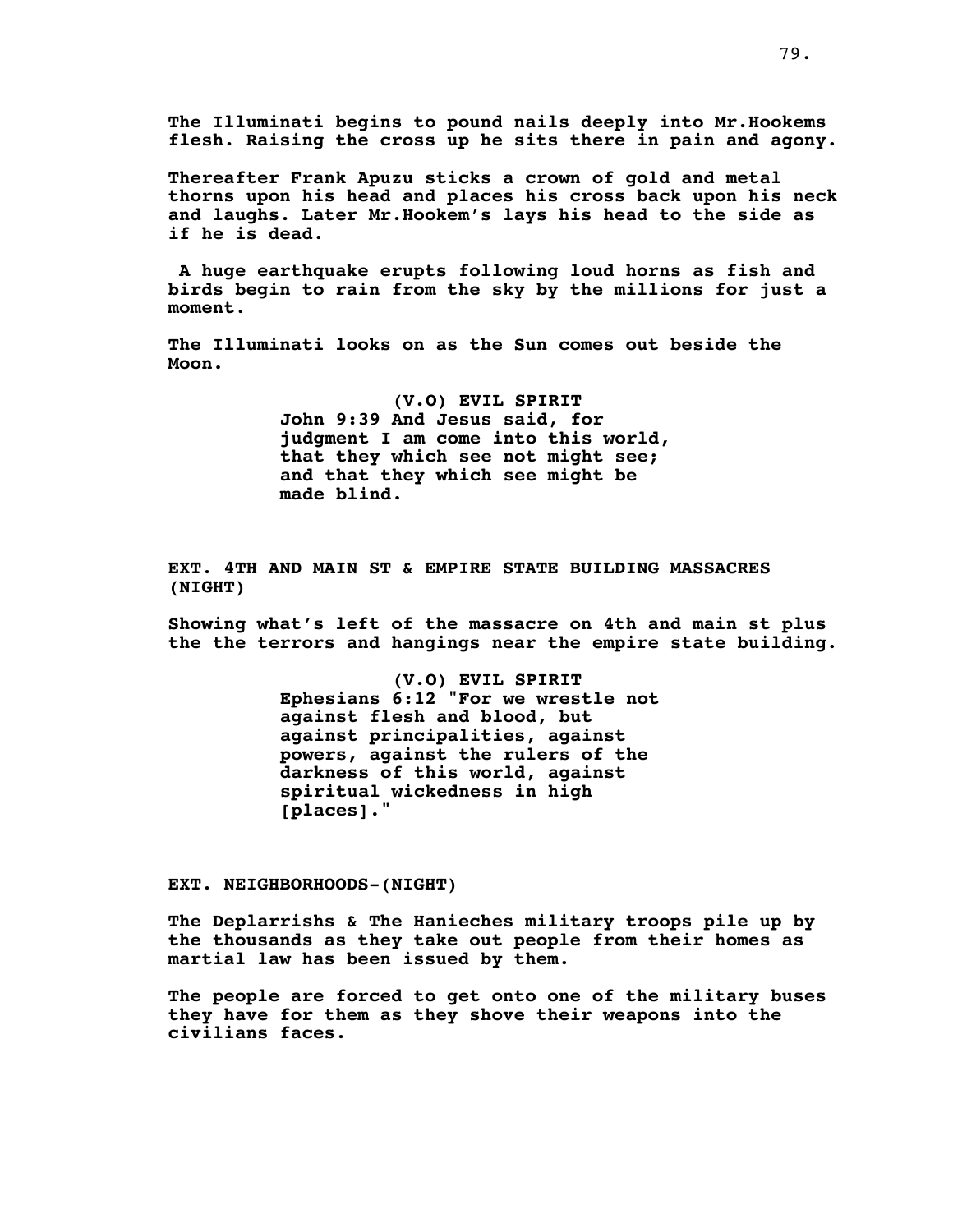**The Illuminati begins to pound nails deeply into Mr.Hookems flesh. Raising the cross up he sits there in pain and agony.**

**Thereafter Frank Apuzu sticks a crown of gold and metal thorns upon his head and places his cross back upon his neck and laughs. Later Mr.Hookem's lays his head to the side as if he is dead.**

**A huge earthquake erupts following loud horns as fish and birds begin to rain from the sky by the millions for just a moment**.

**The Illuminati looks on as the Sun comes out beside the Moon.**

> **(V.O) EVIL SPIRIT John 9:39 And Jesus said, for judgment I am come into this world, that they which see not might see; and that they which see might be made blind.**

**EXT. 4TH AND MAIN ST & EMPIRE STATE BUILDING MASSACRES (NIGHT)**

**Showing what's left of the massacre on 4th and main st plus the the terrors and hangings near the empire state building.**

> **(V.O) EVIL SPIRIT Ephesians 6:12 "For we wrestle not against flesh and blood, but against principalities, against powers, against the rulers of the darkness of this world, against spiritual wickedness in high [places]."**

**EXT. NEIGHBORHOODS-(NIGHT)**

**The Deplarrishs & The Hanieches military troops pile up by the thousands as they take out people from their homes as martial law has been issued by them.**

**The people are forced to get onto one of the military buses they have for them as they shove their weapons into the civilians faces.**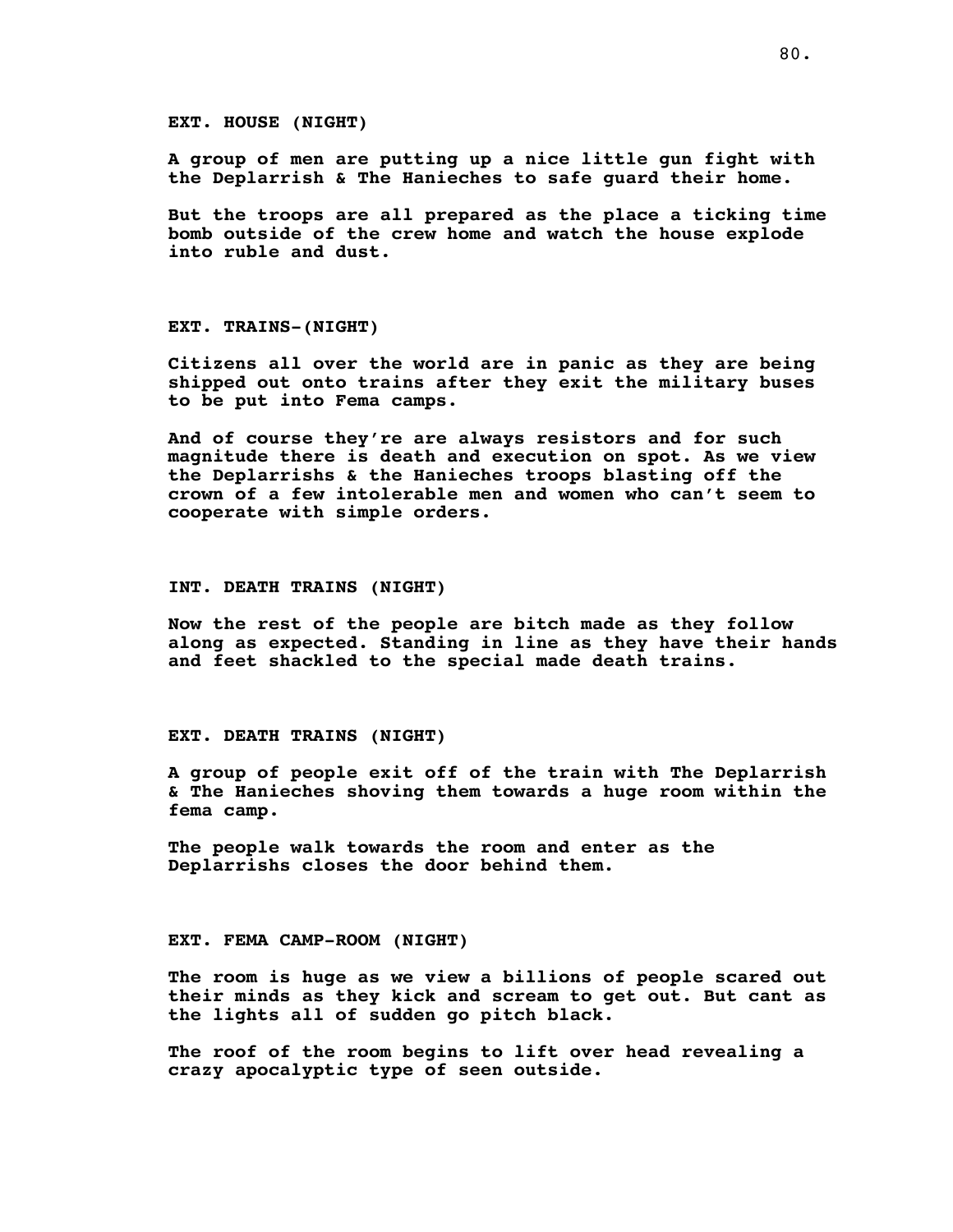**EXT. HOUSE (NIGHT)**

**A group of men are putting up a nice little gun fight with the Deplarrish & The Hanieches to safe guard their home.**

**But the troops are all prepared as the place a ticking time bomb outside of the crew home and watch the house explode into ruble and dust.**

**EXT. TRAINS-(NIGHT)**

**Citizens all over the world are in panic as they are being shipped out onto trains after they exit the military buses to be put into Fema camps.**

**And of course they're are always resistors and for such magnitude there is death and execution on spot. As we view the Deplarrishs & the Hanieches troops blasting off the crown of a few intolerable men and women who can't seem to cooperate with simple orders.**

#### **INT. DEATH TRAINS (NIGHT)**

**Now the rest of the people are bitch made as they follow along as expected. Standing in line as they have their hands and feet shackled to the special made death trains.**

## **EXT. DEATH TRAINS (NIGHT)**

**A group of people exit off of the train with The Deplarrish & The Hanieches shoving them towards a huge room within the fema camp.**

**The people walk towards the room and enter as the Deplarrishs closes the door behind them.**

### **EXT. FEMA CAMP-ROOM (NIGHT)**

**The room is huge as we view a billions of people scared out their minds as they kick and scream to get out. But cant as the lights all of sudden go pitch black.**

**The roof of the room begins to lift over head revealing a crazy apocalyptic type of seen outside.**